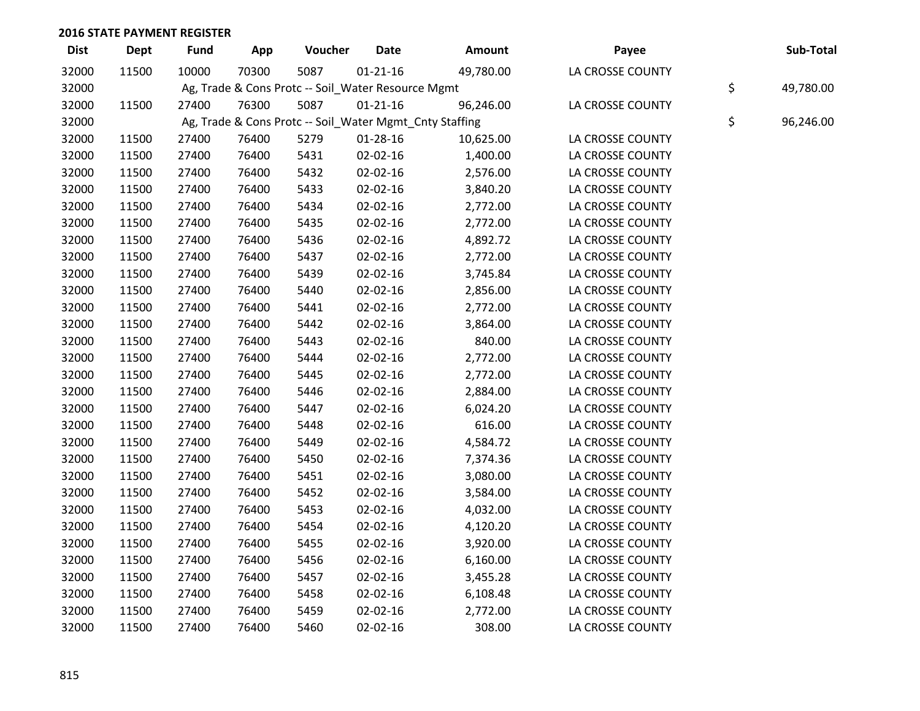| <b>Dist</b> | <b>Dept</b> | <b>Fund</b> | App   | Voucher                                                 | <b>Date</b>    | Amount    | Payee            | Sub-Total       |
|-------------|-------------|-------------|-------|---------------------------------------------------------|----------------|-----------|------------------|-----------------|
| 32000       | 11500       | 10000       | 70300 | 5087                                                    | $01 - 21 - 16$ | 49,780.00 | LA CROSSE COUNTY |                 |
| 32000       |             |             |       | Ag, Trade & Cons Protc -- Soil_Water Resource Mgmt      |                |           |                  | \$<br>49,780.00 |
| 32000       | 11500       | 27400       | 76300 | 5087                                                    | $01 - 21 - 16$ | 96,246.00 | LA CROSSE COUNTY |                 |
| 32000       |             |             |       | Ag, Trade & Cons Protc -- Soil_Water Mgmt_Cnty Staffing |                |           |                  | \$<br>96,246.00 |
| 32000       | 11500       | 27400       | 76400 | 5279                                                    | $01 - 28 - 16$ | 10,625.00 | LA CROSSE COUNTY |                 |
| 32000       | 11500       | 27400       | 76400 | 5431                                                    | 02-02-16       | 1,400.00  | LA CROSSE COUNTY |                 |
| 32000       | 11500       | 27400       | 76400 | 5432                                                    | 02-02-16       | 2,576.00  | LA CROSSE COUNTY |                 |
| 32000       | 11500       | 27400       | 76400 | 5433                                                    | 02-02-16       | 3,840.20  | LA CROSSE COUNTY |                 |
| 32000       | 11500       | 27400       | 76400 | 5434                                                    | 02-02-16       | 2,772.00  | LA CROSSE COUNTY |                 |
| 32000       | 11500       | 27400       | 76400 | 5435                                                    | 02-02-16       | 2,772.00  | LA CROSSE COUNTY |                 |
| 32000       | 11500       | 27400       | 76400 | 5436                                                    | 02-02-16       | 4,892.72  | LA CROSSE COUNTY |                 |
| 32000       | 11500       | 27400       | 76400 | 5437                                                    | 02-02-16       | 2,772.00  | LA CROSSE COUNTY |                 |
| 32000       | 11500       | 27400       | 76400 | 5439                                                    | 02-02-16       | 3,745.84  | LA CROSSE COUNTY |                 |
| 32000       | 11500       | 27400       | 76400 | 5440                                                    | 02-02-16       | 2,856.00  | LA CROSSE COUNTY |                 |
| 32000       | 11500       | 27400       | 76400 | 5441                                                    | 02-02-16       | 2,772.00  | LA CROSSE COUNTY |                 |
| 32000       | 11500       | 27400       | 76400 | 5442                                                    | 02-02-16       | 3,864.00  | LA CROSSE COUNTY |                 |
| 32000       | 11500       | 27400       | 76400 | 5443                                                    | 02-02-16       | 840.00    | LA CROSSE COUNTY |                 |
| 32000       | 11500       | 27400       | 76400 | 5444                                                    | 02-02-16       | 2,772.00  | LA CROSSE COUNTY |                 |
| 32000       | 11500       | 27400       | 76400 | 5445                                                    | 02-02-16       | 2,772.00  | LA CROSSE COUNTY |                 |
| 32000       | 11500       | 27400       | 76400 | 5446                                                    | 02-02-16       | 2,884.00  | LA CROSSE COUNTY |                 |
| 32000       | 11500       | 27400       | 76400 | 5447                                                    | 02-02-16       | 6,024.20  | LA CROSSE COUNTY |                 |
| 32000       | 11500       | 27400       | 76400 | 5448                                                    | 02-02-16       | 616.00    | LA CROSSE COUNTY |                 |
| 32000       | 11500       | 27400       | 76400 | 5449                                                    | $02 - 02 - 16$ | 4,584.72  | LA CROSSE COUNTY |                 |
| 32000       | 11500       | 27400       | 76400 | 5450                                                    | 02-02-16       | 7,374.36  | LA CROSSE COUNTY |                 |
| 32000       | 11500       | 27400       | 76400 | 5451                                                    | 02-02-16       | 3,080.00  | LA CROSSE COUNTY |                 |
| 32000       | 11500       | 27400       | 76400 | 5452                                                    | 02-02-16       | 3,584.00  | LA CROSSE COUNTY |                 |
| 32000       | 11500       | 27400       | 76400 | 5453                                                    | 02-02-16       | 4,032.00  | LA CROSSE COUNTY |                 |
| 32000       | 11500       | 27400       | 76400 | 5454                                                    | 02-02-16       | 4,120.20  | LA CROSSE COUNTY |                 |
| 32000       | 11500       | 27400       | 76400 | 5455                                                    | 02-02-16       | 3,920.00  | LA CROSSE COUNTY |                 |
| 32000       | 11500       | 27400       | 76400 | 5456                                                    | 02-02-16       | 6,160.00  | LA CROSSE COUNTY |                 |
| 32000       | 11500       | 27400       | 76400 | 5457                                                    | 02-02-16       | 3,455.28  | LA CROSSE COUNTY |                 |
| 32000       | 11500       | 27400       | 76400 | 5458                                                    | 02-02-16       | 6,108.48  | LA CROSSE COUNTY |                 |
| 32000       | 11500       | 27400       | 76400 | 5459                                                    | $02 - 02 - 16$ | 2,772.00  | LA CROSSE COUNTY |                 |
| 32000       | 11500       | 27400       | 76400 | 5460                                                    | $02 - 02 - 16$ | 308.00    | LA CROSSE COUNTY |                 |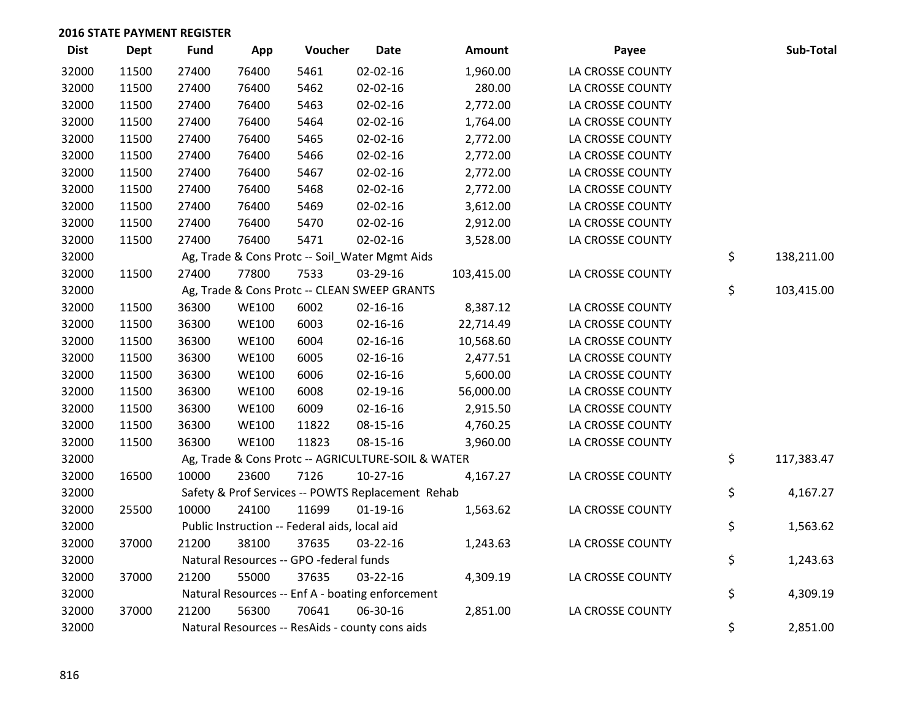| <b>Dist</b> | <b>Dept</b> | <b>Fund</b> | App          | Voucher                                       | <b>Date</b>                                        | Amount     | Payee            | Sub-Total        |
|-------------|-------------|-------------|--------------|-----------------------------------------------|----------------------------------------------------|------------|------------------|------------------|
| 32000       | 11500       | 27400       | 76400        | 5461                                          | $02 - 02 - 16$                                     | 1,960.00   | LA CROSSE COUNTY |                  |
| 32000       | 11500       | 27400       | 76400        | 5462                                          | 02-02-16                                           | 280.00     | LA CROSSE COUNTY |                  |
| 32000       | 11500       | 27400       | 76400        | 5463                                          | 02-02-16                                           | 2,772.00   | LA CROSSE COUNTY |                  |
| 32000       | 11500       | 27400       | 76400        | 5464                                          | $02 - 02 - 16$                                     | 1,764.00   | LA CROSSE COUNTY |                  |
| 32000       | 11500       | 27400       | 76400        | 5465                                          | $02 - 02 - 16$                                     | 2,772.00   | LA CROSSE COUNTY |                  |
| 32000       | 11500       | 27400       | 76400        | 5466                                          | 02-02-16                                           | 2,772.00   | LA CROSSE COUNTY |                  |
| 32000       | 11500       | 27400       | 76400        | 5467                                          | 02-02-16                                           | 2,772.00   | LA CROSSE COUNTY |                  |
| 32000       | 11500       | 27400       | 76400        | 5468                                          | 02-02-16                                           | 2,772.00   | LA CROSSE COUNTY |                  |
| 32000       | 11500       | 27400       | 76400        | 5469                                          | 02-02-16                                           | 3,612.00   | LA CROSSE COUNTY |                  |
| 32000       | 11500       | 27400       | 76400        | 5470                                          | 02-02-16                                           | 2,912.00   | LA CROSSE COUNTY |                  |
| 32000       | 11500       | 27400       | 76400        | 5471                                          | 02-02-16                                           | 3,528.00   | LA CROSSE COUNTY |                  |
| 32000       |             |             |              |                                               | Ag, Trade & Cons Protc -- Soil_Water Mgmt Aids     |            |                  | \$<br>138,211.00 |
| 32000       | 11500       | 27400       | 77800        | 7533                                          | 03-29-16                                           | 103,415.00 | LA CROSSE COUNTY |                  |
| 32000       |             |             |              |                                               | Ag, Trade & Cons Protc -- CLEAN SWEEP GRANTS       |            |                  | \$<br>103,415.00 |
| 32000       | 11500       | 36300       | <b>WE100</b> | 6002                                          | $02 - 16 - 16$                                     | 8,387.12   | LA CROSSE COUNTY |                  |
| 32000       | 11500       | 36300       | <b>WE100</b> | 6003                                          | $02 - 16 - 16$                                     | 22,714.49  | LA CROSSE COUNTY |                  |
| 32000       | 11500       | 36300       | <b>WE100</b> | 6004                                          | $02 - 16 - 16$                                     | 10,568.60  | LA CROSSE COUNTY |                  |
| 32000       | 11500       | 36300       | <b>WE100</b> | 6005                                          | $02 - 16 - 16$                                     | 2,477.51   | LA CROSSE COUNTY |                  |
| 32000       | 11500       | 36300       | <b>WE100</b> | 6006                                          | $02 - 16 - 16$                                     | 5,600.00   | LA CROSSE COUNTY |                  |
| 32000       | 11500       | 36300       | <b>WE100</b> | 6008                                          | 02-19-16                                           | 56,000.00  | LA CROSSE COUNTY |                  |
| 32000       | 11500       | 36300       | <b>WE100</b> | 6009                                          | $02 - 16 - 16$                                     | 2,915.50   | LA CROSSE COUNTY |                  |
| 32000       | 11500       | 36300       | <b>WE100</b> | 11822                                         | 08-15-16                                           | 4,760.25   | LA CROSSE COUNTY |                  |
| 32000       | 11500       | 36300       | <b>WE100</b> | 11823                                         | 08-15-16                                           | 3,960.00   | LA CROSSE COUNTY |                  |
| 32000       |             |             |              |                                               | Ag, Trade & Cons Protc -- AGRICULTURE-SOIL & WATER |            |                  | \$<br>117,383.47 |
| 32000       | 16500       | 10000       | 23600        | 7126                                          | $10-27-16$                                         | 4,167.27   | LA CROSSE COUNTY |                  |
| 32000       |             |             |              |                                               | Safety & Prof Services -- POWTS Replacement Rehab  |            |                  | \$<br>4,167.27   |
| 32000       | 25500       | 10000       | 24100        | 11699                                         | $01-19-16$                                         | 1,563.62   | LA CROSSE COUNTY |                  |
| 32000       |             |             |              | Public Instruction -- Federal aids, local aid |                                                    |            |                  | \$<br>1,563.62   |
| 32000       | 37000       | 21200       | 38100        | 37635                                         | 03-22-16                                           | 1,243.63   | LA CROSSE COUNTY |                  |
| 32000       |             |             |              | Natural Resources -- GPO -federal funds       |                                                    |            |                  | \$<br>1,243.63   |
| 32000       | 37000       | 21200       | 55000        | 37635                                         | 03-22-16                                           | 4,309.19   | LA CROSSE COUNTY |                  |
| 32000       |             |             |              |                                               | Natural Resources -- Enf A - boating enforcement   |            |                  | \$<br>4,309.19   |
| 32000       | 37000       | 21200       | 56300        | 70641                                         | 06-30-16                                           | 2,851.00   | LA CROSSE COUNTY |                  |
| 32000       |             |             |              |                                               | Natural Resources -- ResAids - county cons aids    |            |                  | \$<br>2,851.00   |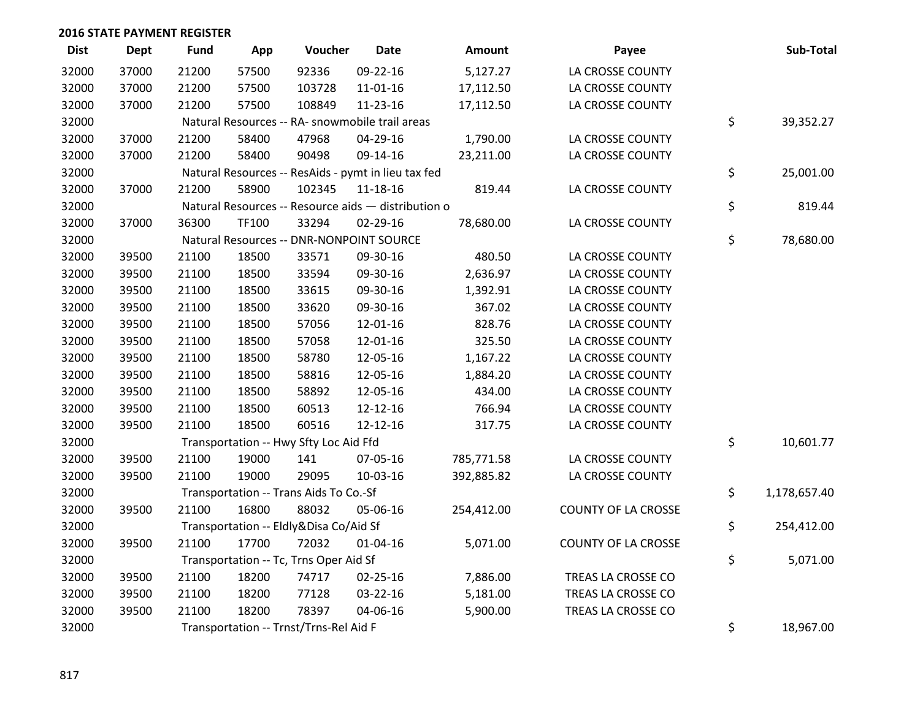| <b>Dist</b> | <b>Dept</b> | <b>Fund</b> | App   | Voucher                                             | <b>Date</b>    | Amount     | Payee                      | Sub-Total          |
|-------------|-------------|-------------|-------|-----------------------------------------------------|----------------|------------|----------------------------|--------------------|
| 32000       | 37000       | 21200       | 57500 | 92336                                               | 09-22-16       | 5,127.27   | LA CROSSE COUNTY           |                    |
| 32000       | 37000       | 21200       | 57500 | 103728                                              | $11 - 01 - 16$ | 17,112.50  | LA CROSSE COUNTY           |                    |
| 32000       | 37000       | 21200       | 57500 | 108849                                              | 11-23-16       | 17,112.50  | LA CROSSE COUNTY           |                    |
| 32000       |             |             |       | Natural Resources -- RA- snowmobile trail areas     |                |            |                            | \$<br>39,352.27    |
| 32000       | 37000       | 21200       | 58400 | 47968                                               | 04-29-16       | 1,790.00   | LA CROSSE COUNTY           |                    |
| 32000       | 37000       | 21200       | 58400 | 90498                                               | 09-14-16       | 23,211.00  | LA CROSSE COUNTY           |                    |
| 32000       |             |             |       | Natural Resources -- ResAids - pymt in lieu tax fed |                |            |                            | \$<br>25,001.00    |
| 32000       | 37000       | 21200       | 58900 | 102345                                              | 11-18-16       | 819.44     | LA CROSSE COUNTY           |                    |
| 32000       |             |             |       | Natural Resources -- Resource aids - distribution o |                |            |                            | \$<br>819.44       |
| 32000       | 37000       | 36300       | TF100 | 33294                                               | 02-29-16       | 78,680.00  | LA CROSSE COUNTY           |                    |
| 32000       |             |             |       | Natural Resources -- DNR-NONPOINT SOURCE            |                |            |                            | \$<br>78,680.00    |
| 32000       | 39500       | 21100       | 18500 | 33571                                               | 09-30-16       | 480.50     | LA CROSSE COUNTY           |                    |
| 32000       | 39500       | 21100       | 18500 | 33594                                               | 09-30-16       | 2,636.97   | LA CROSSE COUNTY           |                    |
| 32000       | 39500       | 21100       | 18500 | 33615                                               | 09-30-16       | 1,392.91   | LA CROSSE COUNTY           |                    |
| 32000       | 39500       | 21100       | 18500 | 33620                                               | 09-30-16       | 367.02     | LA CROSSE COUNTY           |                    |
| 32000       | 39500       | 21100       | 18500 | 57056                                               | 12-01-16       | 828.76     | LA CROSSE COUNTY           |                    |
| 32000       | 39500       | 21100       | 18500 | 57058                                               | 12-01-16       | 325.50     | LA CROSSE COUNTY           |                    |
| 32000       | 39500       | 21100       | 18500 | 58780                                               | 12-05-16       | 1,167.22   | LA CROSSE COUNTY           |                    |
| 32000       | 39500       | 21100       | 18500 | 58816                                               | 12-05-16       | 1,884.20   | LA CROSSE COUNTY           |                    |
| 32000       | 39500       | 21100       | 18500 | 58892                                               | 12-05-16       | 434.00     | LA CROSSE COUNTY           |                    |
| 32000       | 39500       | 21100       | 18500 | 60513                                               | 12-12-16       | 766.94     | LA CROSSE COUNTY           |                    |
| 32000       | 39500       | 21100       | 18500 | 60516                                               | $12 - 12 - 16$ | 317.75     | LA CROSSE COUNTY           |                    |
| 32000       |             |             |       | Transportation -- Hwy Sfty Loc Aid Ffd              |                |            |                            | \$<br>10,601.77    |
| 32000       | 39500       | 21100       | 19000 | 141                                                 | 07-05-16       | 785,771.58 | LA CROSSE COUNTY           |                    |
| 32000       | 39500       | 21100       | 19000 | 29095                                               | 10-03-16       | 392,885.82 | LA CROSSE COUNTY           |                    |
| 32000       |             |             |       | Transportation -- Trans Aids To Co.-Sf              |                |            |                            | \$<br>1,178,657.40 |
| 32000       | 39500       | 21100       | 16800 | 88032                                               | 05-06-16       | 254,412.00 | <b>COUNTY OF LA CROSSE</b> |                    |
| 32000       |             |             |       | Transportation -- Eldly&Disa Co/Aid Sf              |                |            |                            | \$<br>254,412.00   |
| 32000       | 39500       | 21100       | 17700 | 72032                                               | $01 - 04 - 16$ | 5,071.00   | <b>COUNTY OF LA CROSSE</b> |                    |
| 32000       |             |             |       | Transportation -- Tc, Trns Oper Aid Sf              |                |            |                            | \$<br>5,071.00     |
| 32000       | 39500       | 21100       | 18200 | 74717                                               | 02-25-16       | 7,886.00   | TREAS LA CROSSE CO         |                    |
| 32000       | 39500       | 21100       | 18200 | 77128                                               | 03-22-16       | 5,181.00   | TREAS LA CROSSE CO         |                    |
| 32000       | 39500       | 21100       | 18200 | 78397                                               | 04-06-16       | 5,900.00   | TREAS LA CROSSE CO         |                    |
| 32000       |             |             |       | Transportation -- Trnst/Trns-Rel Aid F              |                |            |                            | \$<br>18,967.00    |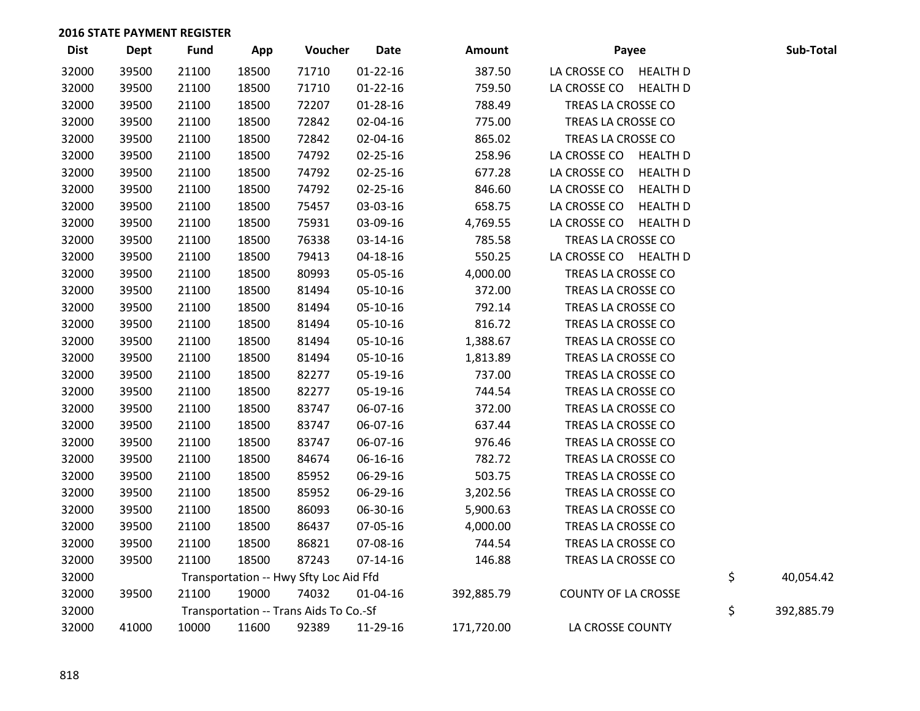| <b>Dist</b> | <b>Dept</b> | <b>Fund</b> | App   | Voucher                                | <b>Date</b>    | Amount     | Payee                      |                 | Sub-Total        |
|-------------|-------------|-------------|-------|----------------------------------------|----------------|------------|----------------------------|-----------------|------------------|
| 32000       | 39500       | 21100       | 18500 | 71710                                  | $01 - 22 - 16$ | 387.50     | LA CROSSE CO HEALTH D      |                 |                  |
| 32000       | 39500       | 21100       | 18500 | 71710                                  | $01 - 22 - 16$ | 759.50     | LA CROSSE CO               | <b>HEALTH D</b> |                  |
| 32000       | 39500       | 21100       | 18500 | 72207                                  | $01 - 28 - 16$ | 788.49     | TREAS LA CROSSE CO         |                 |                  |
| 32000       | 39500       | 21100       | 18500 | 72842                                  | 02-04-16       | 775.00     | TREAS LA CROSSE CO         |                 |                  |
| 32000       | 39500       | 21100       | 18500 | 72842                                  | 02-04-16       | 865.02     | TREAS LA CROSSE CO         |                 |                  |
| 32000       | 39500       | 21100       | 18500 | 74792                                  | 02-25-16       | 258.96     | LA CROSSE CO               | <b>HEALTH D</b> |                  |
| 32000       | 39500       | 21100       | 18500 | 74792                                  | 02-25-16       | 677.28     | LA CROSSE CO               | <b>HEALTH D</b> |                  |
| 32000       | 39500       | 21100       | 18500 | 74792                                  | 02-25-16       | 846.60     | LA CROSSE CO               | <b>HEALTH D</b> |                  |
| 32000       | 39500       | 21100       | 18500 | 75457                                  | 03-03-16       | 658.75     | LA CROSSE CO               | <b>HEALTH D</b> |                  |
| 32000       | 39500       | 21100       | 18500 | 75931                                  | 03-09-16       | 4,769.55   | LA CROSSE CO               | <b>HEALTH D</b> |                  |
| 32000       | 39500       | 21100       | 18500 | 76338                                  | 03-14-16       | 785.58     | TREAS LA CROSSE CO         |                 |                  |
| 32000       | 39500       | 21100       | 18500 | 79413                                  | 04-18-16       | 550.25     | LA CROSSE CO HEALTH D      |                 |                  |
| 32000       | 39500       | 21100       | 18500 | 80993                                  | 05-05-16       | 4,000.00   | TREAS LA CROSSE CO         |                 |                  |
| 32000       | 39500       | 21100       | 18500 | 81494                                  | 05-10-16       | 372.00     | TREAS LA CROSSE CO         |                 |                  |
| 32000       | 39500       | 21100       | 18500 | 81494                                  | 05-10-16       | 792.14     | TREAS LA CROSSE CO         |                 |                  |
| 32000       | 39500       | 21100       | 18500 | 81494                                  | 05-10-16       | 816.72     | TREAS LA CROSSE CO         |                 |                  |
| 32000       | 39500       | 21100       | 18500 | 81494                                  | 05-10-16       | 1,388.67   | TREAS LA CROSSE CO         |                 |                  |
| 32000       | 39500       | 21100       | 18500 | 81494                                  | 05-10-16       | 1,813.89   | TREAS LA CROSSE CO         |                 |                  |
| 32000       | 39500       | 21100       | 18500 | 82277                                  | 05-19-16       | 737.00     | TREAS LA CROSSE CO         |                 |                  |
| 32000       | 39500       | 21100       | 18500 | 82277                                  | 05-19-16       | 744.54     | TREAS LA CROSSE CO         |                 |                  |
| 32000       | 39500       | 21100       | 18500 | 83747                                  | 06-07-16       | 372.00     | TREAS LA CROSSE CO         |                 |                  |
| 32000       | 39500       | 21100       | 18500 | 83747                                  | 06-07-16       | 637.44     | TREAS LA CROSSE CO         |                 |                  |
| 32000       | 39500       | 21100       | 18500 | 83747                                  | 06-07-16       | 976.46     | TREAS LA CROSSE CO         |                 |                  |
| 32000       | 39500       | 21100       | 18500 | 84674                                  | 06-16-16       | 782.72     | TREAS LA CROSSE CO         |                 |                  |
| 32000       | 39500       | 21100       | 18500 | 85952                                  | 06-29-16       | 503.75     | TREAS LA CROSSE CO         |                 |                  |
| 32000       | 39500       | 21100       | 18500 | 85952                                  | 06-29-16       | 3,202.56   | TREAS LA CROSSE CO         |                 |                  |
| 32000       | 39500       | 21100       | 18500 | 86093                                  | 06-30-16       | 5,900.63   | TREAS LA CROSSE CO         |                 |                  |
| 32000       | 39500       | 21100       | 18500 | 86437                                  | 07-05-16       | 4,000.00   | TREAS LA CROSSE CO         |                 |                  |
| 32000       | 39500       | 21100       | 18500 | 86821                                  | 07-08-16       | 744.54     | TREAS LA CROSSE CO         |                 |                  |
| 32000       | 39500       | 21100       | 18500 | 87243                                  | $07-14-16$     | 146.88     | TREAS LA CROSSE CO         |                 |                  |
| 32000       |             |             |       | Transportation -- Hwy Sfty Loc Aid Ffd |                |            |                            |                 | \$<br>40,054.42  |
| 32000       | 39500       | 21100       | 19000 | 74032                                  | 01-04-16       | 392,885.79 | <b>COUNTY OF LA CROSSE</b> |                 |                  |
| 32000       |             |             |       | Transportation -- Trans Aids To Co.-Sf |                |            |                            |                 | \$<br>392,885.79 |
| 32000       | 41000       | 10000       | 11600 | 92389                                  | 11-29-16       | 171,720.00 | LA CROSSE COUNTY           |                 |                  |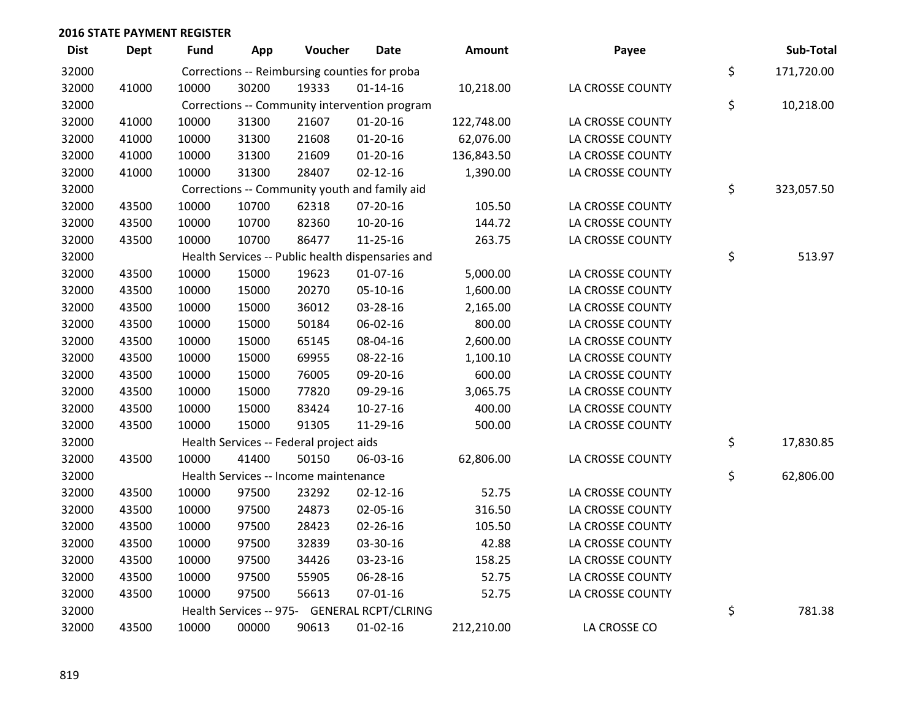| <b>Dist</b> | <b>Dept</b> | <b>Fund</b> | App   | Voucher                                           | <b>Date</b>    | Amount     | Payee            | Sub-Total        |
|-------------|-------------|-------------|-------|---------------------------------------------------|----------------|------------|------------------|------------------|
| 32000       |             |             |       | Corrections -- Reimbursing counties for proba     |                |            |                  | \$<br>171,720.00 |
| 32000       | 41000       | 10000       | 30200 | 19333                                             | $01 - 14 - 16$ | 10,218.00  | LA CROSSE COUNTY |                  |
| 32000       |             |             |       | Corrections -- Community intervention program     |                |            |                  | \$<br>10,218.00  |
| 32000       | 41000       | 10000       | 31300 | 21607                                             | $01-20-16$     | 122,748.00 | LA CROSSE COUNTY |                  |
| 32000       | 41000       | 10000       | 31300 | 21608                                             | $01 - 20 - 16$ | 62,076.00  | LA CROSSE COUNTY |                  |
| 32000       | 41000       | 10000       | 31300 | 21609                                             | $01 - 20 - 16$ | 136,843.50 | LA CROSSE COUNTY |                  |
| 32000       | 41000       | 10000       | 31300 | 28407                                             | $02 - 12 - 16$ | 1,390.00   | LA CROSSE COUNTY |                  |
| 32000       |             |             |       | Corrections -- Community youth and family aid     |                |            |                  | \$<br>323,057.50 |
| 32000       | 43500       | 10000       | 10700 | 62318                                             | 07-20-16       | 105.50     | LA CROSSE COUNTY |                  |
| 32000       | 43500       | 10000       | 10700 | 82360                                             | 10-20-16       | 144.72     | LA CROSSE COUNTY |                  |
| 32000       | 43500       | 10000       | 10700 | 86477                                             | 11-25-16       | 263.75     | LA CROSSE COUNTY |                  |
| 32000       |             |             |       | Health Services -- Public health dispensaries and |                |            |                  | \$<br>513.97     |
| 32000       | 43500       | 10000       | 15000 | 19623                                             | 01-07-16       | 5,000.00   | LA CROSSE COUNTY |                  |
| 32000       | 43500       | 10000       | 15000 | 20270                                             | 05-10-16       | 1,600.00   | LA CROSSE COUNTY |                  |
| 32000       | 43500       | 10000       | 15000 | 36012                                             | 03-28-16       | 2,165.00   | LA CROSSE COUNTY |                  |
| 32000       | 43500       | 10000       | 15000 | 50184                                             | 06-02-16       | 800.00     | LA CROSSE COUNTY |                  |
| 32000       | 43500       | 10000       | 15000 | 65145                                             | 08-04-16       | 2,600.00   | LA CROSSE COUNTY |                  |
| 32000       | 43500       | 10000       | 15000 | 69955                                             | 08-22-16       | 1,100.10   | LA CROSSE COUNTY |                  |
| 32000       | 43500       | 10000       | 15000 | 76005                                             | 09-20-16       | 600.00     | LA CROSSE COUNTY |                  |
| 32000       | 43500       | 10000       | 15000 | 77820                                             | 09-29-16       | 3,065.75   | LA CROSSE COUNTY |                  |
| 32000       | 43500       | 10000       | 15000 | 83424                                             | $10-27-16$     | 400.00     | LA CROSSE COUNTY |                  |
| 32000       | 43500       | 10000       | 15000 | 91305                                             | 11-29-16       | 500.00     | LA CROSSE COUNTY |                  |
| 32000       |             |             |       | Health Services -- Federal project aids           |                |            |                  | \$<br>17,830.85  |
| 32000       | 43500       | 10000       | 41400 | 50150                                             | 06-03-16       | 62,806.00  | LA CROSSE COUNTY |                  |
| 32000       |             |             |       | Health Services -- Income maintenance             |                |            |                  | \$<br>62,806.00  |
| 32000       | 43500       | 10000       | 97500 | 23292                                             | $02 - 12 - 16$ | 52.75      | LA CROSSE COUNTY |                  |
| 32000       | 43500       | 10000       | 97500 | 24873                                             | 02-05-16       | 316.50     | LA CROSSE COUNTY |                  |
| 32000       | 43500       | 10000       | 97500 | 28423                                             | 02-26-16       | 105.50     | LA CROSSE COUNTY |                  |
| 32000       | 43500       | 10000       | 97500 | 32839                                             | 03-30-16       | 42.88      | LA CROSSE COUNTY |                  |
| 32000       | 43500       | 10000       | 97500 | 34426                                             | 03-23-16       | 158.25     | LA CROSSE COUNTY |                  |
| 32000       | 43500       | 10000       | 97500 | 55905                                             | 06-28-16       | 52.75      | LA CROSSE COUNTY |                  |
| 32000       | 43500       | 10000       | 97500 | 56613                                             | 07-01-16       | 52.75      | LA CROSSE COUNTY |                  |
| 32000       |             |             |       | Health Services -- 975- GENERAL RCPT/CLRING       |                |            |                  | \$<br>781.38     |
| 32000       | 43500       | 10000       | 00000 | 90613                                             | $01 - 02 - 16$ | 212,210.00 | LA CROSSE CO     |                  |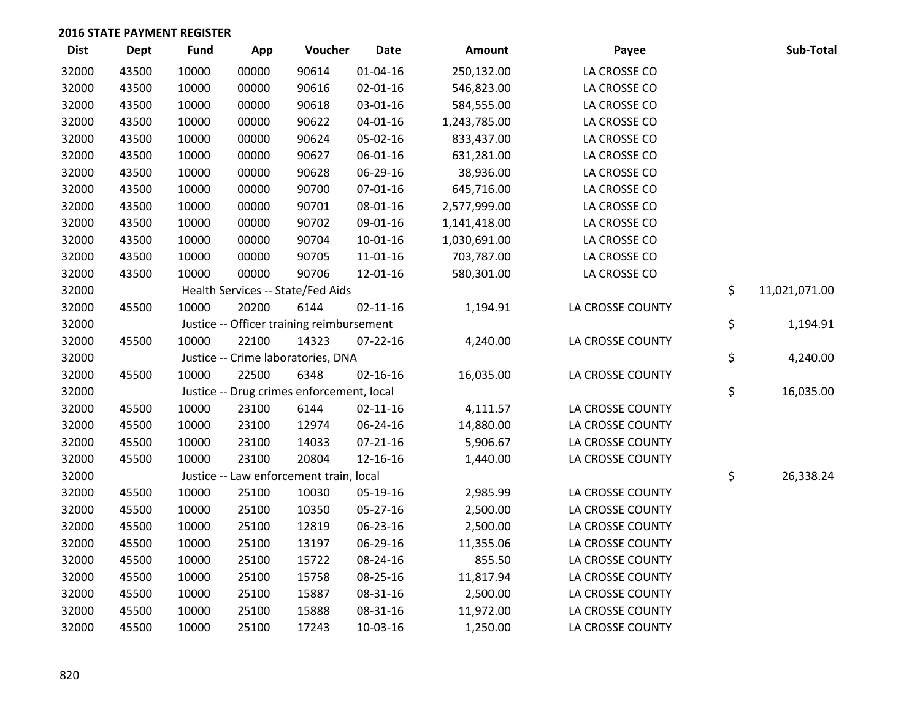| <b>Dist</b> | <b>Dept</b> | <b>Fund</b> | App   | Voucher                                   | <b>Date</b>    | Amount       | Payee            | Sub-Total           |
|-------------|-------------|-------------|-------|-------------------------------------------|----------------|--------------|------------------|---------------------|
| 32000       | 43500       | 10000       | 00000 | 90614                                     | $01 - 04 - 16$ | 250,132.00   | LA CROSSE CO     |                     |
| 32000       | 43500       | 10000       | 00000 | 90616                                     | 02-01-16       | 546,823.00   | LA CROSSE CO     |                     |
| 32000       | 43500       | 10000       | 00000 | 90618                                     | 03-01-16       | 584,555.00   | LA CROSSE CO     |                     |
| 32000       | 43500       | 10000       | 00000 | 90622                                     | $04 - 01 - 16$ | 1,243,785.00 | LA CROSSE CO     |                     |
| 32000       | 43500       | 10000       | 00000 | 90624                                     | 05-02-16       | 833,437.00   | LA CROSSE CO     |                     |
| 32000       | 43500       | 10000       | 00000 | 90627                                     | 06-01-16       | 631,281.00   | LA CROSSE CO     |                     |
| 32000       | 43500       | 10000       | 00000 | 90628                                     | 06-29-16       | 38,936.00    | LA CROSSE CO     |                     |
| 32000       | 43500       | 10000       | 00000 | 90700                                     | $07 - 01 - 16$ | 645,716.00   | LA CROSSE CO     |                     |
| 32000       | 43500       | 10000       | 00000 | 90701                                     | 08-01-16       | 2,577,999.00 | LA CROSSE CO     |                     |
| 32000       | 43500       | 10000       | 00000 | 90702                                     | 09-01-16       | 1,141,418.00 | LA CROSSE CO     |                     |
| 32000       | 43500       | 10000       | 00000 | 90704                                     | $10-01-16$     | 1,030,691.00 | LA CROSSE CO     |                     |
| 32000       | 43500       | 10000       | 00000 | 90705                                     | 11-01-16       | 703,787.00   | LA CROSSE CO     |                     |
| 32000       | 43500       | 10000       | 00000 | 90706                                     | 12-01-16       | 580,301.00   | LA CROSSE CO     |                     |
| 32000       |             |             |       | Health Services -- State/Fed Aids         |                |              |                  | \$<br>11,021,071.00 |
| 32000       | 45500       | 10000       | 20200 | 6144                                      | $02 - 11 - 16$ | 1,194.91     | LA CROSSE COUNTY |                     |
| 32000       |             |             |       | Justice -- Officer training reimbursement |                |              |                  | \$<br>1,194.91      |
| 32000       | 45500       | 10000       | 22100 | 14323                                     | $07 - 22 - 16$ | 4,240.00     | LA CROSSE COUNTY |                     |
| 32000       |             |             |       | Justice -- Crime laboratories, DNA        |                |              |                  | \$<br>4,240.00      |
| 32000       | 45500       | 10000       | 22500 | 6348                                      | $02 - 16 - 16$ | 16,035.00    | LA CROSSE COUNTY |                     |
| 32000       |             |             |       | Justice -- Drug crimes enforcement, local |                |              |                  | \$<br>16,035.00     |
| 32000       | 45500       | 10000       | 23100 | 6144                                      | $02 - 11 - 16$ | 4,111.57     | LA CROSSE COUNTY |                     |
| 32000       | 45500       | 10000       | 23100 | 12974                                     | 06-24-16       | 14,880.00    | LA CROSSE COUNTY |                     |
| 32000       | 45500       | 10000       | 23100 | 14033                                     | $07 - 21 - 16$ | 5,906.67     | LA CROSSE COUNTY |                     |
| 32000       | 45500       | 10000       | 23100 | 20804                                     | 12-16-16       | 1,440.00     | LA CROSSE COUNTY |                     |
| 32000       |             |             |       | Justice -- Law enforcement train, local   |                |              |                  | \$<br>26,338.24     |
| 32000       | 45500       | 10000       | 25100 | 10030                                     | 05-19-16       | 2,985.99     | LA CROSSE COUNTY |                     |
| 32000       | 45500       | 10000       | 25100 | 10350                                     | 05-27-16       | 2,500.00     | LA CROSSE COUNTY |                     |
| 32000       | 45500       | 10000       | 25100 | 12819                                     | 06-23-16       | 2,500.00     | LA CROSSE COUNTY |                     |
| 32000       | 45500       | 10000       | 25100 | 13197                                     | 06-29-16       | 11,355.06    | LA CROSSE COUNTY |                     |
| 32000       | 45500       | 10000       | 25100 | 15722                                     | 08-24-16       | 855.50       | LA CROSSE COUNTY |                     |
| 32000       | 45500       | 10000       | 25100 | 15758                                     | 08-25-16       | 11,817.94    | LA CROSSE COUNTY |                     |
| 32000       | 45500       | 10000       | 25100 | 15887                                     | 08-31-16       | 2,500.00     | LA CROSSE COUNTY |                     |
| 32000       | 45500       | 10000       | 25100 | 15888                                     | 08-31-16       | 11,972.00    | LA CROSSE COUNTY |                     |
| 32000       | 45500       | 10000       | 25100 | 17243                                     | 10-03-16       | 1,250.00     | LA CROSSE COUNTY |                     |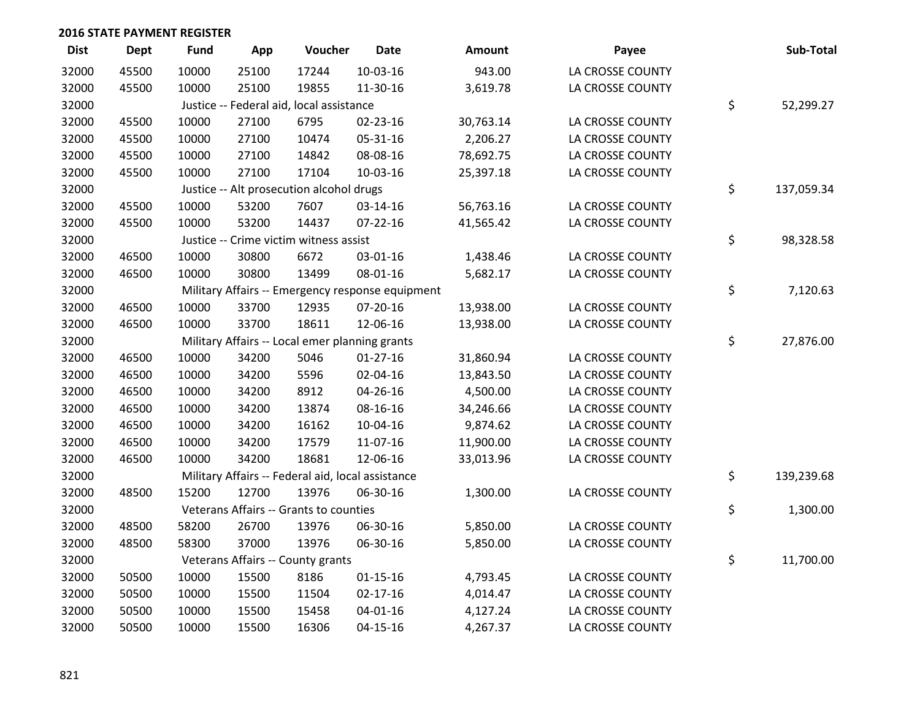| <b>Dist</b> | <b>Dept</b> | <b>Fund</b> | App   | Voucher                                           | <b>Date</b>                                      | Amount    | Payee            | Sub-Total        |
|-------------|-------------|-------------|-------|---------------------------------------------------|--------------------------------------------------|-----------|------------------|------------------|
| 32000       | 45500       | 10000       | 25100 | 17244                                             | 10-03-16                                         | 943.00    | LA CROSSE COUNTY |                  |
| 32000       | 45500       | 10000       | 25100 | 19855                                             | 11-30-16                                         | 3,619.78  | LA CROSSE COUNTY |                  |
| 32000       |             |             |       | Justice -- Federal aid, local assistance          |                                                  |           |                  | \$<br>52,299.27  |
| 32000       | 45500       | 10000       | 27100 | 6795                                              | $02 - 23 - 16$                                   | 30,763.14 | LA CROSSE COUNTY |                  |
| 32000       | 45500       | 10000       | 27100 | 10474                                             | 05-31-16                                         | 2,206.27  | LA CROSSE COUNTY |                  |
| 32000       | 45500       | 10000       | 27100 | 14842                                             | 08-08-16                                         | 78,692.75 | LA CROSSE COUNTY |                  |
| 32000       | 45500       | 10000       | 27100 | 17104                                             | 10-03-16                                         | 25,397.18 | LA CROSSE COUNTY |                  |
| 32000       |             |             |       | Justice -- Alt prosecution alcohol drugs          |                                                  |           |                  | \$<br>137,059.34 |
| 32000       | 45500       | 10000       | 53200 | 7607                                              | 03-14-16                                         | 56,763.16 | LA CROSSE COUNTY |                  |
| 32000       | 45500       | 10000       | 53200 | 14437                                             | $07 - 22 - 16$                                   | 41,565.42 | LA CROSSE COUNTY |                  |
| 32000       |             |             |       | Justice -- Crime victim witness assist            |                                                  |           |                  | \$<br>98,328.58  |
| 32000       | 46500       | 10000       | 30800 | 6672                                              | 03-01-16                                         | 1,438.46  | LA CROSSE COUNTY |                  |
| 32000       | 46500       | 10000       | 30800 | 13499                                             | 08-01-16                                         | 5,682.17  | LA CROSSE COUNTY |                  |
| 32000       |             |             |       |                                                   | Military Affairs -- Emergency response equipment |           |                  | \$<br>7,120.63   |
| 32000       | 46500       | 10000       | 33700 | 12935                                             | $07 - 20 - 16$                                   | 13,938.00 | LA CROSSE COUNTY |                  |
| 32000       | 46500       | 10000       | 33700 | 18611                                             | 12-06-16                                         | 13,938.00 | LA CROSSE COUNTY |                  |
| 32000       |             |             |       | Military Affairs -- Local emer planning grants    |                                                  |           |                  | \$<br>27,876.00  |
| 32000       | 46500       | 10000       | 34200 | 5046                                              | $01-27-16$                                       | 31,860.94 | LA CROSSE COUNTY |                  |
| 32000       | 46500       | 10000       | 34200 | 5596                                              | 02-04-16                                         | 13,843.50 | LA CROSSE COUNTY |                  |
| 32000       | 46500       | 10000       | 34200 | 8912                                              | 04-26-16                                         | 4,500.00  | LA CROSSE COUNTY |                  |
| 32000       | 46500       | 10000       | 34200 | 13874                                             | 08-16-16                                         | 34,246.66 | LA CROSSE COUNTY |                  |
| 32000       | 46500       | 10000       | 34200 | 16162                                             | 10-04-16                                         | 9,874.62  | LA CROSSE COUNTY |                  |
| 32000       | 46500       | 10000       | 34200 | 17579                                             | 11-07-16                                         | 11,900.00 | LA CROSSE COUNTY |                  |
| 32000       | 46500       | 10000       | 34200 | 18681                                             | 12-06-16                                         | 33,013.96 | LA CROSSE COUNTY |                  |
| 32000       |             |             |       | Military Affairs -- Federal aid, local assistance |                                                  |           |                  | \$<br>139,239.68 |
| 32000       | 48500       | 15200       | 12700 | 13976                                             | 06-30-16                                         | 1,300.00  | LA CROSSE COUNTY |                  |
| 32000       |             |             |       | Veterans Affairs -- Grants to counties            |                                                  |           |                  | \$<br>1,300.00   |
| 32000       | 48500       | 58200       | 26700 | 13976                                             | 06-30-16                                         | 5,850.00  | LA CROSSE COUNTY |                  |
| 32000       | 48500       | 58300       | 37000 | 13976                                             | 06-30-16                                         | 5,850.00  | LA CROSSE COUNTY |                  |
| 32000       |             |             |       | Veterans Affairs -- County grants                 |                                                  |           |                  | \$<br>11,700.00  |
| 32000       | 50500       | 10000       | 15500 | 8186                                              | $01 - 15 - 16$                                   | 4,793.45  | LA CROSSE COUNTY |                  |
| 32000       | 50500       | 10000       | 15500 | 11504                                             | $02 - 17 - 16$                                   | 4,014.47  | LA CROSSE COUNTY |                  |
| 32000       | 50500       | 10000       | 15500 | 15458                                             | $04 - 01 - 16$                                   | 4,127.24  | LA CROSSE COUNTY |                  |
| 32000       | 50500       | 10000       | 15500 | 16306                                             | 04-15-16                                         | 4,267.37  | LA CROSSE COUNTY |                  |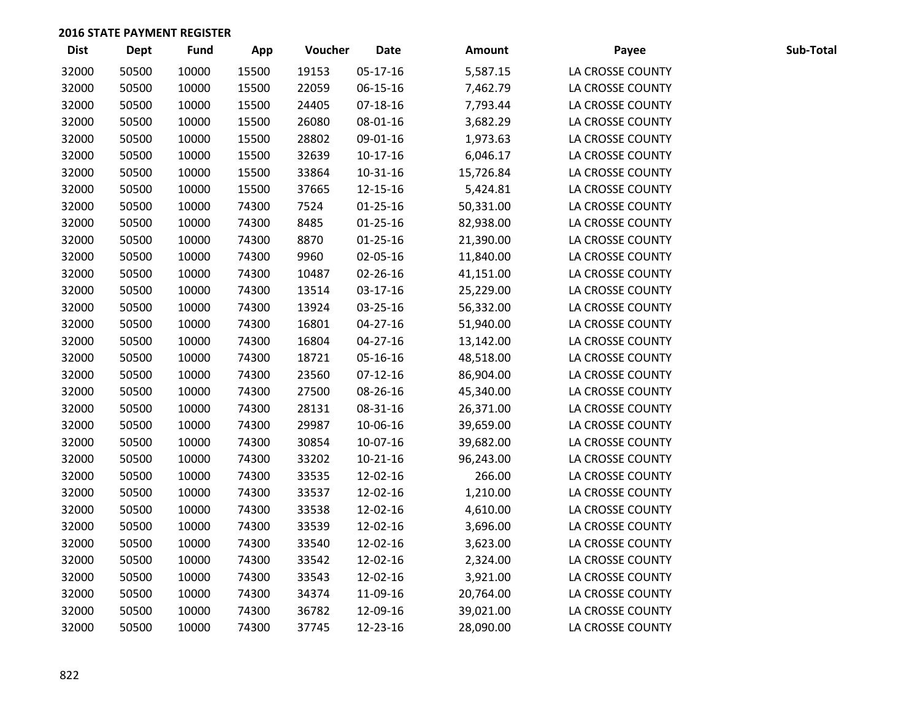| <b>Dist</b> | <b>Dept</b> | Fund  | App   | Voucher | <b>Date</b>    | <b>Amount</b> | Payee            | Sub-Total |
|-------------|-------------|-------|-------|---------|----------------|---------------|------------------|-----------|
| 32000       | 50500       | 10000 | 15500 | 19153   | 05-17-16       | 5,587.15      | LA CROSSE COUNTY |           |
| 32000       | 50500       | 10000 | 15500 | 22059   | 06-15-16       | 7,462.79      | LA CROSSE COUNTY |           |
| 32000       | 50500       | 10000 | 15500 | 24405   | 07-18-16       | 7,793.44      | LA CROSSE COUNTY |           |
| 32000       | 50500       | 10000 | 15500 | 26080   | 08-01-16       | 3,682.29      | LA CROSSE COUNTY |           |
| 32000       | 50500       | 10000 | 15500 | 28802   | 09-01-16       | 1,973.63      | LA CROSSE COUNTY |           |
| 32000       | 50500       | 10000 | 15500 | 32639   | $10-17-16$     | 6,046.17      | LA CROSSE COUNTY |           |
| 32000       | 50500       | 10000 | 15500 | 33864   | $10-31-16$     | 15,726.84     | LA CROSSE COUNTY |           |
| 32000       | 50500       | 10000 | 15500 | 37665   | 12-15-16       | 5,424.81      | LA CROSSE COUNTY |           |
| 32000       | 50500       | 10000 | 74300 | 7524    | $01 - 25 - 16$ | 50,331.00     | LA CROSSE COUNTY |           |
| 32000       | 50500       | 10000 | 74300 | 8485    | $01 - 25 - 16$ | 82,938.00     | LA CROSSE COUNTY |           |
| 32000       | 50500       | 10000 | 74300 | 8870    | $01 - 25 - 16$ | 21,390.00     | LA CROSSE COUNTY |           |
| 32000       | 50500       | 10000 | 74300 | 9960    | 02-05-16       | 11,840.00     | LA CROSSE COUNTY |           |
| 32000       | 50500       | 10000 | 74300 | 10487   | 02-26-16       | 41,151.00     | LA CROSSE COUNTY |           |
| 32000       | 50500       | 10000 | 74300 | 13514   | 03-17-16       | 25,229.00     | LA CROSSE COUNTY |           |
| 32000       | 50500       | 10000 | 74300 | 13924   | 03-25-16       | 56,332.00     | LA CROSSE COUNTY |           |
| 32000       | 50500       | 10000 | 74300 | 16801   | $04 - 27 - 16$ | 51,940.00     | LA CROSSE COUNTY |           |
| 32000       | 50500       | 10000 | 74300 | 16804   | 04-27-16       | 13,142.00     | LA CROSSE COUNTY |           |
| 32000       | 50500       | 10000 | 74300 | 18721   | 05-16-16       | 48,518.00     | LA CROSSE COUNTY |           |
| 32000       | 50500       | 10000 | 74300 | 23560   | $07-12-16$     | 86,904.00     | LA CROSSE COUNTY |           |
| 32000       | 50500       | 10000 | 74300 | 27500   | 08-26-16       | 45,340.00     | LA CROSSE COUNTY |           |
| 32000       | 50500       | 10000 | 74300 | 28131   | 08-31-16       | 26,371.00     | LA CROSSE COUNTY |           |
| 32000       | 50500       | 10000 | 74300 | 29987   | 10-06-16       | 39,659.00     | LA CROSSE COUNTY |           |
| 32000       | 50500       | 10000 | 74300 | 30854   | 10-07-16       | 39,682.00     | LA CROSSE COUNTY |           |
| 32000       | 50500       | 10000 | 74300 | 33202   | $10 - 21 - 16$ | 96,243.00     | LA CROSSE COUNTY |           |
| 32000       | 50500       | 10000 | 74300 | 33535   | 12-02-16       | 266.00        | LA CROSSE COUNTY |           |
| 32000       | 50500       | 10000 | 74300 | 33537   | 12-02-16       | 1,210.00      | LA CROSSE COUNTY |           |
| 32000       | 50500       | 10000 | 74300 | 33538   | 12-02-16       | 4,610.00      | LA CROSSE COUNTY |           |
| 32000       | 50500       | 10000 | 74300 | 33539   | 12-02-16       | 3,696.00      | LA CROSSE COUNTY |           |
| 32000       | 50500       | 10000 | 74300 | 33540   | 12-02-16       | 3,623.00      | LA CROSSE COUNTY |           |
| 32000       | 50500       | 10000 | 74300 | 33542   | 12-02-16       | 2,324.00      | LA CROSSE COUNTY |           |
| 32000       | 50500       | 10000 | 74300 | 33543   | 12-02-16       | 3,921.00      | LA CROSSE COUNTY |           |
| 32000       | 50500       | 10000 | 74300 | 34374   | 11-09-16       | 20,764.00     | LA CROSSE COUNTY |           |
| 32000       | 50500       | 10000 | 74300 | 36782   | 12-09-16       | 39,021.00     | LA CROSSE COUNTY |           |
| 32000       | 50500       | 10000 | 74300 | 37745   | 12-23-16       | 28,090.00     | LA CROSSE COUNTY |           |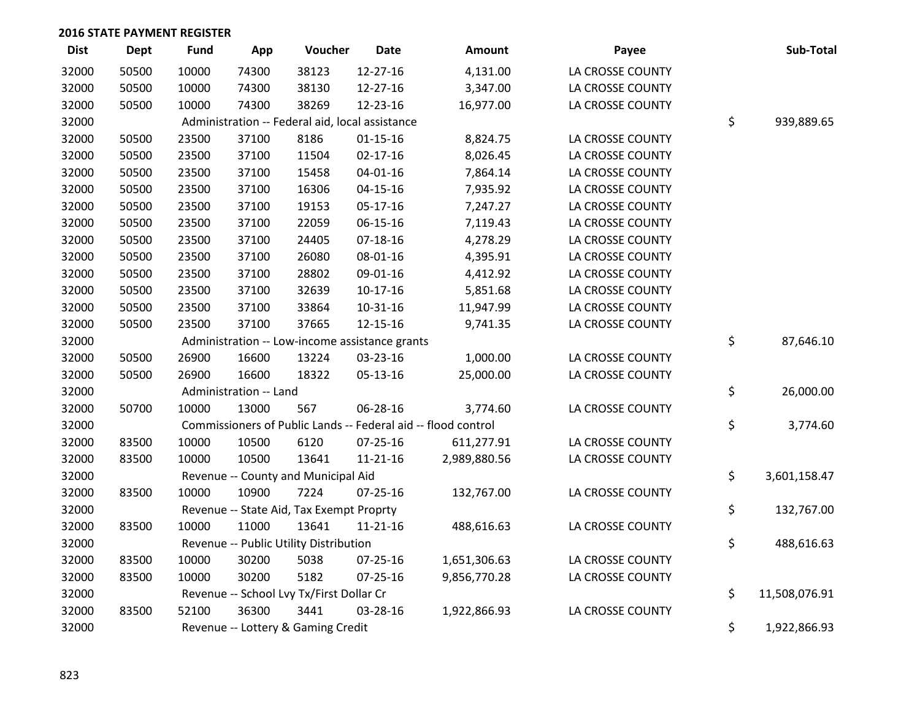| <b>Dist</b> | <b>Dept</b> | <b>Fund</b> | App                    | Voucher                                         | <b>Date</b>                                    | <b>Amount</b>                                                 | Payee            | Sub-Total           |
|-------------|-------------|-------------|------------------------|-------------------------------------------------|------------------------------------------------|---------------------------------------------------------------|------------------|---------------------|
| 32000       | 50500       | 10000       | 74300                  | 38123                                           | 12-27-16                                       | 4,131.00                                                      | LA CROSSE COUNTY |                     |
| 32000       | 50500       | 10000       | 74300                  | 38130                                           | 12-27-16                                       | 3,347.00                                                      | LA CROSSE COUNTY |                     |
| 32000       | 50500       | 10000       | 74300                  | 38269                                           | 12-23-16                                       | 16,977.00                                                     | LA CROSSE COUNTY |                     |
| 32000       |             |             |                        | Administration -- Federal aid, local assistance |                                                |                                                               |                  | \$<br>939,889.65    |
| 32000       | 50500       | 23500       | 37100                  | 8186                                            | $01 - 15 - 16$                                 | 8,824.75                                                      | LA CROSSE COUNTY |                     |
| 32000       | 50500       | 23500       | 37100                  | 11504                                           | $02 - 17 - 16$                                 | 8,026.45                                                      | LA CROSSE COUNTY |                     |
| 32000       | 50500       | 23500       | 37100                  | 15458                                           | $04 - 01 - 16$                                 | 7,864.14                                                      | LA CROSSE COUNTY |                     |
| 32000       | 50500       | 23500       | 37100                  | 16306                                           | $04 - 15 - 16$                                 | 7,935.92                                                      | LA CROSSE COUNTY |                     |
| 32000       | 50500       | 23500       | 37100                  | 19153                                           | 05-17-16                                       | 7,247.27                                                      | LA CROSSE COUNTY |                     |
| 32000       | 50500       | 23500       | 37100                  | 22059                                           | 06-15-16                                       | 7,119.43                                                      | LA CROSSE COUNTY |                     |
| 32000       | 50500       | 23500       | 37100                  | 24405                                           | $07-18-16$                                     | 4,278.29                                                      | LA CROSSE COUNTY |                     |
| 32000       | 50500       | 23500       | 37100                  | 26080                                           | 08-01-16                                       | 4,395.91                                                      | LA CROSSE COUNTY |                     |
| 32000       | 50500       | 23500       | 37100                  | 28802                                           | 09-01-16                                       | 4,412.92                                                      | LA CROSSE COUNTY |                     |
| 32000       | 50500       | 23500       | 37100                  | 32639                                           | $10-17-16$                                     | 5,851.68                                                      | LA CROSSE COUNTY |                     |
| 32000       | 50500       | 23500       | 37100                  | 33864                                           | 10-31-16                                       | 11,947.99                                                     | LA CROSSE COUNTY |                     |
| 32000       | 50500       | 23500       | 37100                  | 37665                                           | 12-15-16                                       | 9,741.35                                                      | LA CROSSE COUNTY |                     |
| 32000       |             |             |                        |                                                 | Administration -- Low-income assistance grants |                                                               |                  | \$<br>87,646.10     |
| 32000       | 50500       | 26900       | 16600                  | 13224                                           | 03-23-16                                       | 1,000.00                                                      | LA CROSSE COUNTY |                     |
| 32000       | 50500       | 26900       | 16600                  | 18322                                           | 05-13-16                                       | 25,000.00                                                     | LA CROSSE COUNTY |                     |
| 32000       |             |             | Administration -- Land |                                                 |                                                |                                                               |                  | \$<br>26,000.00     |
| 32000       | 50700       | 10000       | 13000                  | 567                                             | 06-28-16                                       | 3,774.60                                                      | LA CROSSE COUNTY |                     |
| 32000       |             |             |                        |                                                 |                                                | Commissioners of Public Lands -- Federal aid -- flood control |                  | \$<br>3,774.60      |
| 32000       | 83500       | 10000       | 10500                  | 6120                                            | $07 - 25 - 16$                                 | 611,277.91                                                    | LA CROSSE COUNTY |                     |
| 32000       | 83500       | 10000       | 10500                  | 13641                                           | 11-21-16                                       | 2,989,880.56                                                  | LA CROSSE COUNTY |                     |
| 32000       |             |             |                        | Revenue -- County and Municipal Aid             |                                                |                                                               |                  | \$<br>3,601,158.47  |
| 32000       | 83500       | 10000       | 10900                  | 7224                                            | 07-25-16                                       | 132,767.00                                                    | LA CROSSE COUNTY |                     |
| 32000       |             |             |                        | Revenue -- State Aid, Tax Exempt Proprty        |                                                |                                                               |                  | \$<br>132,767.00    |
| 32000       | 83500       | 10000       | 11000                  | 13641                                           | 11-21-16                                       | 488,616.63                                                    | LA CROSSE COUNTY |                     |
| 32000       |             |             |                        | Revenue -- Public Utility Distribution          |                                                |                                                               |                  | \$<br>488,616.63    |
| 32000       | 83500       | 10000       | 30200                  | 5038                                            | 07-25-16                                       | 1,651,306.63                                                  | LA CROSSE COUNTY |                     |
| 32000       | 83500       | 10000       | 30200                  | 5182                                            | $07 - 25 - 16$                                 | 9,856,770.28                                                  | LA CROSSE COUNTY |                     |
| 32000       |             |             |                        | Revenue -- School Lvy Tx/First Dollar Cr        |                                                |                                                               |                  | \$<br>11,508,076.91 |
| 32000       | 83500       | 52100       | 36300                  | 3441                                            | 03-28-16                                       | 1,922,866.93                                                  | LA CROSSE COUNTY |                     |
| 32000       |             |             |                        | Revenue -- Lottery & Gaming Credit              |                                                |                                                               |                  | \$<br>1,922,866.93  |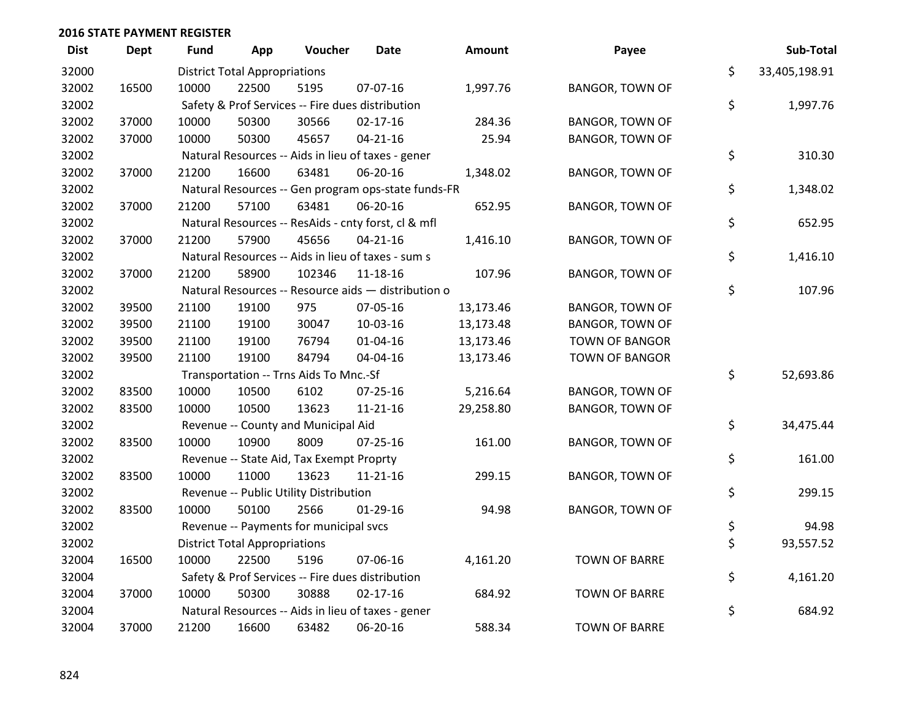| <b>Dist</b> | Dept  | <b>Fund</b> | App                                  | Voucher                                             | <b>Date</b>    | <b>Amount</b> | Payee                  | Sub-Total           |
|-------------|-------|-------------|--------------------------------------|-----------------------------------------------------|----------------|---------------|------------------------|---------------------|
| 32000       |       |             | <b>District Total Appropriations</b> |                                                     |                |               |                        | \$<br>33,405,198.91 |
| 32002       | 16500 | 10000       | 22500                                | 5195                                                | 07-07-16       | 1,997.76      | <b>BANGOR, TOWN OF</b> |                     |
| 32002       |       |             |                                      | Safety & Prof Services -- Fire dues distribution    |                |               |                        | \$<br>1,997.76      |
| 32002       | 37000 | 10000       | 50300                                | 30566                                               | $02 - 17 - 16$ | 284.36        | <b>BANGOR, TOWN OF</b> |                     |
| 32002       | 37000 | 10000       | 50300                                | 45657                                               | $04 - 21 - 16$ | 25.94         | <b>BANGOR, TOWN OF</b> |                     |
| 32002       |       |             |                                      | Natural Resources -- Aids in lieu of taxes - gener  |                |               |                        | \$<br>310.30        |
| 32002       | 37000 | 21200       | 16600                                | 63481                                               | 06-20-16       | 1,348.02      | <b>BANGOR, TOWN OF</b> |                     |
| 32002       |       |             |                                      | Natural Resources -- Gen program ops-state funds-FR |                |               |                        | \$<br>1,348.02      |
| 32002       | 37000 | 21200       | 57100                                | 63481                                               | 06-20-16       | 652.95        | <b>BANGOR, TOWN OF</b> |                     |
| 32002       |       |             |                                      | Natural Resources -- ResAids - cnty forst, cl & mfl |                |               |                        | \$<br>652.95        |
| 32002       | 37000 | 21200       | 57900                                | 45656                                               | $04 - 21 - 16$ | 1,416.10      | <b>BANGOR, TOWN OF</b> |                     |
| 32002       |       |             |                                      | Natural Resources -- Aids in lieu of taxes - sum s  |                |               |                        | \$<br>1,416.10      |
| 32002       | 37000 | 21200       | 58900                                | 102346                                              | 11-18-16       | 107.96        | <b>BANGOR, TOWN OF</b> |                     |
| 32002       |       |             |                                      | Natural Resources -- Resource aids - distribution o |                |               |                        | \$<br>107.96        |
| 32002       | 39500 | 21100       | 19100                                | 975                                                 | 07-05-16       | 13,173.46     | <b>BANGOR, TOWN OF</b> |                     |
| 32002       | 39500 | 21100       | 19100                                | 30047                                               | 10-03-16       | 13,173.48     | <b>BANGOR, TOWN OF</b> |                     |
| 32002       | 39500 | 21100       | 19100                                | 76794                                               | $01 - 04 - 16$ | 13,173.46     | <b>TOWN OF BANGOR</b>  |                     |
| 32002       | 39500 | 21100       | 19100                                | 84794                                               | 04-04-16       | 13,173.46     | <b>TOWN OF BANGOR</b>  |                     |
| 32002       |       |             |                                      | Transportation -- Trns Aids To Mnc.-Sf              |                |               |                        | \$<br>52,693.86     |
| 32002       | 83500 | 10000       | 10500                                | 6102                                                | 07-25-16       | 5,216.64      | <b>BANGOR, TOWN OF</b> |                     |
| 32002       | 83500 | 10000       | 10500                                | 13623                                               | $11 - 21 - 16$ | 29,258.80     | <b>BANGOR, TOWN OF</b> |                     |
| 32002       |       |             |                                      | Revenue -- County and Municipal Aid                 |                |               |                        | \$<br>34,475.44     |
| 32002       | 83500 | 10000       | 10900                                | 8009                                                | 07-25-16       | 161.00        | <b>BANGOR, TOWN OF</b> |                     |
| 32002       |       |             |                                      | Revenue -- State Aid, Tax Exempt Proprty            |                |               |                        | \$<br>161.00        |
| 32002       | 83500 | 10000       | 11000                                | 13623                                               | $11 - 21 - 16$ | 299.15        | <b>BANGOR, TOWN OF</b> |                     |
| 32002       |       |             |                                      | Revenue -- Public Utility Distribution              |                |               |                        | \$<br>299.15        |
| 32002       | 83500 | 10000       | 50100                                | 2566                                                | 01-29-16       | 94.98         | <b>BANGOR, TOWN OF</b> |                     |
| 32002       |       |             |                                      | Revenue -- Payments for municipal svcs              |                |               |                        | \$<br>94.98         |
| 32002       |       |             | <b>District Total Appropriations</b> |                                                     |                |               |                        | \$<br>93,557.52     |
| 32004       | 16500 | 10000       | 22500                                | 5196                                                | 07-06-16       | 4,161.20      | <b>TOWN OF BARRE</b>   |                     |
| 32004       |       |             |                                      | Safety & Prof Services -- Fire dues distribution    |                |               |                        | \$<br>4,161.20      |
| 32004       | 37000 | 10000       | 50300                                | 30888                                               | $02 - 17 - 16$ | 684.92        | <b>TOWN OF BARRE</b>   |                     |
| 32004       |       |             |                                      | Natural Resources -- Aids in lieu of taxes - gener  |                |               |                        | \$<br>684.92        |
| 32004       | 37000 | 21200       | 16600                                | 63482                                               | 06-20-16       | 588.34        | <b>TOWN OF BARRE</b>   |                     |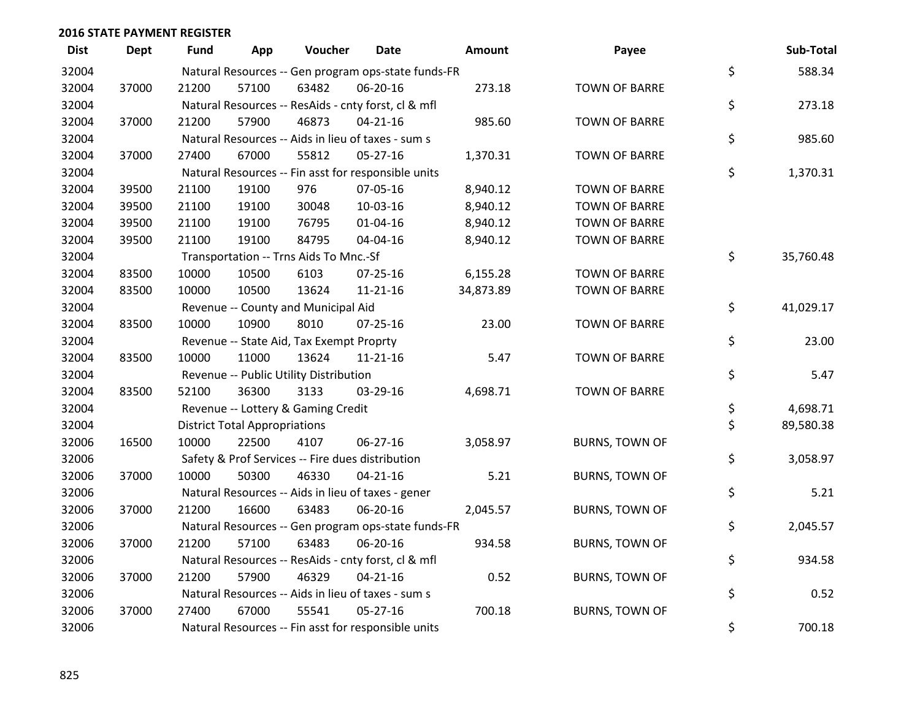| <b>Dist</b> | <b>Dept</b> | <b>Fund</b> | App                                  | Voucher                                             | <b>Date</b>    | Amount    | Payee                 | Sub-Total       |
|-------------|-------------|-------------|--------------------------------------|-----------------------------------------------------|----------------|-----------|-----------------------|-----------------|
| 32004       |             |             |                                      | Natural Resources -- Gen program ops-state funds-FR |                |           |                       | \$<br>588.34    |
| 32004       | 37000       | 21200       | 57100                                | 63482                                               | 06-20-16       | 273.18    | <b>TOWN OF BARRE</b>  |                 |
| 32004       |             |             |                                      | Natural Resources -- ResAids - cnty forst, cl & mfl |                |           |                       | \$<br>273.18    |
| 32004       | 37000       | 21200       | 57900                                | 46873                                               | $04 - 21 - 16$ | 985.60    | <b>TOWN OF BARRE</b>  |                 |
| 32004       |             |             |                                      | Natural Resources -- Aids in lieu of taxes - sum s  |                |           |                       | \$<br>985.60    |
| 32004       | 37000       | 27400       | 67000                                | 55812                                               | $05 - 27 - 16$ | 1,370.31  | <b>TOWN OF BARRE</b>  |                 |
| 32004       |             |             |                                      | Natural Resources -- Fin asst for responsible units |                |           |                       | \$<br>1,370.31  |
| 32004       | 39500       | 21100       | 19100                                | 976                                                 | 07-05-16       | 8,940.12  | <b>TOWN OF BARRE</b>  |                 |
| 32004       | 39500       | 21100       | 19100                                | 30048                                               | 10-03-16       | 8,940.12  | <b>TOWN OF BARRE</b>  |                 |
| 32004       | 39500       | 21100       | 19100                                | 76795                                               | $01 - 04 - 16$ | 8,940.12  | <b>TOWN OF BARRE</b>  |                 |
| 32004       | 39500       | 21100       | 19100                                | 84795                                               | 04-04-16       | 8,940.12  | <b>TOWN OF BARRE</b>  |                 |
| 32004       |             |             |                                      | Transportation -- Trns Aids To Mnc.-Sf              |                |           |                       | \$<br>35,760.48 |
| 32004       | 83500       | 10000       | 10500                                | 6103                                                | 07-25-16       | 6,155.28  | <b>TOWN OF BARRE</b>  |                 |
| 32004       | 83500       | 10000       | 10500                                | 13624                                               | $11 - 21 - 16$ | 34,873.89 | <b>TOWN OF BARRE</b>  |                 |
| 32004       |             |             |                                      | Revenue -- County and Municipal Aid                 |                |           |                       | \$<br>41,029.17 |
| 32004       | 83500       | 10000       | 10900                                | 8010                                                | $07 - 25 - 16$ | 23.00     | <b>TOWN OF BARRE</b>  |                 |
| 32004       |             |             |                                      | Revenue -- State Aid, Tax Exempt Proprty            |                |           |                       | \$<br>23.00     |
| 32004       | 83500       | 10000       | 11000                                | 13624                                               | $11 - 21 - 16$ | 5.47      | <b>TOWN OF BARRE</b>  |                 |
| 32004       |             |             |                                      | Revenue -- Public Utility Distribution              |                |           |                       | \$<br>5.47      |
| 32004       | 83500       | 52100       | 36300                                | 3133                                                | 03-29-16       | 4,698.71  | <b>TOWN OF BARRE</b>  |                 |
| 32004       |             |             |                                      | Revenue -- Lottery & Gaming Credit                  |                |           |                       | \$<br>4,698.71  |
| 32004       |             |             | <b>District Total Appropriations</b> |                                                     |                |           |                       | \$<br>89,580.38 |
| 32006       | 16500       | 10000       | 22500                                | 4107                                                | 06-27-16       | 3,058.97  | <b>BURNS, TOWN OF</b> |                 |
| 32006       |             |             |                                      | Safety & Prof Services -- Fire dues distribution    |                |           |                       | \$<br>3,058.97  |
| 32006       | 37000       | 10000       | 50300                                | 46330                                               | $04 - 21 - 16$ | 5.21      | <b>BURNS, TOWN OF</b> |                 |
| 32006       |             |             |                                      | Natural Resources -- Aids in lieu of taxes - gener  |                |           |                       | \$<br>5.21      |
| 32006       | 37000       | 21200       | 16600                                | 63483                                               | 06-20-16       | 2,045.57  | <b>BURNS, TOWN OF</b> |                 |
| 32006       |             |             |                                      | Natural Resources -- Gen program ops-state funds-FR |                |           |                       | \$<br>2,045.57  |
| 32006       | 37000       | 21200       | 57100                                | 63483                                               | 06-20-16       | 934.58    | <b>BURNS, TOWN OF</b> |                 |
| 32006       |             |             |                                      | Natural Resources -- ResAids - cnty forst, cl & mfl |                |           |                       | \$<br>934.58    |
| 32006       | 37000       | 21200       | 57900                                | 46329                                               | $04 - 21 - 16$ | 0.52      | <b>BURNS, TOWN OF</b> |                 |
| 32006       |             |             |                                      | Natural Resources -- Aids in lieu of taxes - sum s  |                |           |                       | \$<br>0.52      |
| 32006       | 37000       | 27400       | 67000                                | 55541                                               | $05 - 27 - 16$ | 700.18    | <b>BURNS, TOWN OF</b> |                 |
| 32006       |             |             |                                      | Natural Resources -- Fin asst for responsible units |                |           |                       | \$<br>700.18    |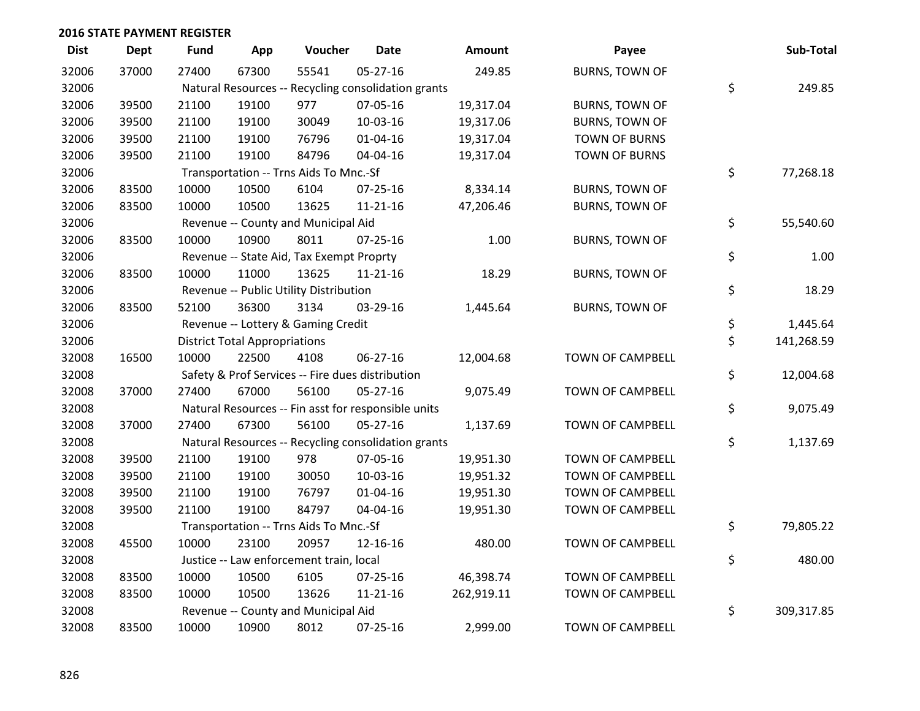| <b>Dist</b> | <b>Dept</b> | <b>Fund</b> | App                                  | Voucher                                             | Date           | <b>Amount</b> | Payee                   | Sub-Total        |
|-------------|-------------|-------------|--------------------------------------|-----------------------------------------------------|----------------|---------------|-------------------------|------------------|
| 32006       | 37000       | 27400       | 67300                                | 55541                                               | 05-27-16       | 249.85        | <b>BURNS, TOWN OF</b>   |                  |
| 32006       |             |             |                                      | Natural Resources -- Recycling consolidation grants |                |               |                         | \$<br>249.85     |
| 32006       | 39500       | 21100       | 19100                                | 977                                                 | 07-05-16       | 19,317.04     | <b>BURNS, TOWN OF</b>   |                  |
| 32006       | 39500       | 21100       | 19100                                | 30049                                               | 10-03-16       | 19,317.06     | <b>BURNS, TOWN OF</b>   |                  |
| 32006       | 39500       | 21100       | 19100                                | 76796                                               | $01 - 04 - 16$ | 19,317.04     | <b>TOWN OF BURNS</b>    |                  |
| 32006       | 39500       | 21100       | 19100                                | 84796                                               | 04-04-16       | 19,317.04     | <b>TOWN OF BURNS</b>    |                  |
| 32006       |             |             |                                      | Transportation -- Trns Aids To Mnc.-Sf              |                |               |                         | \$<br>77,268.18  |
| 32006       | 83500       | 10000       | 10500                                | 6104                                                | $07 - 25 - 16$ | 8,334.14      | <b>BURNS, TOWN OF</b>   |                  |
| 32006       | 83500       | 10000       | 10500                                | 13625                                               | $11 - 21 - 16$ | 47,206.46     | <b>BURNS, TOWN OF</b>   |                  |
| 32006       |             |             |                                      | Revenue -- County and Municipal Aid                 |                |               |                         | \$<br>55,540.60  |
| 32006       | 83500       | 10000       | 10900                                | 8011                                                | $07 - 25 - 16$ | 1.00          | <b>BURNS, TOWN OF</b>   |                  |
| 32006       |             |             |                                      | Revenue -- State Aid, Tax Exempt Proprty            |                |               |                         | \$<br>1.00       |
| 32006       | 83500       | 10000       | 11000                                | 13625                                               | $11 - 21 - 16$ | 18.29         | <b>BURNS, TOWN OF</b>   |                  |
| 32006       |             |             |                                      | Revenue -- Public Utility Distribution              |                |               |                         | \$<br>18.29      |
| 32006       | 83500       | 52100       | 36300                                | 3134                                                | 03-29-16       | 1,445.64      | <b>BURNS, TOWN OF</b>   |                  |
| 32006       |             |             |                                      | Revenue -- Lottery & Gaming Credit                  |                |               |                         | \$<br>1,445.64   |
| 32006       |             |             | <b>District Total Appropriations</b> |                                                     |                |               |                         | \$<br>141,268.59 |
| 32008       | 16500       | 10000       | 22500                                | 4108                                                | 06-27-16       | 12,004.68     | TOWN OF CAMPBELL        |                  |
| 32008       |             |             |                                      | Safety & Prof Services -- Fire dues distribution    |                |               |                         | \$<br>12,004.68  |
| 32008       | 37000       | 27400       | 67000                                | 56100                                               | 05-27-16       | 9,075.49      | TOWN OF CAMPBELL        |                  |
| 32008       |             |             |                                      | Natural Resources -- Fin asst for responsible units |                |               |                         | \$<br>9,075.49   |
| 32008       | 37000       | 27400       | 67300                                | 56100                                               | $05 - 27 - 16$ | 1,137.69      | TOWN OF CAMPBELL        |                  |
| 32008       |             |             |                                      | Natural Resources -- Recycling consolidation grants |                |               |                         | \$<br>1,137.69   |
| 32008       | 39500       | 21100       | 19100                                | 978                                                 | 07-05-16       | 19,951.30     | TOWN OF CAMPBELL        |                  |
| 32008       | 39500       | 21100       | 19100                                | 30050                                               | 10-03-16       | 19,951.32     | TOWN OF CAMPBELL        |                  |
| 32008       | 39500       | 21100       | 19100                                | 76797                                               | $01 - 04 - 16$ | 19,951.30     | <b>TOWN OF CAMPBELL</b> |                  |
| 32008       | 39500       | 21100       | 19100                                | 84797                                               | 04-04-16       | 19,951.30     | TOWN OF CAMPBELL        |                  |
| 32008       |             |             |                                      | Transportation -- Trns Aids To Mnc.-Sf              |                |               |                         | \$<br>79,805.22  |
| 32008       | 45500       | 10000       | 23100                                | 20957                                               | 12-16-16       | 480.00        | TOWN OF CAMPBELL        |                  |
| 32008       |             |             |                                      | Justice -- Law enforcement train, local             |                |               |                         | \$<br>480.00     |
| 32008       | 83500       | 10000       | 10500                                | 6105                                                | $07 - 25 - 16$ | 46,398.74     | TOWN OF CAMPBELL        |                  |
| 32008       | 83500       | 10000       | 10500                                | 13626                                               | $11 - 21 - 16$ | 262,919.11    | TOWN OF CAMPBELL        |                  |
| 32008       |             |             |                                      | Revenue -- County and Municipal Aid                 |                |               |                         | \$<br>309,317.85 |
| 32008       | 83500       | 10000       | 10900                                | 8012                                                | 07-25-16       | 2,999.00      | <b>TOWN OF CAMPBELL</b> |                  |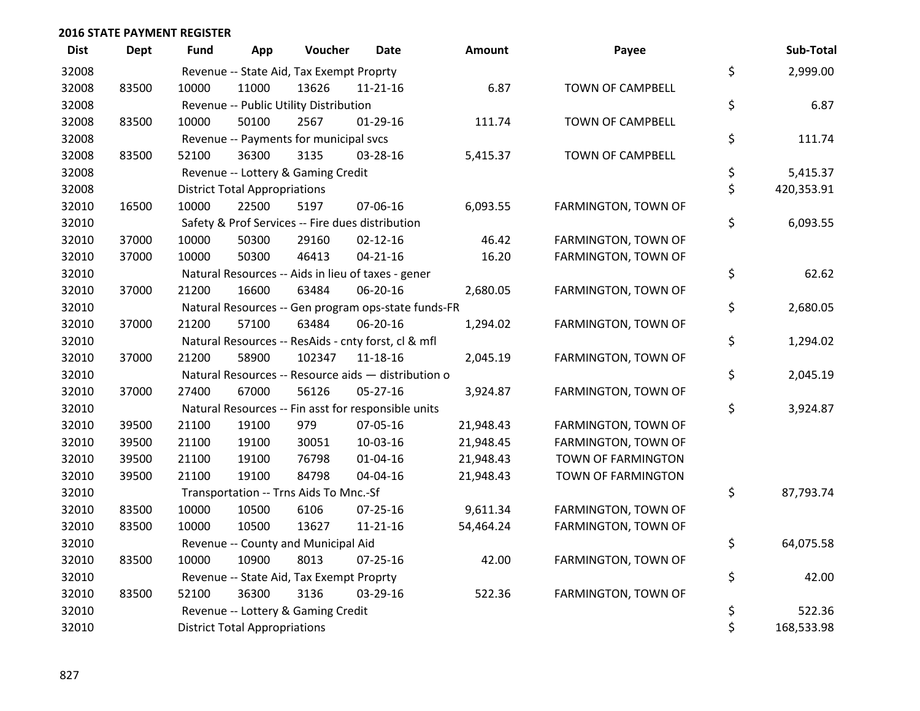| <b>Dist</b> | <b>Dept</b> | Fund  | App                                  | Voucher                                          | <b>Date</b>                                         | <b>Amount</b> | Payee               | Sub-Total        |
|-------------|-------------|-------|--------------------------------------|--------------------------------------------------|-----------------------------------------------------|---------------|---------------------|------------------|
| 32008       |             |       |                                      | Revenue -- State Aid, Tax Exempt Proprty         |                                                     |               |                     | \$<br>2,999.00   |
| 32008       | 83500       | 10000 | 11000                                | 13626                                            | $11 - 21 - 16$                                      | 6.87          | TOWN OF CAMPBELL    |                  |
| 32008       |             |       |                                      | Revenue -- Public Utility Distribution           |                                                     |               |                     | \$<br>6.87       |
| 32008       | 83500       | 10000 | 50100                                | 2567                                             | $01-29-16$                                          | 111.74        | TOWN OF CAMPBELL    |                  |
| 32008       |             |       |                                      | Revenue -- Payments for municipal svcs           |                                                     |               |                     | \$<br>111.74     |
| 32008       | 83500       | 52100 | 36300                                | 3135                                             | 03-28-16                                            | 5,415.37      | TOWN OF CAMPBELL    |                  |
| 32008       |             |       |                                      | Revenue -- Lottery & Gaming Credit               |                                                     |               |                     | \$<br>5,415.37   |
| 32008       |             |       | <b>District Total Appropriations</b> |                                                  |                                                     |               |                     | \$<br>420,353.91 |
| 32010       | 16500       | 10000 | 22500                                | 5197                                             | 07-06-16                                            | 6,093.55      | FARMINGTON, TOWN OF |                  |
| 32010       |             |       |                                      | Safety & Prof Services -- Fire dues distribution |                                                     |               |                     | \$<br>6,093.55   |
| 32010       | 37000       | 10000 | 50300                                | 29160                                            | $02 - 12 - 16$                                      | 46.42         | FARMINGTON, TOWN OF |                  |
| 32010       | 37000       | 10000 | 50300                                | 46413                                            | $04 - 21 - 16$                                      | 16.20         | FARMINGTON, TOWN OF |                  |
| 32010       |             |       |                                      |                                                  | Natural Resources -- Aids in lieu of taxes - gener  |               |                     | \$<br>62.62      |
| 32010       | 37000       | 21200 | 16600                                | 63484                                            | 06-20-16                                            | 2,680.05      | FARMINGTON, TOWN OF |                  |
| 32010       |             |       |                                      |                                                  | Natural Resources -- Gen program ops-state funds-FR |               |                     | \$<br>2,680.05   |
| 32010       | 37000       | 21200 | 57100                                | 63484                                            | 06-20-16                                            | 1,294.02      | FARMINGTON, TOWN OF |                  |
| 32010       |             |       |                                      |                                                  | Natural Resources -- ResAids - cnty forst, cl & mfl |               |                     | \$<br>1,294.02   |
| 32010       | 37000       | 21200 | 58900                                | 102347                                           | 11-18-16                                            | 2,045.19      | FARMINGTON, TOWN OF |                  |
| 32010       |             |       |                                      |                                                  | Natural Resources -- Resource aids - distribution o |               |                     | \$<br>2,045.19   |
| 32010       | 37000       | 27400 | 67000                                | 56126                                            | 05-27-16                                            | 3,924.87      | FARMINGTON, TOWN OF |                  |
| 32010       |             |       |                                      |                                                  | Natural Resources -- Fin asst for responsible units |               |                     | \$<br>3,924.87   |
| 32010       | 39500       | 21100 | 19100                                | 979                                              | 07-05-16                                            | 21,948.43     | FARMINGTON, TOWN OF |                  |
| 32010       | 39500       | 21100 | 19100                                | 30051                                            | 10-03-16                                            | 21,948.45     | FARMINGTON, TOWN OF |                  |
| 32010       | 39500       | 21100 | 19100                                | 76798                                            | $01 - 04 - 16$                                      | 21,948.43     | TOWN OF FARMINGTON  |                  |
| 32010       | 39500       | 21100 | 19100                                | 84798                                            | 04-04-16                                            | 21,948.43     | TOWN OF FARMINGTON  |                  |
| 32010       |             |       |                                      | Transportation -- Trns Aids To Mnc.-Sf           |                                                     |               |                     | \$<br>87,793.74  |
| 32010       | 83500       | 10000 | 10500                                | 6106                                             | 07-25-16                                            | 9,611.34      | FARMINGTON, TOWN OF |                  |
| 32010       | 83500       | 10000 | 10500                                | 13627                                            | 11-21-16                                            | 54,464.24     | FARMINGTON, TOWN OF |                  |
| 32010       |             |       |                                      | Revenue -- County and Municipal Aid              |                                                     |               |                     | \$<br>64,075.58  |
| 32010       | 83500       | 10000 | 10900                                | 8013                                             | $07 - 25 - 16$                                      | 42.00         | FARMINGTON, TOWN OF |                  |
| 32010       |             |       |                                      | Revenue -- State Aid, Tax Exempt Proprty         |                                                     |               |                     | \$<br>42.00      |
| 32010       | 83500       | 52100 | 36300                                | 3136                                             | 03-29-16                                            | 522.36        | FARMINGTON, TOWN OF |                  |
| 32010       |             |       |                                      | Revenue -- Lottery & Gaming Credit               |                                                     |               |                     | \$<br>522.36     |
| 32010       |             |       | <b>District Total Appropriations</b> |                                                  |                                                     |               |                     | \$<br>168,533.98 |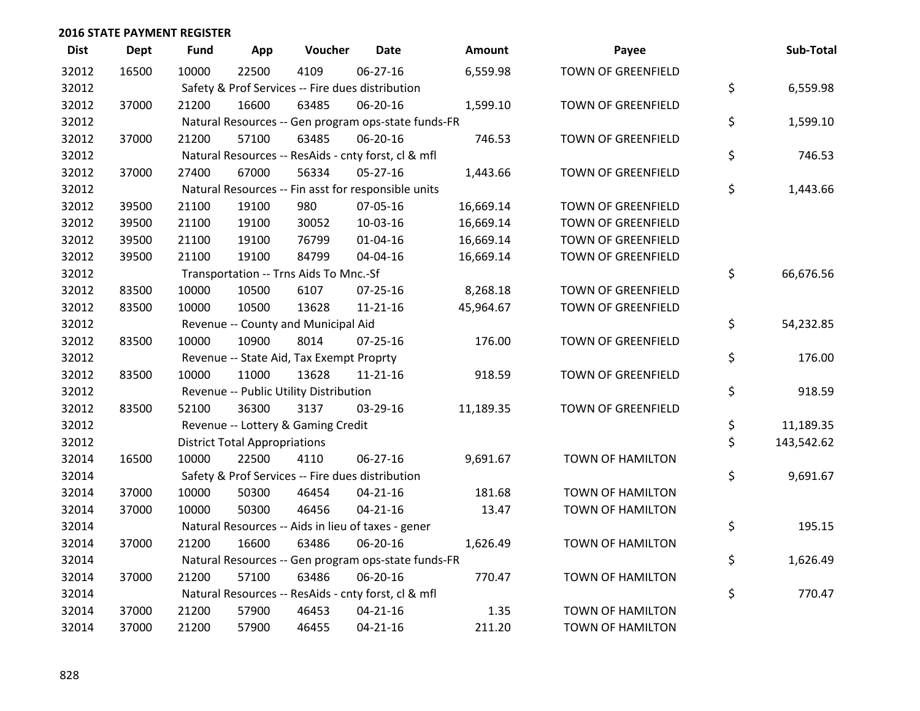| <b>Dist</b> | <b>Dept</b> | <b>Fund</b> | App                                  | Voucher                                             | <b>Date</b>    | Amount    | Payee                     | Sub-Total        |
|-------------|-------------|-------------|--------------------------------------|-----------------------------------------------------|----------------|-----------|---------------------------|------------------|
| 32012       | 16500       | 10000       | 22500                                | 4109                                                | 06-27-16       | 6,559.98  | <b>TOWN OF GREENFIELD</b> |                  |
| 32012       |             |             |                                      | Safety & Prof Services -- Fire dues distribution    |                |           |                           | \$<br>6,559.98   |
| 32012       | 37000       | 21200       | 16600                                | 63485                                               | 06-20-16       | 1,599.10  | TOWN OF GREENFIELD        |                  |
| 32012       |             |             |                                      | Natural Resources -- Gen program ops-state funds-FR |                |           |                           | \$<br>1,599.10   |
| 32012       | 37000       | 21200       | 57100                                | 63485                                               | 06-20-16       | 746.53    | <b>TOWN OF GREENFIELD</b> |                  |
| 32012       |             |             |                                      | Natural Resources -- ResAids - cnty forst, cl & mfl |                |           |                           | \$<br>746.53     |
| 32012       | 37000       | 27400       | 67000                                | 56334                                               | 05-27-16       | 1,443.66  | TOWN OF GREENFIELD        |                  |
| 32012       |             |             |                                      | Natural Resources -- Fin asst for responsible units |                |           |                           | \$<br>1,443.66   |
| 32012       | 39500       | 21100       | 19100                                | 980                                                 | 07-05-16       | 16,669.14 | TOWN OF GREENFIELD        |                  |
| 32012       | 39500       | 21100       | 19100                                | 30052                                               | 10-03-16       | 16,669.14 | <b>TOWN OF GREENFIELD</b> |                  |
| 32012       | 39500       | 21100       | 19100                                | 76799                                               | $01 - 04 - 16$ | 16,669.14 | <b>TOWN OF GREENFIELD</b> |                  |
| 32012       | 39500       | 21100       | 19100                                | 84799                                               | 04-04-16       | 16,669.14 | <b>TOWN OF GREENFIELD</b> |                  |
| 32012       |             |             |                                      | Transportation -- Trns Aids To Mnc.-Sf              |                |           |                           | \$<br>66,676.56  |
| 32012       | 83500       | 10000       | 10500                                | 6107                                                | 07-25-16       | 8,268.18  | TOWN OF GREENFIELD        |                  |
| 32012       | 83500       | 10000       | 10500                                | 13628                                               | $11 - 21 - 16$ | 45,964.67 | TOWN OF GREENFIELD        |                  |
| 32012       |             |             |                                      | Revenue -- County and Municipal Aid                 |                |           |                           | \$<br>54,232.85  |
| 32012       | 83500       | 10000       | 10900                                | 8014                                                | $07 - 25 - 16$ | 176.00    | <b>TOWN OF GREENFIELD</b> |                  |
| 32012       |             |             |                                      | Revenue -- State Aid, Tax Exempt Proprty            |                |           |                           | \$<br>176.00     |
| 32012       | 83500       | 10000       | 11000                                | 13628                                               | $11 - 21 - 16$ | 918.59    | TOWN OF GREENFIELD        |                  |
| 32012       |             |             |                                      | Revenue -- Public Utility Distribution              |                |           |                           | \$<br>918.59     |
| 32012       | 83500       | 52100       | 36300                                | 3137                                                | 03-29-16       | 11,189.35 | TOWN OF GREENFIELD        |                  |
| 32012       |             |             |                                      | Revenue -- Lottery & Gaming Credit                  |                |           |                           | \$<br>11,189.35  |
| 32012       |             |             | <b>District Total Appropriations</b> |                                                     |                |           |                           | \$<br>143,542.62 |
| 32014       | 16500       | 10000       | 22500                                | 4110                                                | $06 - 27 - 16$ | 9,691.67  | <b>TOWN OF HAMILTON</b>   |                  |
| 32014       |             |             |                                      | Safety & Prof Services -- Fire dues distribution    |                |           |                           | \$<br>9,691.67   |
| 32014       | 37000       | 10000       | 50300                                | 46454                                               | $04 - 21 - 16$ | 181.68    | TOWN OF HAMILTON          |                  |
| 32014       | 37000       | 10000       | 50300                                | 46456                                               | $04 - 21 - 16$ | 13.47     | TOWN OF HAMILTON          |                  |
| 32014       |             |             |                                      | Natural Resources -- Aids in lieu of taxes - gener  |                |           |                           | \$<br>195.15     |
| 32014       | 37000       | 21200       | 16600                                | 63486                                               | 06-20-16       | 1,626.49  | <b>TOWN OF HAMILTON</b>   |                  |
| 32014       |             |             |                                      | Natural Resources -- Gen program ops-state funds-FR |                |           |                           | \$<br>1,626.49   |
| 32014       | 37000       | 21200       | 57100                                | 63486                                               | 06-20-16       | 770.47    | TOWN OF HAMILTON          |                  |
| 32014       |             |             |                                      | Natural Resources -- ResAids - cnty forst, cl & mfl |                |           |                           | \$<br>770.47     |
| 32014       | 37000       | 21200       | 57900                                | 46453                                               | $04 - 21 - 16$ | 1.35      | TOWN OF HAMILTON          |                  |
| 32014       | 37000       | 21200       | 57900                                | 46455                                               | $04 - 21 - 16$ | 211.20    | <b>TOWN OF HAMILTON</b>   |                  |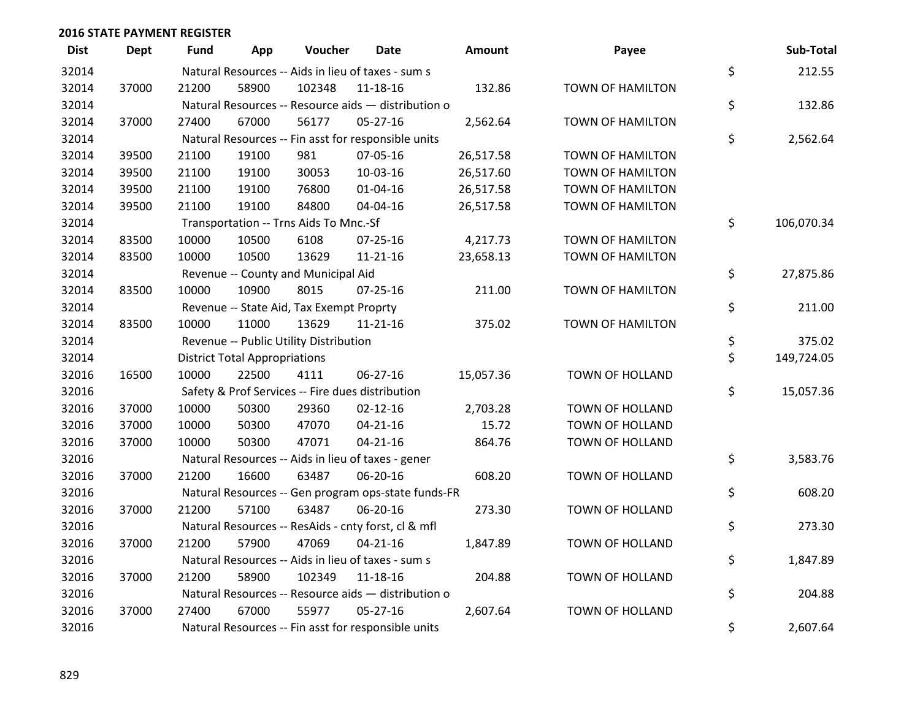| <b>Dist</b> | <b>Dept</b> | <b>Fund</b> | App                                  | Voucher                                          | <b>Date</b>                                         | Amount    | Payee                   | Sub-Total        |
|-------------|-------------|-------------|--------------------------------------|--------------------------------------------------|-----------------------------------------------------|-----------|-------------------------|------------------|
| 32014       |             |             |                                      |                                                  | Natural Resources -- Aids in lieu of taxes - sum s  |           |                         | \$<br>212.55     |
| 32014       | 37000       | 21200       | 58900                                | 102348                                           | 11-18-16                                            | 132.86    | TOWN OF HAMILTON        |                  |
| 32014       |             |             |                                      |                                                  | Natural Resources -- Resource aids - distribution o |           |                         | \$<br>132.86     |
| 32014       | 37000       | 27400       | 67000                                | 56177                                            | 05-27-16                                            | 2,562.64  | <b>TOWN OF HAMILTON</b> |                  |
| 32014       |             |             |                                      |                                                  | Natural Resources -- Fin asst for responsible units |           |                         | \$<br>2,562.64   |
| 32014       | 39500       | 21100       | 19100                                | 981                                              | 07-05-16                                            | 26,517.58 | <b>TOWN OF HAMILTON</b> |                  |
| 32014       | 39500       | 21100       | 19100                                | 30053                                            | 10-03-16                                            | 26,517.60 | <b>TOWN OF HAMILTON</b> |                  |
| 32014       | 39500       | 21100       | 19100                                | 76800                                            | $01 - 04 - 16$                                      | 26,517.58 | <b>TOWN OF HAMILTON</b> |                  |
| 32014       | 39500       | 21100       | 19100                                | 84800                                            | 04-04-16                                            | 26,517.58 | TOWN OF HAMILTON        |                  |
| 32014       |             |             |                                      | Transportation -- Trns Aids To Mnc.-Sf           |                                                     |           |                         | \$<br>106,070.34 |
| 32014       | 83500       | 10000       | 10500                                | 6108                                             | $07 - 25 - 16$                                      | 4,217.73  | TOWN OF HAMILTON        |                  |
| 32014       | 83500       | 10000       | 10500                                | 13629                                            | $11 - 21 - 16$                                      | 23,658.13 | TOWN OF HAMILTON        |                  |
| 32014       |             |             |                                      | Revenue -- County and Municipal Aid              |                                                     |           |                         | \$<br>27,875.86  |
| 32014       | 83500       | 10000       | 10900                                | 8015                                             | $07 - 25 - 16$                                      | 211.00    | <b>TOWN OF HAMILTON</b> |                  |
| 32014       |             |             |                                      | Revenue -- State Aid, Tax Exempt Proprty         |                                                     |           |                         | \$<br>211.00     |
| 32014       | 83500       | 10000       | 11000                                | 13629                                            | 11-21-16                                            | 375.02    | TOWN OF HAMILTON        |                  |
| 32014       |             |             |                                      | Revenue -- Public Utility Distribution           |                                                     |           |                         | \$<br>375.02     |
| 32014       |             |             | <b>District Total Appropriations</b> |                                                  |                                                     |           |                         | \$<br>149,724.05 |
| 32016       | 16500       | 10000       | 22500                                | 4111                                             | 06-27-16                                            | 15,057.36 | TOWN OF HOLLAND         |                  |
| 32016       |             |             |                                      | Safety & Prof Services -- Fire dues distribution |                                                     |           |                         | \$<br>15,057.36  |
| 32016       | 37000       | 10000       | 50300                                | 29360                                            | $02 - 12 - 16$                                      | 2,703.28  | TOWN OF HOLLAND         |                  |
| 32016       | 37000       | 10000       | 50300                                | 47070                                            | $04 - 21 - 16$                                      | 15.72     | <b>TOWN OF HOLLAND</b>  |                  |
| 32016       | 37000       | 10000       | 50300                                | 47071                                            | $04 - 21 - 16$                                      | 864.76    | TOWN OF HOLLAND         |                  |
| 32016       |             |             |                                      |                                                  | Natural Resources -- Aids in lieu of taxes - gener  |           |                         | \$<br>3,583.76   |
| 32016       | 37000       | 21200       | 16600                                | 63487                                            | 06-20-16                                            | 608.20    | <b>TOWN OF HOLLAND</b>  |                  |
| 32016       |             |             |                                      |                                                  | Natural Resources -- Gen program ops-state funds-FR |           |                         | \$<br>608.20     |
| 32016       | 37000       | 21200       | 57100                                | 63487                                            | 06-20-16                                            | 273.30    | TOWN OF HOLLAND         |                  |
| 32016       |             |             |                                      |                                                  | Natural Resources -- ResAids - cnty forst, cl & mfl |           |                         | \$<br>273.30     |
| 32016       | 37000       | 21200       | 57900                                | 47069                                            | $04 - 21 - 16$                                      | 1,847.89  | <b>TOWN OF HOLLAND</b>  |                  |
| 32016       |             |             |                                      |                                                  | Natural Resources -- Aids in lieu of taxes - sum s  |           |                         | \$<br>1,847.89   |
| 32016       | 37000       | 21200       | 58900                                | 102349                                           | 11-18-16                                            | 204.88    | TOWN OF HOLLAND         |                  |
| 32016       |             |             |                                      |                                                  | Natural Resources -- Resource aids - distribution o |           |                         | \$<br>204.88     |
| 32016       | 37000       | 27400       | 67000                                | 55977                                            | $05 - 27 - 16$                                      | 2,607.64  | <b>TOWN OF HOLLAND</b>  |                  |
| 32016       |             |             |                                      |                                                  | Natural Resources -- Fin asst for responsible units |           |                         | \$<br>2,607.64   |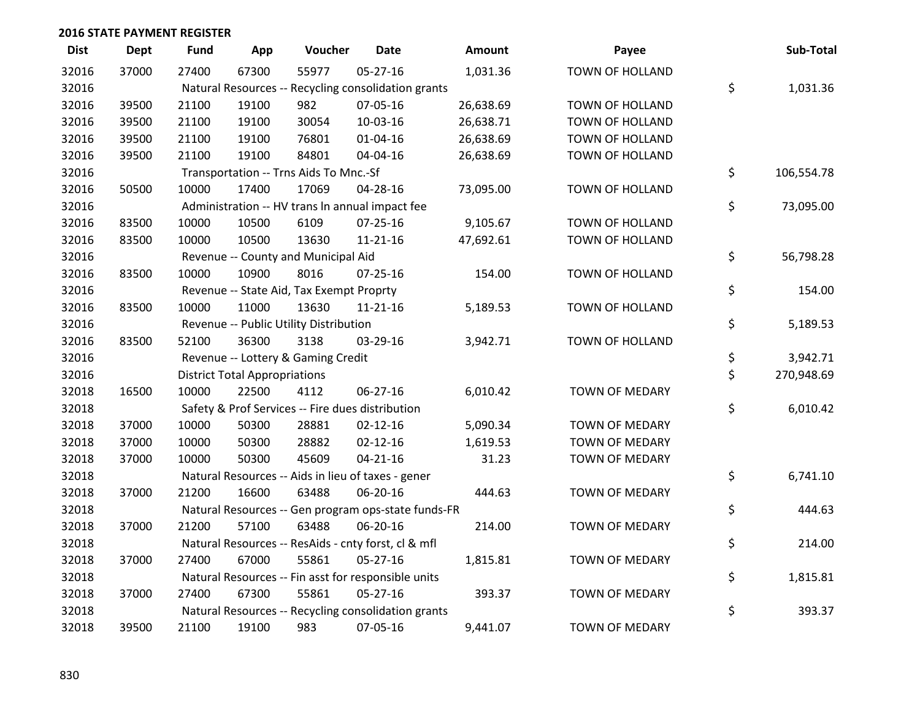| <b>Dist</b> | <b>Dept</b> | <b>Fund</b> | App                                  | Voucher                                             | Date           | <b>Amount</b> | Payee                  | Sub-Total        |
|-------------|-------------|-------------|--------------------------------------|-----------------------------------------------------|----------------|---------------|------------------------|------------------|
| 32016       | 37000       | 27400       | 67300                                | 55977                                               | $05 - 27 - 16$ | 1,031.36      | <b>TOWN OF HOLLAND</b> |                  |
| 32016       |             |             |                                      | Natural Resources -- Recycling consolidation grants |                |               |                        | \$<br>1,031.36   |
| 32016       | 39500       | 21100       | 19100                                | 982                                                 | 07-05-16       | 26,638.69     | TOWN OF HOLLAND        |                  |
| 32016       | 39500       | 21100       | 19100                                | 30054                                               | 10-03-16       | 26,638.71     | <b>TOWN OF HOLLAND</b> |                  |
| 32016       | 39500       | 21100       | 19100                                | 76801                                               | $01 - 04 - 16$ | 26,638.69     | TOWN OF HOLLAND        |                  |
| 32016       | 39500       | 21100       | 19100                                | 84801                                               | 04-04-16       | 26,638.69     | TOWN OF HOLLAND        |                  |
| 32016       |             |             |                                      | Transportation -- Trns Aids To Mnc.-Sf              |                |               |                        | \$<br>106,554.78 |
| 32016       | 50500       | 10000       | 17400                                | 17069                                               | 04-28-16       | 73,095.00     | TOWN OF HOLLAND        |                  |
| 32016       |             |             |                                      | Administration -- HV trans In annual impact fee     |                |               |                        | \$<br>73,095.00  |
| 32016       | 83500       | 10000       | 10500                                | 6109                                                | $07 - 25 - 16$ | 9,105.67      | TOWN OF HOLLAND        |                  |
| 32016       | 83500       | 10000       | 10500                                | 13630                                               | $11 - 21 - 16$ | 47,692.61     | TOWN OF HOLLAND        |                  |
| 32016       |             |             |                                      | Revenue -- County and Municipal Aid                 |                |               |                        | \$<br>56,798.28  |
| 32016       | 83500       | 10000       | 10900                                | 8016                                                | $07 - 25 - 16$ | 154.00        | TOWN OF HOLLAND        |                  |
| 32016       |             |             |                                      | Revenue -- State Aid, Tax Exempt Proprty            |                |               |                        | \$<br>154.00     |
| 32016       | 83500       | 10000       | 11000                                | 13630                                               | $11 - 21 - 16$ | 5,189.53      | <b>TOWN OF HOLLAND</b> |                  |
| 32016       |             |             |                                      | Revenue -- Public Utility Distribution              |                |               |                        | \$<br>5,189.53   |
| 32016       | 83500       | 52100       | 36300                                | 3138                                                | 03-29-16       | 3,942.71      | TOWN OF HOLLAND        |                  |
| 32016       |             |             |                                      | Revenue -- Lottery & Gaming Credit                  |                |               |                        | \$<br>3,942.71   |
| 32016       |             |             | <b>District Total Appropriations</b> |                                                     |                |               |                        | \$<br>270,948.69 |
| 32018       | 16500       | 10000       | 22500                                | 4112                                                | 06-27-16       | 6,010.42      | TOWN OF MEDARY         |                  |
| 32018       |             |             |                                      | Safety & Prof Services -- Fire dues distribution    |                |               |                        | \$<br>6,010.42   |
| 32018       | 37000       | 10000       | 50300                                | 28881                                               | $02 - 12 - 16$ | 5,090.34      | <b>TOWN OF MEDARY</b>  |                  |
| 32018       | 37000       | 10000       | 50300                                | 28882                                               | $02 - 12 - 16$ | 1,619.53      | TOWN OF MEDARY         |                  |
| 32018       | 37000       | 10000       | 50300                                | 45609                                               | $04 - 21 - 16$ | 31.23         | TOWN OF MEDARY         |                  |
| 32018       |             |             |                                      | Natural Resources -- Aids in lieu of taxes - gener  |                |               |                        | \$<br>6,741.10   |
| 32018       | 37000       | 21200       | 16600                                | 63488                                               | 06-20-16       | 444.63        | TOWN OF MEDARY         |                  |
| 32018       |             |             |                                      | Natural Resources -- Gen program ops-state funds-FR |                |               |                        | \$<br>444.63     |
| 32018       | 37000       | 21200       | 57100                                | 63488                                               | 06-20-16       | 214.00        | <b>TOWN OF MEDARY</b>  |                  |
| 32018       |             |             |                                      | Natural Resources -- ResAids - cnty forst, cl & mfl |                |               |                        | \$<br>214.00     |
| 32018       | 37000       | 27400       | 67000                                | 55861                                               | $05 - 27 - 16$ | 1,815.81      | TOWN OF MEDARY         |                  |
| 32018       |             |             |                                      | Natural Resources -- Fin asst for responsible units |                |               |                        | \$<br>1,815.81   |
| 32018       | 37000       | 27400       | 67300                                | 55861                                               | $05 - 27 - 16$ | 393.37        | <b>TOWN OF MEDARY</b>  |                  |
| 32018       |             |             |                                      | Natural Resources -- Recycling consolidation grants |                |               |                        | \$<br>393.37     |
| 32018       | 39500       | 21100       | 19100                                | 983                                                 | 07-05-16       | 9,441.07      | <b>TOWN OF MEDARY</b>  |                  |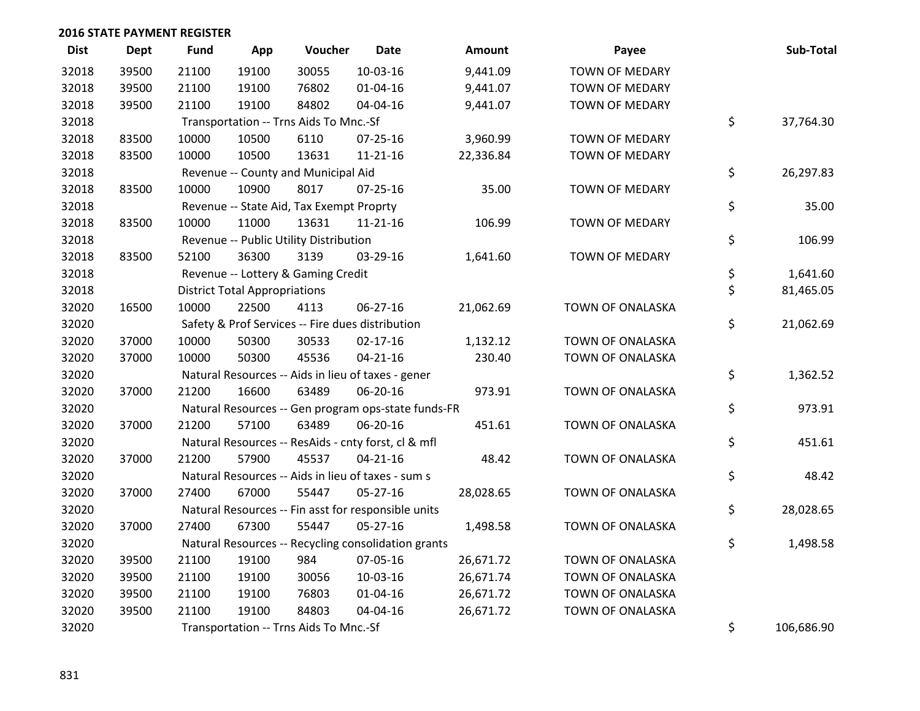| <b>Dist</b> | <b>Dept</b> | <b>Fund</b> | App                                  | Voucher                                  | Date                                                | Amount    | Payee                   | Sub-Total        |
|-------------|-------------|-------------|--------------------------------------|------------------------------------------|-----------------------------------------------------|-----------|-------------------------|------------------|
| 32018       | 39500       | 21100       | 19100                                | 30055                                    | 10-03-16                                            | 9,441.09  | <b>TOWN OF MEDARY</b>   |                  |
| 32018       | 39500       | 21100       | 19100                                | 76802                                    | 01-04-16                                            | 9,441.07  | TOWN OF MEDARY          |                  |
| 32018       | 39500       | 21100       | 19100                                | 84802                                    | 04-04-16                                            | 9,441.07  | <b>TOWN OF MEDARY</b>   |                  |
| 32018       |             |             |                                      | Transportation -- Trns Aids To Mnc.-Sf   |                                                     |           |                         | \$<br>37,764.30  |
| 32018       | 83500       | 10000       | 10500                                | 6110                                     | $07 - 25 - 16$                                      | 3,960.99  | <b>TOWN OF MEDARY</b>   |                  |
| 32018       | 83500       | 10000       | 10500                                | 13631                                    | 11-21-16                                            | 22,336.84 | <b>TOWN OF MEDARY</b>   |                  |
| 32018       |             |             |                                      | Revenue -- County and Municipal Aid      |                                                     |           |                         | \$<br>26,297.83  |
| 32018       | 83500       | 10000       | 10900                                | 8017                                     | $07 - 25 - 16$                                      | 35.00     | <b>TOWN OF MEDARY</b>   |                  |
| 32018       |             |             |                                      | Revenue -- State Aid, Tax Exempt Proprty |                                                     |           |                         | \$<br>35.00      |
| 32018       | 83500       | 10000       | 11000                                | 13631                                    | $11 - 21 - 16$                                      | 106.99    | <b>TOWN OF MEDARY</b>   |                  |
| 32018       |             |             |                                      | Revenue -- Public Utility Distribution   |                                                     |           |                         | \$<br>106.99     |
| 32018       | 83500       | 52100       | 36300                                | 3139                                     | 03-29-16                                            | 1,641.60  | <b>TOWN OF MEDARY</b>   |                  |
| 32018       |             |             |                                      | Revenue -- Lottery & Gaming Credit       |                                                     |           |                         | \$<br>1,641.60   |
| 32018       |             |             | <b>District Total Appropriations</b> |                                          |                                                     |           |                         | \$<br>81,465.05  |
| 32020       | 16500       | 10000       | 22500                                | 4113                                     | $06 - 27 - 16$                                      | 21,062.69 | TOWN OF ONALASKA        |                  |
| 32020       |             |             |                                      |                                          | Safety & Prof Services -- Fire dues distribution    |           |                         | \$<br>21,062.69  |
| 32020       | 37000       | 10000       | 50300                                | 30533                                    | $02 - 17 - 16$                                      | 1,132.12  | TOWN OF ONALASKA        |                  |
| 32020       | 37000       | 10000       | 50300                                | 45536                                    | $04 - 21 - 16$                                      | 230.40    | TOWN OF ONALASKA        |                  |
| 32020       |             |             |                                      |                                          | Natural Resources -- Aids in lieu of taxes - gener  |           |                         | \$<br>1,362.52   |
| 32020       | 37000       | 21200       | 16600                                | 63489                                    | 06-20-16                                            | 973.91    | <b>TOWN OF ONALASKA</b> |                  |
| 32020       |             |             |                                      |                                          | Natural Resources -- Gen program ops-state funds-FR |           |                         | \$<br>973.91     |
| 32020       | 37000       | 21200       | 57100                                | 63489                                    | 06-20-16                                            | 451.61    | TOWN OF ONALASKA        |                  |
| 32020       |             |             |                                      |                                          | Natural Resources -- ResAids - cnty forst, cl & mfl |           |                         | \$<br>451.61     |
| 32020       | 37000       | 21200       | 57900                                | 45537                                    | $04 - 21 - 16$                                      | 48.42     | <b>TOWN OF ONALASKA</b> |                  |
| 32020       |             |             |                                      |                                          | Natural Resources -- Aids in lieu of taxes - sum s  |           |                         | \$<br>48.42      |
| 32020       | 37000       | 27400       | 67000                                | 55447                                    | 05-27-16                                            | 28,028.65 | TOWN OF ONALASKA        |                  |
| 32020       |             |             |                                      |                                          | Natural Resources -- Fin asst for responsible units |           |                         | \$<br>28,028.65  |
| 32020       | 37000       | 27400       | 67300                                | 55447                                    | $05 - 27 - 16$                                      | 1,498.58  | <b>TOWN OF ONALASKA</b> |                  |
| 32020       |             |             |                                      |                                          | Natural Resources -- Recycling consolidation grants |           |                         | \$<br>1,498.58   |
| 32020       | 39500       | 21100       | 19100                                | 984                                      | 07-05-16                                            | 26,671.72 | TOWN OF ONALASKA        |                  |
| 32020       | 39500       | 21100       | 19100                                | 30056                                    | 10-03-16                                            | 26,671.74 | TOWN OF ONALASKA        |                  |
| 32020       | 39500       | 21100       | 19100                                | 76803                                    | 01-04-16                                            | 26,671.72 | TOWN OF ONALASKA        |                  |
| 32020       | 39500       | 21100       | 19100                                | 84803                                    | 04-04-16                                            | 26,671.72 | <b>TOWN OF ONALASKA</b> |                  |
| 32020       |             |             |                                      | Transportation -- Trns Aids To Mnc.-Sf   |                                                     |           |                         | \$<br>106,686.90 |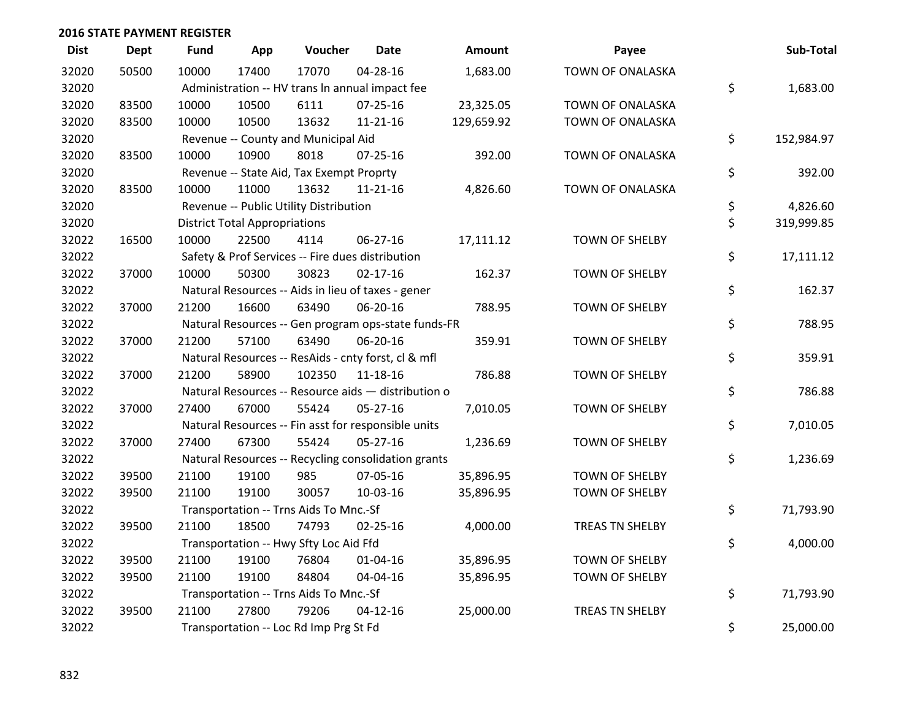| <b>Dist</b> | <b>Dept</b> | <b>Fund</b> | App                                  | Voucher                                             | <b>Date</b>    | <b>Amount</b> | Payee                   | Sub-Total        |
|-------------|-------------|-------------|--------------------------------------|-----------------------------------------------------|----------------|---------------|-------------------------|------------------|
| 32020       | 50500       | 10000       | 17400                                | 17070                                               | $04 - 28 - 16$ | 1,683.00      | <b>TOWN OF ONALASKA</b> |                  |
| 32020       |             |             |                                      | Administration -- HV trans In annual impact fee     |                |               |                         | \$<br>1,683.00   |
| 32020       | 83500       | 10000       | 10500                                | 6111                                                | 07-25-16       | 23,325.05     | TOWN OF ONALASKA        |                  |
| 32020       | 83500       | 10000       | 10500                                | 13632                                               | $11 - 21 - 16$ | 129,659.92    | TOWN OF ONALASKA        |                  |
| 32020       |             |             |                                      | Revenue -- County and Municipal Aid                 |                |               |                         | \$<br>152,984.97 |
| 32020       | 83500       | 10000       | 10900                                | 8018                                                | $07 - 25 - 16$ | 392.00        | TOWN OF ONALASKA        |                  |
| 32020       |             |             |                                      | Revenue -- State Aid, Tax Exempt Proprty            |                |               |                         | \$<br>392.00     |
| 32020       | 83500       | 10000       | 11000                                | 13632                                               | 11-21-16       | 4,826.60      | TOWN OF ONALASKA        |                  |
| 32020       |             |             |                                      | Revenue -- Public Utility Distribution              |                |               |                         | \$<br>4,826.60   |
| 32020       |             |             | <b>District Total Appropriations</b> |                                                     |                |               |                         | \$<br>319,999.85 |
| 32022       | 16500       | 10000       | 22500                                | 4114                                                | 06-27-16       | 17,111.12     | <b>TOWN OF SHELBY</b>   |                  |
| 32022       |             |             |                                      | Safety & Prof Services -- Fire dues distribution    |                |               |                         | \$<br>17,111.12  |
| 32022       | 37000       | 10000       | 50300                                | 30823                                               | $02 - 17 - 16$ | 162.37        | <b>TOWN OF SHELBY</b>   |                  |
| 32022       |             |             |                                      | Natural Resources -- Aids in lieu of taxes - gener  |                |               |                         | \$<br>162.37     |
| 32022       | 37000       | 21200       | 16600                                | 63490                                               | 06-20-16       | 788.95        | <b>TOWN OF SHELBY</b>   |                  |
| 32022       |             |             |                                      | Natural Resources -- Gen program ops-state funds-FR |                |               |                         | \$<br>788.95     |
| 32022       | 37000       | 21200       | 57100                                | 63490                                               | 06-20-16       | 359.91        | <b>TOWN OF SHELBY</b>   |                  |
| 32022       |             |             |                                      | Natural Resources -- ResAids - cnty forst, cl & mfl |                |               |                         | \$<br>359.91     |
| 32022       | 37000       | 21200       | 58900                                | 102350                                              | 11-18-16       | 786.88        | <b>TOWN OF SHELBY</b>   |                  |
| 32022       |             |             |                                      | Natural Resources -- Resource aids - distribution o |                |               |                         | \$<br>786.88     |
| 32022       | 37000       | 27400       | 67000                                | 55424                                               | $05 - 27 - 16$ | 7,010.05      | <b>TOWN OF SHELBY</b>   |                  |
| 32022       |             |             |                                      | Natural Resources -- Fin asst for responsible units |                |               |                         | \$<br>7,010.05   |
| 32022       | 37000       | 27400       | 67300                                | 55424                                               | $05 - 27 - 16$ | 1,236.69      | <b>TOWN OF SHELBY</b>   |                  |
| 32022       |             |             |                                      | Natural Resources -- Recycling consolidation grants |                |               |                         | \$<br>1,236.69   |
| 32022       | 39500       | 21100       | 19100                                | 985                                                 | 07-05-16       | 35,896.95     | TOWN OF SHELBY          |                  |
| 32022       | 39500       | 21100       | 19100                                | 30057                                               | 10-03-16       | 35,896.95     | <b>TOWN OF SHELBY</b>   |                  |
| 32022       |             |             |                                      | Transportation -- Trns Aids To Mnc.-Sf              |                |               |                         | \$<br>71,793.90  |
| 32022       | 39500       | 21100       | 18500                                | 74793                                               | $02 - 25 - 16$ | 4,000.00      | TREAS TN SHELBY         |                  |
| 32022       |             |             |                                      | Transportation -- Hwy Sfty Loc Aid Ffd              |                |               |                         | \$<br>4,000.00   |
| 32022       | 39500       | 21100       | 19100                                | 76804                                               | $01 - 04 - 16$ | 35,896.95     | <b>TOWN OF SHELBY</b>   |                  |
| 32022       | 39500       | 21100       | 19100                                | 84804                                               | 04-04-16       | 35,896.95     | <b>TOWN OF SHELBY</b>   |                  |
| 32022       |             |             |                                      | Transportation -- Trns Aids To Mnc.-Sf              |                |               |                         | \$<br>71,793.90  |
| 32022       | 39500       | 21100       | 27800                                | 79206                                               | $04 - 12 - 16$ | 25,000.00     | TREAS TN SHELBY         |                  |
| 32022       |             |             |                                      | Transportation -- Loc Rd Imp Prg St Fd              |                |               |                         | \$<br>25,000.00  |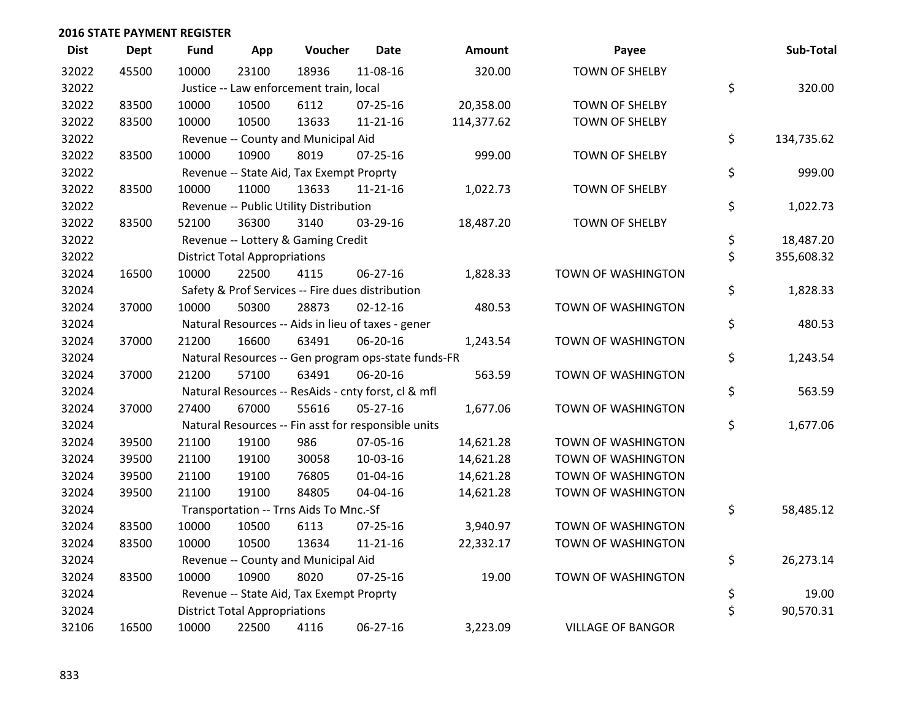| <b>Dist</b> | <b>Dept</b> | <b>Fund</b> | App                                  | Voucher                                             | <b>Date</b>    | Amount     | Payee                    | Sub-Total        |
|-------------|-------------|-------------|--------------------------------------|-----------------------------------------------------|----------------|------------|--------------------------|------------------|
| 32022       | 45500       | 10000       | 23100                                | 18936                                               | 11-08-16       | 320.00     | <b>TOWN OF SHELBY</b>    |                  |
| 32022       |             |             |                                      | Justice -- Law enforcement train, local             |                |            |                          | \$<br>320.00     |
| 32022       | 83500       | 10000       | 10500                                | 6112                                                | $07 - 25 - 16$ | 20,358.00  | <b>TOWN OF SHELBY</b>    |                  |
| 32022       | 83500       | 10000       | 10500                                | 13633                                               | $11 - 21 - 16$ | 114,377.62 | TOWN OF SHELBY           |                  |
| 32022       |             |             |                                      | Revenue -- County and Municipal Aid                 |                |            |                          | \$<br>134,735.62 |
| 32022       | 83500       | 10000       | 10900                                | 8019                                                | $07 - 25 - 16$ | 999.00     | TOWN OF SHELBY           |                  |
| 32022       |             |             |                                      | Revenue -- State Aid, Tax Exempt Proprty            |                |            |                          | \$<br>999.00     |
| 32022       | 83500       | 10000       | 11000                                | 13633                                               | $11 - 21 - 16$ | 1,022.73   | TOWN OF SHELBY           |                  |
| 32022       |             |             |                                      | Revenue -- Public Utility Distribution              |                |            |                          | \$<br>1,022.73   |
| 32022       | 83500       | 52100       | 36300                                | 3140                                                | 03-29-16       | 18,487.20  | TOWN OF SHELBY           |                  |
| 32022       |             |             |                                      | Revenue -- Lottery & Gaming Credit                  |                |            |                          | \$<br>18,487.20  |
| 32022       |             |             | <b>District Total Appropriations</b> |                                                     |                |            |                          | \$<br>355,608.32 |
| 32024       | 16500       | 10000       | 22500                                | 4115                                                | 06-27-16       | 1,828.33   | TOWN OF WASHINGTON       |                  |
| 32024       |             |             |                                      | Safety & Prof Services -- Fire dues distribution    |                |            |                          | \$<br>1,828.33   |
| 32024       | 37000       | 10000       | 50300                                | 28873                                               | $02 - 12 - 16$ | 480.53     | TOWN OF WASHINGTON       |                  |
| 32024       |             |             |                                      | Natural Resources -- Aids in lieu of taxes - gener  |                |            |                          | \$<br>480.53     |
| 32024       | 37000       | 21200       | 16600                                | 63491                                               | 06-20-16       | 1,243.54   | TOWN OF WASHINGTON       |                  |
| 32024       |             |             |                                      | Natural Resources -- Gen program ops-state funds-FR |                |            |                          | \$<br>1,243.54   |
| 32024       | 37000       | 21200       | 57100                                | 63491                                               | 06-20-16       | 563.59     | TOWN OF WASHINGTON       |                  |
| 32024       |             |             |                                      | Natural Resources -- ResAids - cnty forst, cl & mfl |                |            |                          | \$<br>563.59     |
| 32024       | 37000       | 27400       | 67000                                | 55616                                               | $05 - 27 - 16$ | 1,677.06   | TOWN OF WASHINGTON       |                  |
| 32024       |             |             |                                      | Natural Resources -- Fin asst for responsible units |                |            |                          | \$<br>1,677.06   |
| 32024       | 39500       | 21100       | 19100                                | 986                                                 | 07-05-16       | 14,621.28  | TOWN OF WASHINGTON       |                  |
| 32024       | 39500       | 21100       | 19100                                | 30058                                               | 10-03-16       | 14,621.28  | TOWN OF WASHINGTON       |                  |
| 32024       | 39500       | 21100       | 19100                                | 76805                                               | $01 - 04 - 16$ | 14,621.28  | TOWN OF WASHINGTON       |                  |
| 32024       | 39500       | 21100       | 19100                                | 84805                                               | 04-04-16       | 14,621.28  | TOWN OF WASHINGTON       |                  |
| 32024       |             |             |                                      | Transportation -- Trns Aids To Mnc.-Sf              |                |            |                          | \$<br>58,485.12  |
| 32024       | 83500       | 10000       | 10500                                | 6113                                                | $07 - 25 - 16$ | 3,940.97   | TOWN OF WASHINGTON       |                  |
| 32024       | 83500       | 10000       | 10500                                | 13634                                               | $11 - 21 - 16$ | 22,332.17  | TOWN OF WASHINGTON       |                  |
| 32024       |             |             |                                      | Revenue -- County and Municipal Aid                 |                |            |                          | \$<br>26,273.14  |
| 32024       | 83500       | 10000       | 10900                                | 8020                                                | $07 - 25 - 16$ | 19.00      | TOWN OF WASHINGTON       |                  |
| 32024       |             |             |                                      | Revenue -- State Aid, Tax Exempt Proprty            |                |            |                          | \$<br>19.00      |
| 32024       |             |             | <b>District Total Appropriations</b> |                                                     |                |            |                          | \$<br>90,570.31  |
| 32106       | 16500       | 10000       | 22500                                | 4116                                                | 06-27-16       | 3,223.09   | <b>VILLAGE OF BANGOR</b> |                  |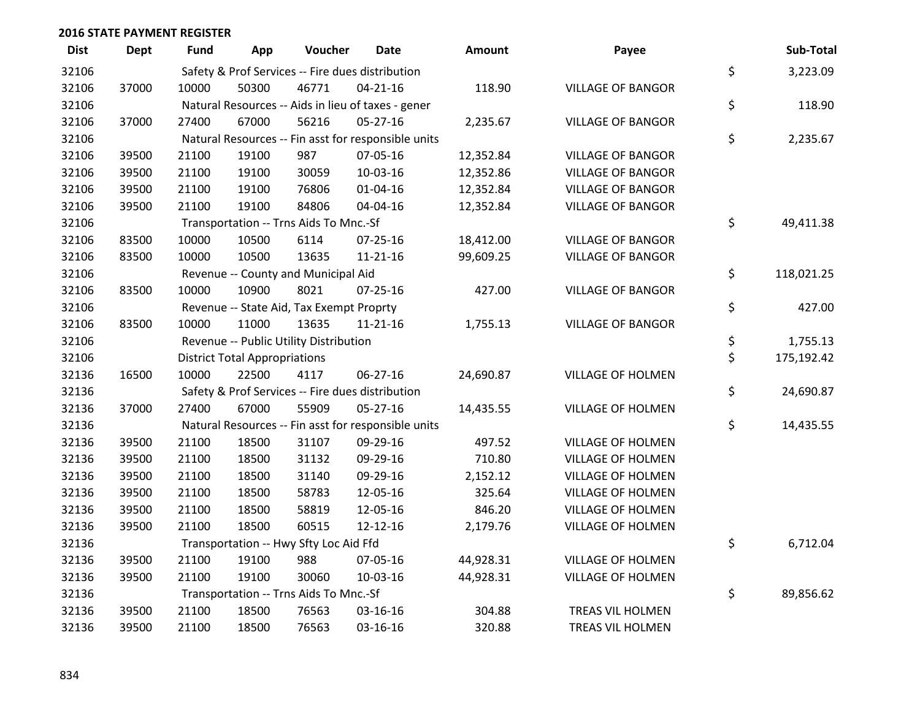| <b>Dist</b> | <b>Dept</b> | Fund  | App                                  | Voucher                                  | Date                                                | <b>Amount</b> | Payee                    | Sub-Total        |
|-------------|-------------|-------|--------------------------------------|------------------------------------------|-----------------------------------------------------|---------------|--------------------------|------------------|
| 32106       |             |       |                                      |                                          | Safety & Prof Services -- Fire dues distribution    |               |                          | \$<br>3,223.09   |
| 32106       | 37000       | 10000 | 50300                                | 46771                                    | $04 - 21 - 16$                                      | 118.90        | <b>VILLAGE OF BANGOR</b> |                  |
| 32106       |             |       |                                      |                                          | Natural Resources -- Aids in lieu of taxes - gener  |               |                          | \$<br>118.90     |
| 32106       | 37000       | 27400 | 67000                                | 56216                                    | 05-27-16                                            | 2,235.67      | <b>VILLAGE OF BANGOR</b> |                  |
| 32106       |             |       |                                      |                                          | Natural Resources -- Fin asst for responsible units |               |                          | \$<br>2,235.67   |
| 32106       | 39500       | 21100 | 19100                                | 987                                      | 07-05-16                                            | 12,352.84     | <b>VILLAGE OF BANGOR</b> |                  |
| 32106       | 39500       | 21100 | 19100                                | 30059                                    | 10-03-16                                            | 12,352.86     | <b>VILLAGE OF BANGOR</b> |                  |
| 32106       | 39500       | 21100 | 19100                                | 76806                                    | $01 - 04 - 16$                                      | 12,352.84     | <b>VILLAGE OF BANGOR</b> |                  |
| 32106       | 39500       | 21100 | 19100                                | 84806                                    | 04-04-16                                            | 12,352.84     | <b>VILLAGE OF BANGOR</b> |                  |
| 32106       |             |       |                                      | Transportation -- Trns Aids To Mnc.-Sf   |                                                     |               |                          | \$<br>49,411.38  |
| 32106       | 83500       | 10000 | 10500                                | 6114                                     | 07-25-16                                            | 18,412.00     | <b>VILLAGE OF BANGOR</b> |                  |
| 32106       | 83500       | 10000 | 10500                                | 13635                                    | $11 - 21 - 16$                                      | 99,609.25     | <b>VILLAGE OF BANGOR</b> |                  |
| 32106       |             |       |                                      | Revenue -- County and Municipal Aid      |                                                     |               |                          | \$<br>118,021.25 |
| 32106       | 83500       | 10000 | 10900                                | 8021                                     | 07-25-16                                            | 427.00        | <b>VILLAGE OF BANGOR</b> |                  |
| 32106       |             |       |                                      | Revenue -- State Aid, Tax Exempt Proprty |                                                     |               |                          | \$<br>427.00     |
| 32106       | 83500       | 10000 | 11000                                | 13635                                    | $11 - 21 - 16$                                      | 1,755.13      | <b>VILLAGE OF BANGOR</b> |                  |
| 32106       |             |       |                                      | Revenue -- Public Utility Distribution   |                                                     |               |                          | \$<br>1,755.13   |
| 32106       |             |       | <b>District Total Appropriations</b> |                                          |                                                     |               |                          | \$<br>175,192.42 |
| 32136       | 16500       | 10000 | 22500                                | 4117                                     | 06-27-16                                            | 24,690.87     | <b>VILLAGE OF HOLMEN</b> |                  |
| 32136       |             |       |                                      |                                          | Safety & Prof Services -- Fire dues distribution    |               |                          | \$<br>24,690.87  |
| 32136       | 37000       | 27400 | 67000                                | 55909                                    | $05 - 27 - 16$                                      | 14,435.55     | <b>VILLAGE OF HOLMEN</b> |                  |
| 32136       |             |       |                                      |                                          | Natural Resources -- Fin asst for responsible units |               |                          | \$<br>14,435.55  |
| 32136       | 39500       | 21100 | 18500                                | 31107                                    | 09-29-16                                            | 497.52        | <b>VILLAGE OF HOLMEN</b> |                  |
| 32136       | 39500       | 21100 | 18500                                | 31132                                    | 09-29-16                                            | 710.80        | <b>VILLAGE OF HOLMEN</b> |                  |
| 32136       | 39500       | 21100 | 18500                                | 31140                                    | 09-29-16                                            | 2,152.12      | <b>VILLAGE OF HOLMEN</b> |                  |
| 32136       | 39500       | 21100 | 18500                                | 58783                                    | 12-05-16                                            | 325.64        | <b>VILLAGE OF HOLMEN</b> |                  |
| 32136       | 39500       | 21100 | 18500                                | 58819                                    | 12-05-16                                            | 846.20        | VILLAGE OF HOLMEN        |                  |
| 32136       | 39500       | 21100 | 18500                                | 60515                                    | 12-12-16                                            | 2,179.76      | VILLAGE OF HOLMEN        |                  |
| 32136       |             |       |                                      | Transportation -- Hwy Sfty Loc Aid Ffd   |                                                     |               |                          | \$<br>6,712.04   |
| 32136       | 39500       | 21100 | 19100                                | 988                                      | 07-05-16                                            | 44,928.31     | <b>VILLAGE OF HOLMEN</b> |                  |
| 32136       | 39500       | 21100 | 19100                                | 30060                                    | 10-03-16                                            | 44,928.31     | <b>VILLAGE OF HOLMEN</b> |                  |
| 32136       |             |       |                                      | Transportation -- Trns Aids To Mnc.-Sf   |                                                     |               |                          | \$<br>89,856.62  |
| 32136       | 39500       | 21100 | 18500                                | 76563                                    | 03-16-16                                            | 304.88        | TREAS VIL HOLMEN         |                  |
| 32136       | 39500       | 21100 | 18500                                | 76563                                    | 03-16-16                                            | 320.88        | TREAS VIL HOLMEN         |                  |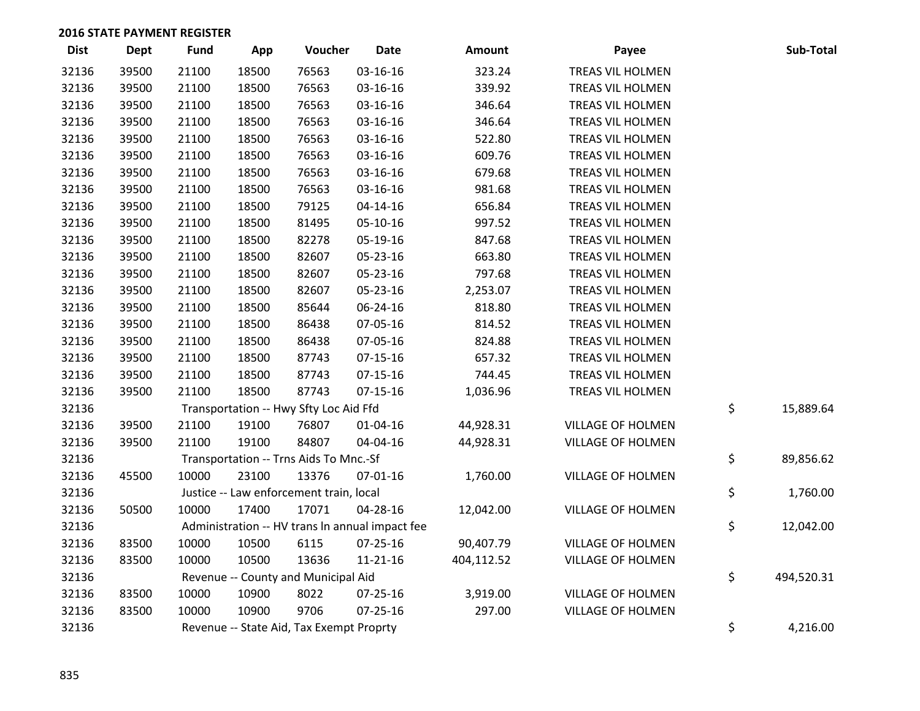| <b>Dist</b> | <b>Dept</b> | <b>Fund</b> | App   | Voucher                                         | <b>Date</b>    | Amount     | Payee                    | Sub-Total        |
|-------------|-------------|-------------|-------|-------------------------------------------------|----------------|------------|--------------------------|------------------|
| 32136       | 39500       | 21100       | 18500 | 76563                                           | 03-16-16       | 323.24     | TREAS VIL HOLMEN         |                  |
| 32136       | 39500       | 21100       | 18500 | 76563                                           | 03-16-16       | 339.92     | TREAS VIL HOLMEN         |                  |
| 32136       | 39500       | 21100       | 18500 | 76563                                           | 03-16-16       | 346.64     | TREAS VIL HOLMEN         |                  |
| 32136       | 39500       | 21100       | 18500 | 76563                                           | 03-16-16       | 346.64     | TREAS VIL HOLMEN         |                  |
| 32136       | 39500       | 21100       | 18500 | 76563                                           | 03-16-16       | 522.80     | TREAS VIL HOLMEN         |                  |
| 32136       | 39500       | 21100       | 18500 | 76563                                           | 03-16-16       | 609.76     | TREAS VIL HOLMEN         |                  |
| 32136       | 39500       | 21100       | 18500 | 76563                                           | 03-16-16       | 679.68     | TREAS VIL HOLMEN         |                  |
| 32136       | 39500       | 21100       | 18500 | 76563                                           | 03-16-16       | 981.68     | TREAS VIL HOLMEN         |                  |
| 32136       | 39500       | 21100       | 18500 | 79125                                           | $04 - 14 - 16$ | 656.84     | TREAS VIL HOLMEN         |                  |
| 32136       | 39500       | 21100       | 18500 | 81495                                           | 05-10-16       | 997.52     | TREAS VIL HOLMEN         |                  |
| 32136       | 39500       | 21100       | 18500 | 82278                                           | 05-19-16       | 847.68     | TREAS VIL HOLMEN         |                  |
| 32136       | 39500       | 21100       | 18500 | 82607                                           | 05-23-16       | 663.80     | TREAS VIL HOLMEN         |                  |
| 32136       | 39500       | 21100       | 18500 | 82607                                           | 05-23-16       | 797.68     | TREAS VIL HOLMEN         |                  |
| 32136       | 39500       | 21100       | 18500 | 82607                                           | 05-23-16       | 2,253.07   | TREAS VIL HOLMEN         |                  |
| 32136       | 39500       | 21100       | 18500 | 85644                                           | 06-24-16       | 818.80     | TREAS VIL HOLMEN         |                  |
| 32136       | 39500       | 21100       | 18500 | 86438                                           | 07-05-16       | 814.52     | TREAS VIL HOLMEN         |                  |
| 32136       | 39500       | 21100       | 18500 | 86438                                           | 07-05-16       | 824.88     | TREAS VIL HOLMEN         |                  |
| 32136       | 39500       | 21100       | 18500 | 87743                                           | 07-15-16       | 657.32     | TREAS VIL HOLMEN         |                  |
| 32136       | 39500       | 21100       | 18500 | 87743                                           | $07-15-16$     | 744.45     | TREAS VIL HOLMEN         |                  |
| 32136       | 39500       | 21100       | 18500 | 87743                                           | $07 - 15 - 16$ | 1,036.96   | TREAS VIL HOLMEN         |                  |
| 32136       |             |             |       | Transportation -- Hwy Sfty Loc Aid Ffd          |                |            |                          | \$<br>15,889.64  |
| 32136       | 39500       | 21100       | 19100 | 76807                                           | $01 - 04 - 16$ | 44,928.31  | <b>VILLAGE OF HOLMEN</b> |                  |
| 32136       | 39500       | 21100       | 19100 | 84807                                           | 04-04-16       | 44,928.31  | <b>VILLAGE OF HOLMEN</b> |                  |
| 32136       |             |             |       | Transportation -- Trns Aids To Mnc.-Sf          |                |            |                          | \$<br>89,856.62  |
| 32136       | 45500       | 10000       | 23100 | 13376                                           | 07-01-16       | 1,760.00   | <b>VILLAGE OF HOLMEN</b> |                  |
| 32136       |             |             |       | Justice -- Law enforcement train, local         |                |            |                          | \$<br>1,760.00   |
| 32136       | 50500       | 10000       | 17400 | 17071                                           | 04-28-16       | 12,042.00  | <b>VILLAGE OF HOLMEN</b> |                  |
| 32136       |             |             |       | Administration -- HV trans In annual impact fee |                |            |                          | \$<br>12,042.00  |
| 32136       | 83500       | 10000       | 10500 | 6115                                            | 07-25-16       | 90,407.79  | <b>VILLAGE OF HOLMEN</b> |                  |
| 32136       | 83500       | 10000       | 10500 | 13636                                           | $11 - 21 - 16$ | 404,112.52 | <b>VILLAGE OF HOLMEN</b> |                  |
| 32136       |             |             |       | Revenue -- County and Municipal Aid             |                |            |                          | \$<br>494,520.31 |
| 32136       | 83500       | 10000       | 10900 | 8022                                            | 07-25-16       | 3,919.00   | <b>VILLAGE OF HOLMEN</b> |                  |
| 32136       | 83500       | 10000       | 10900 | 9706                                            | $07 - 25 - 16$ | 297.00     | <b>VILLAGE OF HOLMEN</b> |                  |
| 32136       |             |             |       | Revenue -- State Aid, Tax Exempt Proprty        |                |            |                          | \$<br>4,216.00   |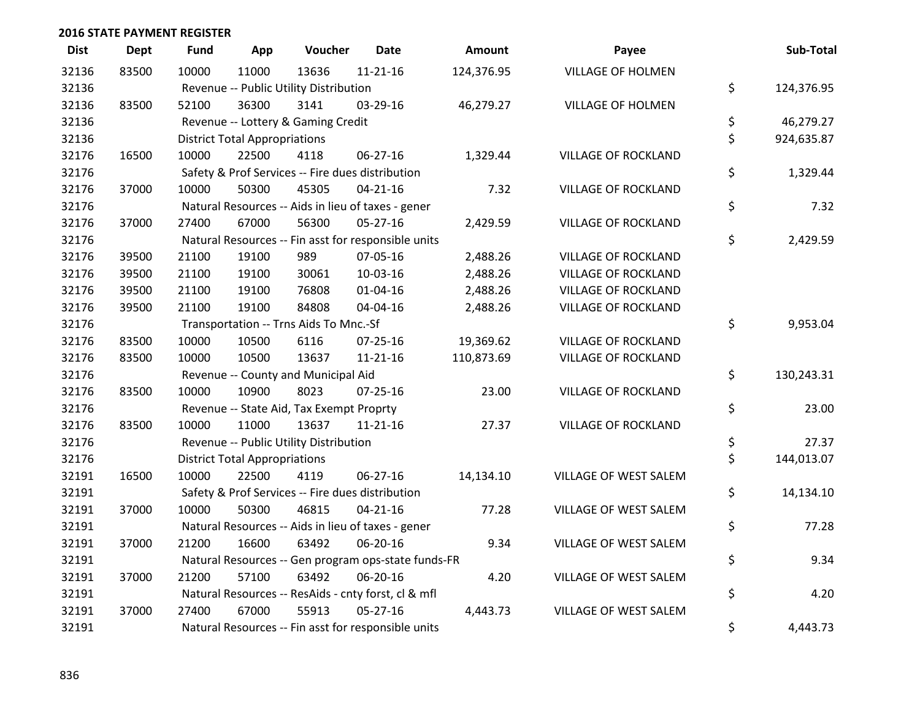| <b>Dist</b> | Dept  | Fund  | App                                  | Voucher                                  | <b>Date</b>                                         | <b>Amount</b> | Payee                      | Sub-Total        |
|-------------|-------|-------|--------------------------------------|------------------------------------------|-----------------------------------------------------|---------------|----------------------------|------------------|
| 32136       | 83500 | 10000 | 11000                                | 13636                                    | $11 - 21 - 16$                                      | 124,376.95    | <b>VILLAGE OF HOLMEN</b>   |                  |
| 32136       |       |       |                                      | Revenue -- Public Utility Distribution   |                                                     |               |                            | \$<br>124,376.95 |
| 32136       | 83500 | 52100 | 36300                                | 3141                                     | 03-29-16                                            | 46,279.27     | <b>VILLAGE OF HOLMEN</b>   |                  |
| 32136       |       |       |                                      | Revenue -- Lottery & Gaming Credit       |                                                     |               |                            | \$<br>46,279.27  |
| 32136       |       |       | <b>District Total Appropriations</b> |                                          |                                                     |               |                            | \$<br>924,635.87 |
| 32176       | 16500 | 10000 | 22500                                | 4118                                     | 06-27-16                                            | 1,329.44      | <b>VILLAGE OF ROCKLAND</b> |                  |
| 32176       |       |       |                                      |                                          | Safety & Prof Services -- Fire dues distribution    |               |                            | \$<br>1,329.44   |
| 32176       | 37000 | 10000 | 50300                                | 45305                                    | $04 - 21 - 16$                                      | 7.32          | <b>VILLAGE OF ROCKLAND</b> |                  |
| 32176       |       |       |                                      |                                          | Natural Resources -- Aids in lieu of taxes - gener  |               |                            | \$<br>7.32       |
| 32176       | 37000 | 27400 | 67000                                | 56300                                    | 05-27-16                                            | 2,429.59      | <b>VILLAGE OF ROCKLAND</b> |                  |
| 32176       |       |       |                                      |                                          | Natural Resources -- Fin asst for responsible units |               |                            | \$<br>2,429.59   |
| 32176       | 39500 | 21100 | 19100                                | 989                                      | 07-05-16                                            | 2,488.26      | <b>VILLAGE OF ROCKLAND</b> |                  |
| 32176       | 39500 | 21100 | 19100                                | 30061                                    | 10-03-16                                            | 2,488.26      | <b>VILLAGE OF ROCKLAND</b> |                  |
| 32176       | 39500 | 21100 | 19100                                | 76808                                    | $01 - 04 - 16$                                      | 2,488.26      | <b>VILLAGE OF ROCKLAND</b> |                  |
| 32176       | 39500 | 21100 | 19100                                | 84808                                    | 04-04-16                                            | 2,488.26      | <b>VILLAGE OF ROCKLAND</b> |                  |
| 32176       |       |       |                                      | Transportation -- Trns Aids To Mnc.-Sf   |                                                     |               |                            | \$<br>9,953.04   |
| 32176       | 83500 | 10000 | 10500                                | 6116                                     | 07-25-16                                            | 19,369.62     | <b>VILLAGE OF ROCKLAND</b> |                  |
| 32176       | 83500 | 10000 | 10500                                | 13637                                    | $11 - 21 - 16$                                      | 110,873.69    | VILLAGE OF ROCKLAND        |                  |
| 32176       |       |       |                                      | Revenue -- County and Municipal Aid      |                                                     |               |                            | \$<br>130,243.31 |
| 32176       | 83500 | 10000 | 10900                                | 8023                                     | $07 - 25 - 16$                                      | 23.00         | <b>VILLAGE OF ROCKLAND</b> |                  |
| 32176       |       |       |                                      | Revenue -- State Aid, Tax Exempt Proprty |                                                     |               |                            | \$<br>23.00      |
| 32176       | 83500 | 10000 | 11000                                | 13637                                    | 11-21-16                                            | 27.37         | <b>VILLAGE OF ROCKLAND</b> |                  |
| 32176       |       |       |                                      | Revenue -- Public Utility Distribution   |                                                     |               |                            | \$<br>27.37      |
| 32176       |       |       | <b>District Total Appropriations</b> |                                          |                                                     |               |                            | \$<br>144,013.07 |
| 32191       | 16500 | 10000 | 22500                                | 4119                                     | 06-27-16                                            | 14,134.10     | VILLAGE OF WEST SALEM      |                  |
| 32191       |       |       |                                      |                                          | Safety & Prof Services -- Fire dues distribution    |               |                            | \$<br>14,134.10  |
| 32191       | 37000 | 10000 | 50300                                | 46815                                    | $04 - 21 - 16$                                      | 77.28         | VILLAGE OF WEST SALEM      |                  |
| 32191       |       |       |                                      |                                          | Natural Resources -- Aids in lieu of taxes - gener  |               |                            | \$<br>77.28      |
| 32191       | 37000 | 21200 | 16600                                | 63492                                    | 06-20-16                                            | 9.34          | VILLAGE OF WEST SALEM      |                  |
| 32191       |       |       |                                      |                                          | Natural Resources -- Gen program ops-state funds-FR |               |                            | \$<br>9.34       |
| 32191       | 37000 | 21200 | 57100                                | 63492                                    | 06-20-16                                            | 4.20          | VILLAGE OF WEST SALEM      |                  |
| 32191       |       |       |                                      |                                          | Natural Resources -- ResAids - cnty forst, cl & mfl |               |                            | \$<br>4.20       |
| 32191       | 37000 | 27400 | 67000                                | 55913                                    | 05-27-16                                            | 4,443.73      | VILLAGE OF WEST SALEM      |                  |
| 32191       |       |       |                                      |                                          | Natural Resources -- Fin asst for responsible units |               |                            | \$<br>4,443.73   |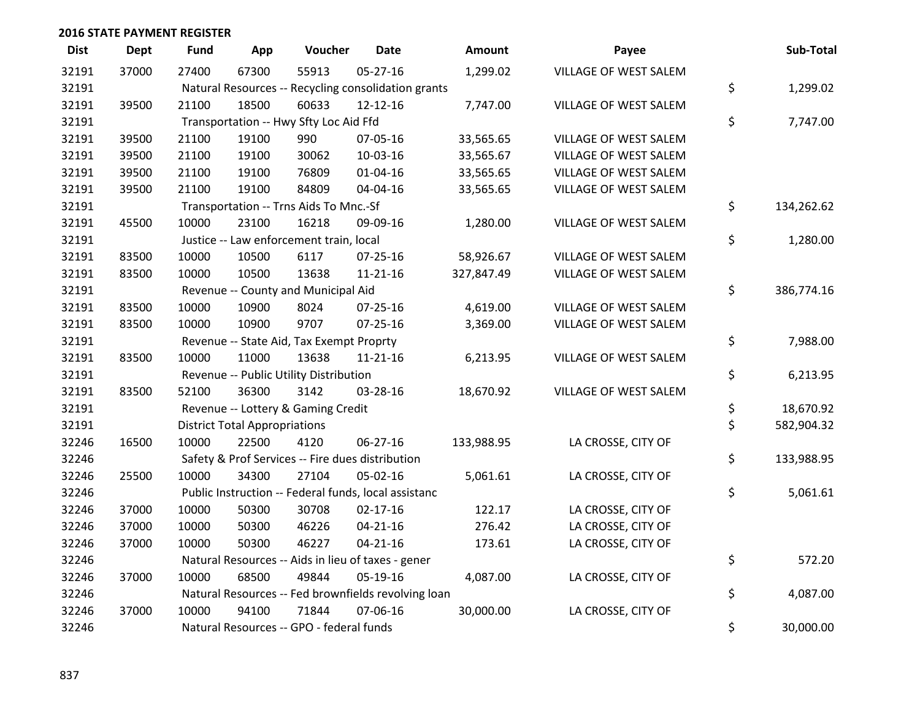| <b>Dist</b> | <b>Dept</b> | <b>Fund</b> | App                                  | Voucher                                              | <b>Date</b>    | Amount     | Payee                 | Sub-Total        |
|-------------|-------------|-------------|--------------------------------------|------------------------------------------------------|----------------|------------|-----------------------|------------------|
| 32191       | 37000       | 27400       | 67300                                | 55913                                                | 05-27-16       | 1,299.02   | VILLAGE OF WEST SALEM |                  |
| 32191       |             |             |                                      | Natural Resources -- Recycling consolidation grants  |                |            |                       | \$<br>1,299.02   |
| 32191       | 39500       | 21100       | 18500                                | 60633                                                | 12-12-16       | 7,747.00   | VILLAGE OF WEST SALEM |                  |
| 32191       |             |             |                                      | Transportation -- Hwy Sfty Loc Aid Ffd               |                |            |                       | \$<br>7,747.00   |
| 32191       | 39500       | 21100       | 19100                                | 990                                                  | 07-05-16       | 33,565.65  | VILLAGE OF WEST SALEM |                  |
| 32191       | 39500       | 21100       | 19100                                | 30062                                                | 10-03-16       | 33,565.67  | VILLAGE OF WEST SALEM |                  |
| 32191       | 39500       | 21100       | 19100                                | 76809                                                | $01 - 04 - 16$ | 33,565.65  | VILLAGE OF WEST SALEM |                  |
| 32191       | 39500       | 21100       | 19100                                | 84809                                                | 04-04-16       | 33,565.65  | VILLAGE OF WEST SALEM |                  |
| 32191       |             |             |                                      | Transportation -- Trns Aids To Mnc.-Sf               |                |            |                       | \$<br>134,262.62 |
| 32191       | 45500       | 10000       | 23100                                | 16218                                                | 09-09-16       | 1,280.00   | VILLAGE OF WEST SALEM |                  |
| 32191       |             |             |                                      | Justice -- Law enforcement train, local              |                |            |                       | \$<br>1,280.00   |
| 32191       | 83500       | 10000       | 10500                                | 6117                                                 | $07 - 25 - 16$ | 58,926.67  | VILLAGE OF WEST SALEM |                  |
| 32191       | 83500       | 10000       | 10500                                | 13638                                                | $11 - 21 - 16$ | 327,847.49 | VILLAGE OF WEST SALEM |                  |
| 32191       |             |             |                                      | Revenue -- County and Municipal Aid                  |                |            |                       | \$<br>386,774.16 |
| 32191       | 83500       | 10000       | 10900                                | 8024                                                 | $07 - 25 - 16$ | 4,619.00   | VILLAGE OF WEST SALEM |                  |
| 32191       | 83500       | 10000       | 10900                                | 9707                                                 | $07 - 25 - 16$ | 3,369.00   | VILLAGE OF WEST SALEM |                  |
| 32191       |             |             |                                      | Revenue -- State Aid, Tax Exempt Proprty             |                |            |                       | \$<br>7,988.00   |
| 32191       | 83500       | 10000       | 11000                                | 13638                                                | $11 - 21 - 16$ | 6,213.95   | VILLAGE OF WEST SALEM |                  |
| 32191       |             |             |                                      | Revenue -- Public Utility Distribution               |                |            |                       | \$<br>6,213.95   |
| 32191       | 83500       | 52100       | 36300                                | 3142                                                 | 03-28-16       | 18,670.92  | VILLAGE OF WEST SALEM |                  |
| 32191       |             |             |                                      | Revenue -- Lottery & Gaming Credit                   |                |            |                       | \$<br>18,670.92  |
| 32191       |             |             | <b>District Total Appropriations</b> |                                                      |                |            |                       | \$<br>582,904.32 |
| 32246       | 16500       | 10000       | 22500                                | 4120                                                 | 06-27-16       | 133,988.95 | LA CROSSE, CITY OF    |                  |
| 32246       |             |             |                                      | Safety & Prof Services -- Fire dues distribution     |                |            |                       | \$<br>133,988.95 |
| 32246       | 25500       | 10000       | 34300                                | 27104                                                | 05-02-16       | 5,061.61   | LA CROSSE, CITY OF    |                  |
| 32246       |             |             |                                      | Public Instruction -- Federal funds, local assistanc |                |            |                       | \$<br>5,061.61   |
| 32246       | 37000       | 10000       | 50300                                | 30708                                                | $02 - 17 - 16$ | 122.17     | LA CROSSE, CITY OF    |                  |
| 32246       | 37000       | 10000       | 50300                                | 46226                                                | $04 - 21 - 16$ | 276.42     | LA CROSSE, CITY OF    |                  |
| 32246       | 37000       | 10000       | 50300                                | 46227                                                | $04 - 21 - 16$ | 173.61     | LA CROSSE, CITY OF    |                  |
| 32246       |             |             |                                      | Natural Resources -- Aids in lieu of taxes - gener   |                |            |                       | \$<br>572.20     |
| 32246       | 37000       | 10000       | 68500                                | 49844                                                | 05-19-16       | 4,087.00   | LA CROSSE, CITY OF    |                  |
| 32246       |             |             |                                      | Natural Resources -- Fed brownfields revolving loan  |                |            |                       | \$<br>4,087.00   |
| 32246       | 37000       | 10000       | 94100                                | 71844                                                | 07-06-16       | 30,000.00  | LA CROSSE, CITY OF    |                  |
| 32246       |             |             |                                      | Natural Resources -- GPO - federal funds             |                |            |                       | \$<br>30,000.00  |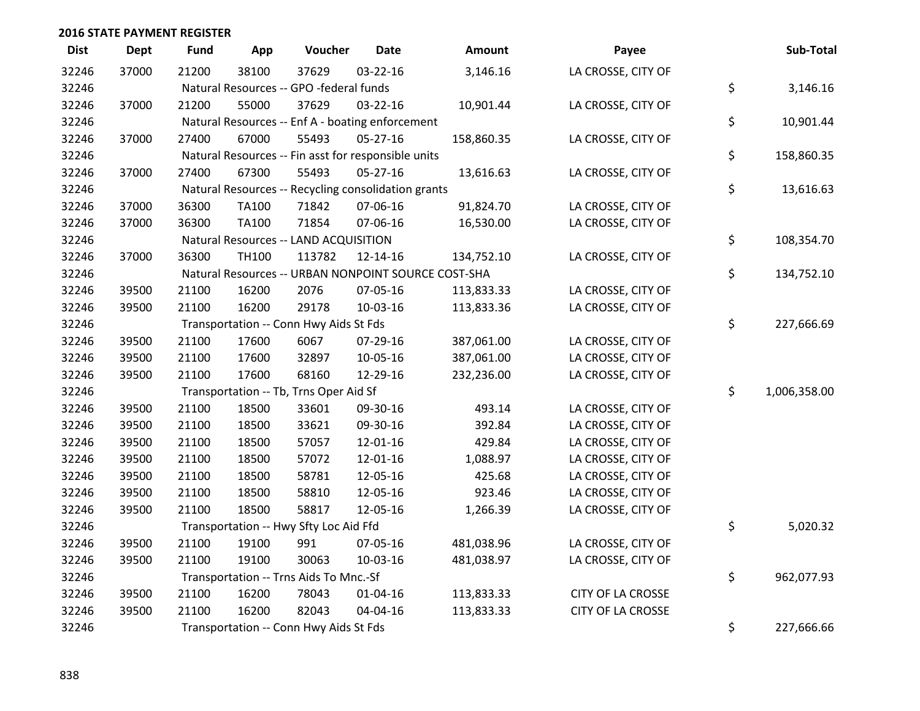| <b>Dist</b> | <b>Dept</b> | <b>Fund</b> | App          | Voucher                                             | <b>Date</b>    | <b>Amount</b>                                       | Payee                    | Sub-Total          |
|-------------|-------------|-------------|--------------|-----------------------------------------------------|----------------|-----------------------------------------------------|--------------------------|--------------------|
| 32246       | 37000       | 21200       | 38100        | 37629                                               | $03 - 22 - 16$ | 3,146.16                                            | LA CROSSE, CITY OF       |                    |
| 32246       |             |             |              | Natural Resources -- GPO -federal funds             |                |                                                     |                          | \$<br>3,146.16     |
| 32246       | 37000       | 21200       | 55000        | 37629                                               | 03-22-16       | 10,901.44                                           | LA CROSSE, CITY OF       |                    |
| 32246       |             |             |              | Natural Resources -- Enf A - boating enforcement    |                |                                                     |                          | \$<br>10,901.44    |
| 32246       | 37000       | 27400       | 67000        | 55493                                               | 05-27-16       | 158,860.35                                          | LA CROSSE, CITY OF       |                    |
| 32246       |             |             |              | Natural Resources -- Fin asst for responsible units |                |                                                     |                          | \$<br>158,860.35   |
| 32246       | 37000       | 27400       | 67300        | 55493                                               | $05 - 27 - 16$ | 13,616.63                                           | LA CROSSE, CITY OF       |                    |
| 32246       |             |             |              | Natural Resources -- Recycling consolidation grants |                |                                                     |                          | \$<br>13,616.63    |
| 32246       | 37000       | 36300       | <b>TA100</b> | 71842                                               | 07-06-16       | 91,824.70                                           | LA CROSSE, CITY OF       |                    |
| 32246       | 37000       | 36300       | TA100        | 71854                                               | 07-06-16       | 16,530.00                                           | LA CROSSE, CITY OF       |                    |
| 32246       |             |             |              | Natural Resources -- LAND ACQUISITION               |                |                                                     |                          | \$<br>108,354.70   |
| 32246       | 37000       | 36300       | TH100        | 113782                                              | 12-14-16       | 134,752.10                                          | LA CROSSE, CITY OF       |                    |
| 32246       |             |             |              |                                                     |                | Natural Resources -- URBAN NONPOINT SOURCE COST-SHA |                          | \$<br>134,752.10   |
| 32246       | 39500       | 21100       | 16200        | 2076                                                | 07-05-16       | 113,833.33                                          | LA CROSSE, CITY OF       |                    |
| 32246       | 39500       | 21100       | 16200        | 29178                                               | 10-03-16       | 113,833.36                                          | LA CROSSE, CITY OF       |                    |
| 32246       |             |             |              | Transportation -- Conn Hwy Aids St Fds              |                |                                                     |                          | \$<br>227,666.69   |
| 32246       | 39500       | 21100       | 17600        | 6067                                                | 07-29-16       | 387,061.00                                          | LA CROSSE, CITY OF       |                    |
| 32246       | 39500       | 21100       | 17600        | 32897                                               | 10-05-16       | 387,061.00                                          | LA CROSSE, CITY OF       |                    |
| 32246       | 39500       | 21100       | 17600        | 68160                                               | 12-29-16       | 232,236.00                                          | LA CROSSE, CITY OF       |                    |
| 32246       |             |             |              | Transportation -- Tb, Trns Oper Aid Sf              |                |                                                     |                          | \$<br>1,006,358.00 |
| 32246       | 39500       | 21100       | 18500        | 33601                                               | 09-30-16       | 493.14                                              | LA CROSSE, CITY OF       |                    |
| 32246       | 39500       | 21100       | 18500        | 33621                                               | 09-30-16       | 392.84                                              | LA CROSSE, CITY OF       |                    |
| 32246       | 39500       | 21100       | 18500        | 57057                                               | 12-01-16       | 429.84                                              | LA CROSSE, CITY OF       |                    |
| 32246       | 39500       | 21100       | 18500        | 57072                                               | 12-01-16       | 1,088.97                                            | LA CROSSE, CITY OF       |                    |
| 32246       | 39500       | 21100       | 18500        | 58781                                               | 12-05-16       | 425.68                                              | LA CROSSE, CITY OF       |                    |
| 32246       | 39500       | 21100       | 18500        | 58810                                               | 12-05-16       | 923.46                                              | LA CROSSE, CITY OF       |                    |
| 32246       | 39500       | 21100       | 18500        | 58817                                               | 12-05-16       | 1,266.39                                            | LA CROSSE, CITY OF       |                    |
| 32246       |             |             |              | Transportation -- Hwy Sfty Loc Aid Ffd              |                |                                                     |                          | \$<br>5,020.32     |
| 32246       | 39500       | 21100       | 19100        | 991                                                 | 07-05-16       | 481,038.96                                          | LA CROSSE, CITY OF       |                    |
| 32246       | 39500       | 21100       | 19100        | 30063                                               | 10-03-16       | 481,038.97                                          | LA CROSSE, CITY OF       |                    |
| 32246       |             |             |              | Transportation -- Trns Aids To Mnc.-Sf              |                |                                                     |                          | \$<br>962,077.93   |
| 32246       | 39500       | 21100       | 16200        | 78043                                               | 01-04-16       | 113,833.33                                          | <b>CITY OF LA CROSSE</b> |                    |
| 32246       | 39500       | 21100       | 16200        | 82043                                               | 04-04-16       | 113,833.33                                          | CITY OF LA CROSSE        |                    |
| 32246       |             |             |              | Transportation -- Conn Hwy Aids St Fds              |                |                                                     |                          | \$<br>227,666.66   |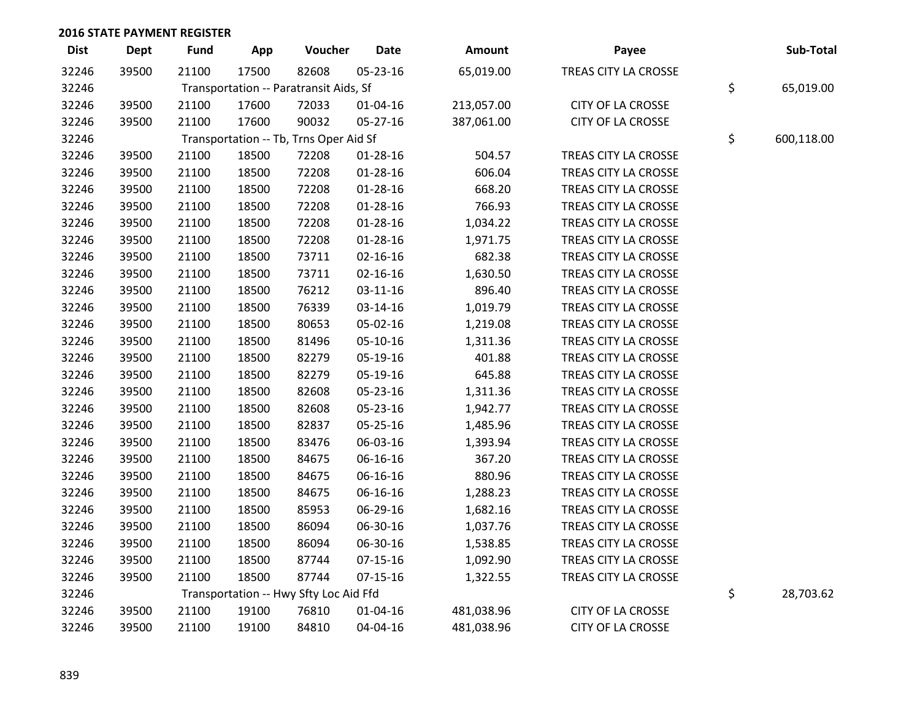| <b>Dist</b> | Dept  | <b>Fund</b>                            | App             | Voucher                                | <b>Date</b>    | Amount     | Payee                    | Sub-Total        |
|-------------|-------|----------------------------------------|-----------------|----------------------------------------|----------------|------------|--------------------------|------------------|
| 32246       | 39500 | 21100                                  | 17500           | 82608                                  | 05-23-16       | 65,019.00  | TREAS CITY LA CROSSE     |                  |
| 32246       |       | Transportation -- Paratransit Aids, Sf | \$<br>65,019.00 |                                        |                |            |                          |                  |
| 32246       | 39500 | 21100                                  | 17600           | 72033                                  | 01-04-16       | 213,057.00 | CITY OF LA CROSSE        |                  |
| 32246       | 39500 | 21100                                  | 17600           | 90032                                  | 05-27-16       | 387,061.00 | CITY OF LA CROSSE        |                  |
| 32246       |       |                                        |                 | Transportation -- Tb, Trns Oper Aid Sf |                |            |                          | \$<br>600,118.00 |
| 32246       | 39500 | 21100                                  | 18500           | 72208                                  | $01 - 28 - 16$ | 504.57     | TREAS CITY LA CROSSE     |                  |
| 32246       | 39500 | 21100                                  | 18500           | 72208                                  | $01 - 28 - 16$ | 606.04     | TREAS CITY LA CROSSE     |                  |
| 32246       | 39500 | 21100                                  | 18500           | 72208                                  | $01 - 28 - 16$ | 668.20     | TREAS CITY LA CROSSE     |                  |
| 32246       | 39500 | 21100                                  | 18500           | 72208                                  | 01-28-16       | 766.93     | TREAS CITY LA CROSSE     |                  |
| 32246       | 39500 | 21100                                  | 18500           | 72208                                  | $01 - 28 - 16$ | 1,034.22   | TREAS CITY LA CROSSE     |                  |
| 32246       | 39500 | 21100                                  | 18500           | 72208                                  | 01-28-16       | 1,971.75   | TREAS CITY LA CROSSE     |                  |
| 32246       | 39500 | 21100                                  | 18500           | 73711                                  | $02 - 16 - 16$ | 682.38     | TREAS CITY LA CROSSE     |                  |
| 32246       | 39500 | 21100                                  | 18500           | 73711                                  | 02-16-16       | 1,630.50   | TREAS CITY LA CROSSE     |                  |
| 32246       | 39500 | 21100                                  | 18500           | 76212                                  | 03-11-16       | 896.40     | TREAS CITY LA CROSSE     |                  |
| 32246       | 39500 | 21100                                  | 18500           | 76339                                  | 03-14-16       | 1,019.79   | TREAS CITY LA CROSSE     |                  |
| 32246       | 39500 | 21100                                  | 18500           | 80653                                  | 05-02-16       | 1,219.08   | TREAS CITY LA CROSSE     |                  |
| 32246       | 39500 | 21100                                  | 18500           | 81496                                  | 05-10-16       | 1,311.36   | TREAS CITY LA CROSSE     |                  |
| 32246       | 39500 | 21100                                  | 18500           | 82279                                  | 05-19-16       | 401.88     | TREAS CITY LA CROSSE     |                  |
| 32246       | 39500 | 21100                                  | 18500           | 82279                                  | 05-19-16       | 645.88     | TREAS CITY LA CROSSE     |                  |
| 32246       | 39500 | 21100                                  | 18500           | 82608                                  | 05-23-16       | 1,311.36   | TREAS CITY LA CROSSE     |                  |
| 32246       | 39500 | 21100                                  | 18500           | 82608                                  | 05-23-16       | 1,942.77   | TREAS CITY LA CROSSE     |                  |
| 32246       | 39500 | 21100                                  | 18500           | 82837                                  | 05-25-16       | 1,485.96   | TREAS CITY LA CROSSE     |                  |
| 32246       | 39500 | 21100                                  | 18500           | 83476                                  | 06-03-16       | 1,393.94   | TREAS CITY LA CROSSE     |                  |
| 32246       | 39500 | 21100                                  | 18500           | 84675                                  | 06-16-16       | 367.20     | TREAS CITY LA CROSSE     |                  |
| 32246       | 39500 | 21100                                  | 18500           | 84675                                  | 06-16-16       | 880.96     | TREAS CITY LA CROSSE     |                  |
| 32246       | 39500 | 21100                                  | 18500           | 84675                                  | 06-16-16       | 1,288.23   | TREAS CITY LA CROSSE     |                  |
| 32246       | 39500 | 21100                                  | 18500           | 85953                                  | 06-29-16       | 1,682.16   | TREAS CITY LA CROSSE     |                  |
| 32246       | 39500 | 21100                                  | 18500           | 86094                                  | 06-30-16       | 1,037.76   | TREAS CITY LA CROSSE     |                  |
| 32246       | 39500 | 21100                                  | 18500           | 86094                                  | 06-30-16       | 1,538.85   | TREAS CITY LA CROSSE     |                  |
| 32246       | 39500 | 21100                                  | 18500           | 87744                                  | $07 - 15 - 16$ | 1,092.90   | TREAS CITY LA CROSSE     |                  |
| 32246       | 39500 | 21100                                  | 18500           | 87744                                  | $07-15-16$     | 1,322.55   | TREAS CITY LA CROSSE     |                  |
| 32246       |       |                                        |                 | Transportation -- Hwy Sfty Loc Aid Ffd |                |            |                          | \$<br>28,703.62  |
| 32246       | 39500 | 21100                                  | 19100           | 76810                                  | 01-04-16       | 481,038.96 | <b>CITY OF LA CROSSE</b> |                  |
| 32246       | 39500 | 21100                                  | 19100           | 84810                                  | 04-04-16       | 481,038.96 | <b>CITY OF LA CROSSE</b> |                  |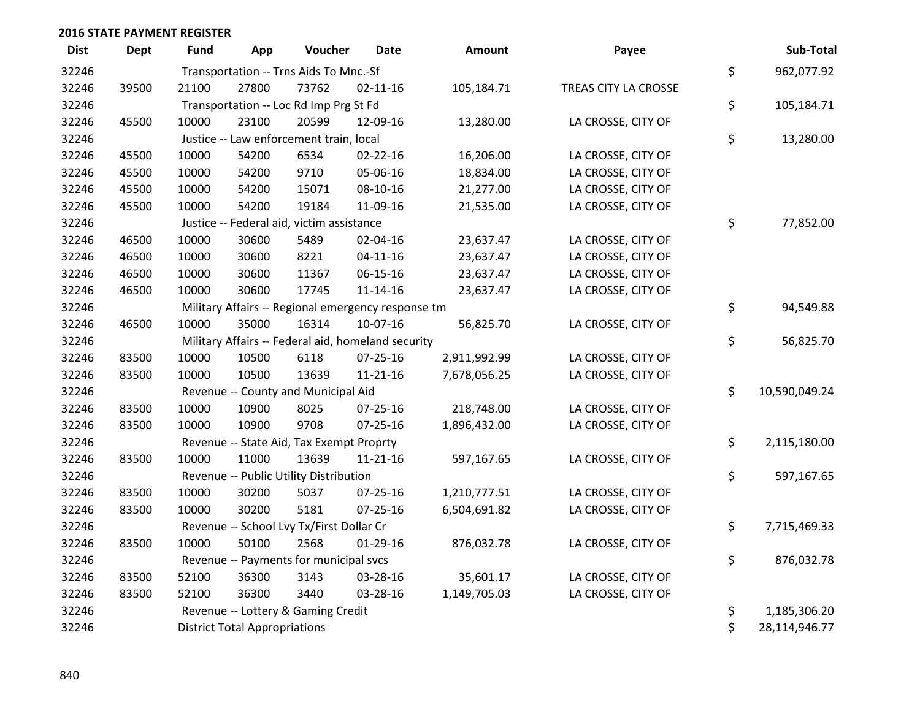| <b>Dist</b> | <b>Dept</b> | Fund                                     | App                                  | Voucher                                            | Date           | Amount       | Payee                |    | Sub-Total     |  |  |
|-------------|-------------|------------------------------------------|--------------------------------------|----------------------------------------------------|----------------|--------------|----------------------|----|---------------|--|--|
| 32246       |             | Transportation -- Trns Aids To Mnc.-Sf   |                                      |                                                    |                |              |                      |    | 962,077.92    |  |  |
| 32246       | 39500       | 21100                                    | 27800                                | 73762                                              | $02 - 11 - 16$ | 105,184.71   | TREAS CITY LA CROSSE | \$ |               |  |  |
| 32246       |             | Transportation -- Loc Rd Imp Prg St Fd   | \$                                   | 105,184.71                                         |                |              |                      |    |               |  |  |
| 32246       | 45500       | 10000                                    | 23100                                | 20599                                              | 12-09-16       | 13,280.00    | LA CROSSE, CITY OF   |    |               |  |  |
| 32246       |             |                                          |                                      | Justice -- Law enforcement train, local            |                |              |                      | \$ | 13,280.00     |  |  |
| 32246       | 45500       | 10000                                    | 54200                                | 6534                                               | $02 - 22 - 16$ | 16,206.00    | LA CROSSE, CITY OF   |    |               |  |  |
| 32246       | 45500       | 10000                                    | 54200                                | 9710                                               | 05-06-16       | 18,834.00    | LA CROSSE, CITY OF   |    |               |  |  |
| 32246       | 45500       | 10000                                    | 54200                                | 15071                                              | 08-10-16       | 21,277.00    | LA CROSSE, CITY OF   |    |               |  |  |
| 32246       | 45500       | 10000                                    | 54200                                | 19184                                              | 11-09-16       | 21,535.00    | LA CROSSE, CITY OF   |    |               |  |  |
| 32246       |             |                                          |                                      | Justice -- Federal aid, victim assistance          |                |              |                      | \$ | 77,852.00     |  |  |
| 32246       | 46500       | 10000                                    | 30600                                | 5489                                               | 02-04-16       | 23,637.47    | LA CROSSE, CITY OF   |    |               |  |  |
| 32246       | 46500       | 10000                                    | 30600                                | 8221                                               | $04 - 11 - 16$ | 23,637.47    | LA CROSSE, CITY OF   |    |               |  |  |
| 32246       | 46500       | 10000                                    | 30600                                | 11367                                              | 06-15-16       | 23,637.47    | LA CROSSE, CITY OF   |    |               |  |  |
| 32246       | 46500       | 10000                                    | 30600                                | 17745                                              | $11 - 14 - 16$ | 23,637.47    | LA CROSSE, CITY OF   |    |               |  |  |
| 32246       |             |                                          |                                      | Military Affairs -- Regional emergency response tm |                |              |                      | \$ | 94,549.88     |  |  |
| 32246       | 46500       | 10000                                    | 35000                                | 16314                                              | 10-07-16       | 56,825.70    | LA CROSSE, CITY OF   |    |               |  |  |
| 32246       |             |                                          |                                      | Military Affairs -- Federal aid, homeland security |                |              |                      | \$ | 56,825.70     |  |  |
| 32246       | 83500       | 10000                                    | 10500                                | 6118                                               | 07-25-16       | 2,911,992.99 | LA CROSSE, CITY OF   |    |               |  |  |
| 32246       | 83500       | 10000                                    | 10500                                | 13639                                              | $11 - 21 - 16$ | 7,678,056.25 | LA CROSSE, CITY OF   |    |               |  |  |
| 32246       |             |                                          |                                      | Revenue -- County and Municipal Aid                |                |              |                      | \$ | 10,590,049.24 |  |  |
| 32246       | 83500       | 10000                                    | 10900                                | 8025                                               | $07 - 25 - 16$ | 218,748.00   | LA CROSSE, CITY OF   |    |               |  |  |
| 32246       | 83500       | 10000                                    | 10900                                | 9708                                               | $07 - 25 - 16$ | 1,896,432.00 | LA CROSSE, CITY OF   |    |               |  |  |
| 32246       |             |                                          |                                      | Revenue -- State Aid, Tax Exempt Proprty           |                |              |                      | \$ | 2,115,180.00  |  |  |
| 32246       | 83500       | 10000                                    | 11000                                | 13639                                              | $11 - 21 - 16$ | 597,167.65   | LA CROSSE, CITY OF   |    |               |  |  |
| 32246       |             |                                          |                                      | Revenue -- Public Utility Distribution             |                |              |                      | \$ | 597,167.65    |  |  |
| 32246       | 83500       | 10000                                    | 30200                                | 5037                                               | 07-25-16       | 1,210,777.51 | LA CROSSE, CITY OF   |    |               |  |  |
| 32246       | 83500       | 10000                                    | 30200                                | 5181                                               | $07 - 25 - 16$ | 6,504,691.82 | LA CROSSE, CITY OF   |    |               |  |  |
| 32246       |             | Revenue -- School Lvy Tx/First Dollar Cr |                                      |                                                    |                |              |                      |    | 7,715,469.33  |  |  |
| 32246       | 83500       | 10000                                    | 50100                                | 2568                                               | $01-29-16$     | 876,032.78   | LA CROSSE, CITY OF   |    |               |  |  |
| 32246       |             |                                          |                                      | Revenue -- Payments for municipal svcs             |                |              |                      | \$ | 876,032.78    |  |  |
| 32246       | 83500       | 52100                                    | 36300                                | 3143                                               | 03-28-16       | 35,601.17    | LA CROSSE, CITY OF   |    |               |  |  |
| 32246       | 83500       | 52100                                    | 36300                                | 3440                                               | 03-28-16       | 1,149,705.03 | LA CROSSE, CITY OF   |    |               |  |  |
| 32246       |             |                                          |                                      | Revenue -- Lottery & Gaming Credit                 |                |              |                      | \$ | 1,185,306.20  |  |  |
| 32246       |             |                                          | <b>District Total Appropriations</b> |                                                    |                |              |                      |    |               |  |  |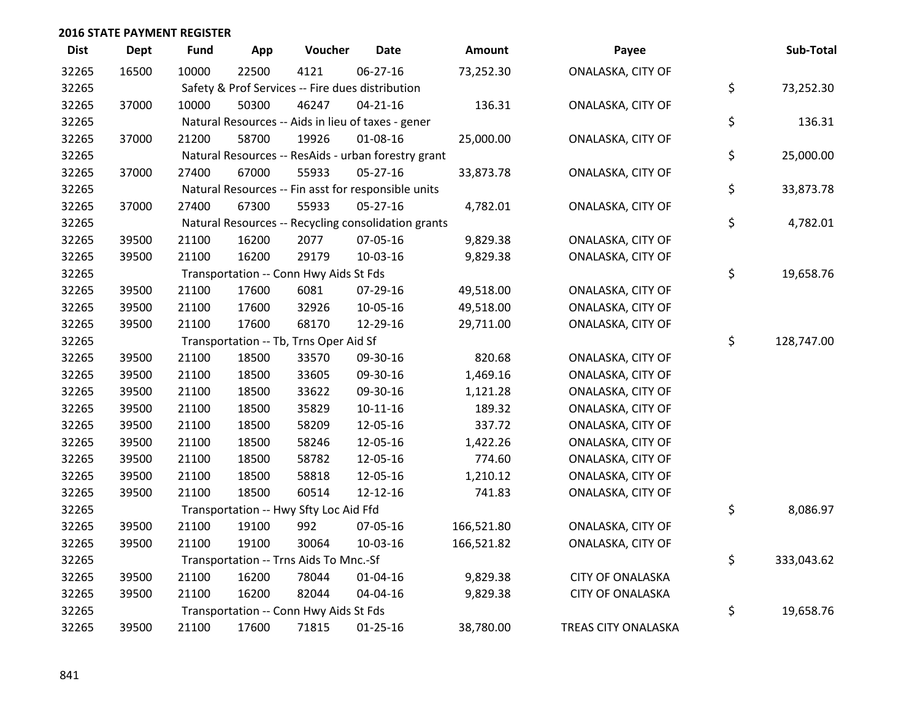| <b>Dist</b> | <b>Dept</b> | <b>Fund</b>                                        | App             | Voucher                                | <b>Date</b>                                         | <b>Amount</b> | Payee                   | Sub-Total        |
|-------------|-------------|----------------------------------------------------|-----------------|----------------------------------------|-----------------------------------------------------|---------------|-------------------------|------------------|
| 32265       | 16500       | 10000                                              | 22500           | 4121                                   | 06-27-16                                            | 73,252.30     | ONALASKA, CITY OF       |                  |
| 32265       |             | Safety & Prof Services -- Fire dues distribution   | \$<br>73,252.30 |                                        |                                                     |               |                         |                  |
| 32265       | 37000       | 10000                                              | 50300           | 46247                                  | $04 - 21 - 16$                                      | 136.31        | ONALASKA, CITY OF       |                  |
| 32265       |             | Natural Resources -- Aids in lieu of taxes - gener | \$<br>136.31    |                                        |                                                     |               |                         |                  |
| 32265       | 37000       | 21200                                              | 58700           | 19926                                  | 01-08-16                                            | 25,000.00     | ONALASKA, CITY OF       |                  |
| 32265       |             |                                                    |                 |                                        | Natural Resources -- ResAids - urban forestry grant |               |                         | \$<br>25,000.00  |
| 32265       | 37000       | 27400                                              | 67000           | 55933                                  | 05-27-16                                            | 33,873.78     | ONALASKA, CITY OF       |                  |
| 32265       |             |                                                    |                 |                                        | Natural Resources -- Fin asst for responsible units |               |                         | \$<br>33,873.78  |
| 32265       | 37000       | 27400                                              | 67300           | 55933                                  | 05-27-16                                            | 4,782.01      | ONALASKA, CITY OF       |                  |
| 32265       |             |                                                    |                 |                                        | Natural Resources -- Recycling consolidation grants |               |                         | \$<br>4,782.01   |
| 32265       | 39500       | 21100                                              | 16200           | 2077                                   | 07-05-16                                            | 9,829.38      | ONALASKA, CITY OF       |                  |
| 32265       | 39500       | 21100                                              | 16200           | 29179                                  | 10-03-16                                            | 9,829.38      | ONALASKA, CITY OF       |                  |
| 32265       |             |                                                    |                 | Transportation -- Conn Hwy Aids St Fds |                                                     |               |                         | \$<br>19,658.76  |
| 32265       | 39500       | 21100                                              | 17600           | 6081                                   | 07-29-16                                            | 49,518.00     | ONALASKA, CITY OF       |                  |
| 32265       | 39500       | 21100                                              | 17600           | 32926                                  | 10-05-16                                            | 49,518.00     | ONALASKA, CITY OF       |                  |
| 32265       | 39500       | 21100                                              | 17600           | 68170                                  | 12-29-16                                            | 29,711.00     | ONALASKA, CITY OF       |                  |
| 32265       |             |                                                    |                 | Transportation -- Tb, Trns Oper Aid Sf |                                                     |               |                         | \$<br>128,747.00 |
| 32265       | 39500       | 21100                                              | 18500           | 33570                                  | 09-30-16                                            | 820.68        | ONALASKA, CITY OF       |                  |
| 32265       | 39500       | 21100                                              | 18500           | 33605                                  | 09-30-16                                            | 1,469.16      | ONALASKA, CITY OF       |                  |
| 32265       | 39500       | 21100                                              | 18500           | 33622                                  | 09-30-16                                            | 1,121.28      | ONALASKA, CITY OF       |                  |
| 32265       | 39500       | 21100                                              | 18500           | 35829                                  | $10-11-16$                                          | 189.32        | ONALASKA, CITY OF       |                  |
| 32265       | 39500       | 21100                                              | 18500           | 58209                                  | 12-05-16                                            | 337.72        | ONALASKA, CITY OF       |                  |
| 32265       | 39500       | 21100                                              | 18500           | 58246                                  | 12-05-16                                            | 1,422.26      | ONALASKA, CITY OF       |                  |
| 32265       | 39500       | 21100                                              | 18500           | 58782                                  | 12-05-16                                            | 774.60        | ONALASKA, CITY OF       |                  |
| 32265       | 39500       | 21100                                              | 18500           | 58818                                  | 12-05-16                                            | 1,210.12      | ONALASKA, CITY OF       |                  |
| 32265       | 39500       | 21100                                              | 18500           | 60514                                  | 12-12-16                                            | 741.83        | ONALASKA, CITY OF       |                  |
| 32265       |             |                                                    |                 | Transportation -- Hwy Sfty Loc Aid Ffd |                                                     |               |                         | \$<br>8,086.97   |
| 32265       | 39500       | 21100                                              | 19100           | 992                                    | 07-05-16                                            | 166,521.80    | ONALASKA, CITY OF       |                  |
| 32265       | 39500       | 21100                                              | 19100           | 30064                                  | 10-03-16                                            | 166,521.82    | ONALASKA, CITY OF       |                  |
| 32265       |             |                                                    |                 | Transportation -- Trns Aids To Mnc.-Sf |                                                     |               |                         | \$<br>333,043.62 |
| 32265       | 39500       | 21100                                              | 16200           | 78044                                  | 01-04-16                                            | 9,829.38      | <b>CITY OF ONALASKA</b> |                  |
| 32265       | 39500       | 21100                                              | 16200           | 82044                                  | 04-04-16                                            | 9,829.38      | <b>CITY OF ONALASKA</b> |                  |
| 32265       |             |                                                    |                 | Transportation -- Conn Hwy Aids St Fds |                                                     |               |                         | \$<br>19,658.76  |
| 32265       | 39500       | 21100                                              | 17600           | 71815                                  | $01 - 25 - 16$                                      | 38,780.00     | TREAS CITY ONALASKA     |                  |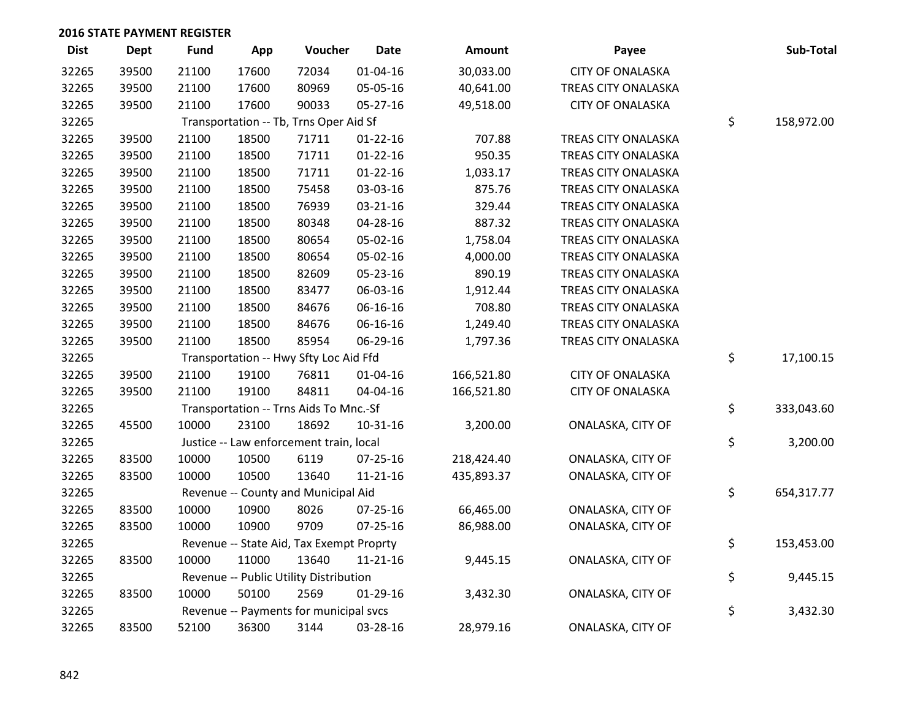| <b>Dist</b> | Dept  | <b>Fund</b>                            | App   | Voucher                                  | <b>Date</b>    | Amount     | Payee                   |    | Sub-Total  |
|-------------|-------|----------------------------------------|-------|------------------------------------------|----------------|------------|-------------------------|----|------------|
| 32265       | 39500 | 21100                                  | 17600 | 72034                                    | $01 - 04 - 16$ | 30,033.00  | <b>CITY OF ONALASKA</b> |    |            |
| 32265       | 39500 | 21100                                  | 17600 | 80969                                    | 05-05-16       | 40,641.00  | TREAS CITY ONALASKA     |    |            |
| 32265       | 39500 | 21100                                  | 17600 | 90033                                    | $05 - 27 - 16$ | 49,518.00  | <b>CITY OF ONALASKA</b> |    |            |
| 32265       |       |                                        |       | Transportation -- Tb, Trns Oper Aid Sf   |                | \$         | 158,972.00              |    |            |
| 32265       | 39500 | 21100                                  | 18500 | 71711                                    | $01 - 22 - 16$ | 707.88     | TREAS CITY ONALASKA     |    |            |
| 32265       | 39500 | 21100                                  | 18500 | 71711                                    | $01 - 22 - 16$ | 950.35     | TREAS CITY ONALASKA     |    |            |
| 32265       | 39500 | 21100                                  | 18500 | 71711                                    | $01 - 22 - 16$ | 1,033.17   | TREAS CITY ONALASKA     |    |            |
| 32265       | 39500 | 21100                                  | 18500 | 75458                                    | 03-03-16       | 875.76     | TREAS CITY ONALASKA     |    |            |
| 32265       | 39500 | 21100                                  | 18500 | 76939                                    | 03-21-16       | 329.44     | TREAS CITY ONALASKA     |    |            |
| 32265       | 39500 | 21100                                  | 18500 | 80348                                    | 04-28-16       | 887.32     | TREAS CITY ONALASKA     |    |            |
| 32265       | 39500 | 21100                                  | 18500 | 80654                                    | 05-02-16       | 1,758.04   | TREAS CITY ONALASKA     |    |            |
| 32265       | 39500 | 21100                                  | 18500 | 80654                                    | 05-02-16       | 4,000.00   | TREAS CITY ONALASKA     |    |            |
| 32265       | 39500 | 21100                                  | 18500 | 82609                                    | 05-23-16       | 890.19     | TREAS CITY ONALASKA     |    |            |
| 32265       | 39500 | 21100                                  | 18500 | 83477                                    | 06-03-16       | 1,912.44   | TREAS CITY ONALASKA     |    |            |
| 32265       | 39500 | 21100                                  | 18500 | 84676                                    | 06-16-16       | 708.80     | TREAS CITY ONALASKA     |    |            |
| 32265       | 39500 | 21100                                  | 18500 | 84676                                    | 06-16-16       | 1,249.40   | TREAS CITY ONALASKA     |    |            |
| 32265       | 39500 | 21100                                  | 18500 | 85954                                    | 06-29-16       | 1,797.36   | TREAS CITY ONALASKA     |    |            |
| 32265       |       |                                        |       | Transportation -- Hwy Sfty Loc Aid Ffd   |                |            |                         | \$ | 17,100.15  |
| 32265       | 39500 | 21100                                  | 19100 | 76811                                    | $01 - 04 - 16$ | 166,521.80 | <b>CITY OF ONALASKA</b> |    |            |
| 32265       | 39500 | 21100                                  | 19100 | 84811                                    | 04-04-16       | 166,521.80 | <b>CITY OF ONALASKA</b> |    |            |
| 32265       |       |                                        |       | Transportation -- Trns Aids To Mnc.-Sf   |                |            |                         | \$ | 333,043.60 |
| 32265       | 45500 | 10000                                  | 23100 | 18692                                    | $10 - 31 - 16$ | 3,200.00   | ONALASKA, CITY OF       |    |            |
| 32265       |       |                                        |       | Justice -- Law enforcement train, local  |                |            |                         | \$ | 3,200.00   |
| 32265       | 83500 | 10000                                  | 10500 | 6119                                     | 07-25-16       | 218,424.40 | ONALASKA, CITY OF       |    |            |
| 32265       | 83500 | 10000                                  | 10500 | 13640                                    | $11 - 21 - 16$ | 435,893.37 | ONALASKA, CITY OF       |    |            |
| 32265       |       |                                        |       | Revenue -- County and Municipal Aid      |                |            |                         | \$ | 654,317.77 |
| 32265       | 83500 | 10000                                  | 10900 | 8026                                     | 07-25-16       | 66,465.00  | ONALASKA, CITY OF       |    |            |
| 32265       | 83500 | 10000                                  | 10900 | 9709                                     | 07-25-16       | 86,988.00  | ONALASKA, CITY OF       |    |            |
| 32265       |       |                                        |       | Revenue -- State Aid, Tax Exempt Proprty |                |            |                         | \$ | 153,453.00 |
| 32265       | 83500 | 10000                                  | 11000 | 13640                                    | $11 - 21 - 16$ | 9,445.15   | ONALASKA, CITY OF       |    |            |
| 32265       |       | Revenue -- Public Utility Distribution |       |                                          |                |            |                         |    | 9,445.15   |
| 32265       | 83500 | 10000                                  | 50100 | 2569                                     | $01-29-16$     | 3,432.30   | ONALASKA, CITY OF       |    |            |
| 32265       |       |                                        |       | Revenue -- Payments for municipal svcs   |                |            |                         | \$ | 3,432.30   |
| 32265       | 83500 | 52100                                  | 36300 | 3144                                     | 03-28-16       | 28,979.16  | ONALASKA, CITY OF       |    |            |